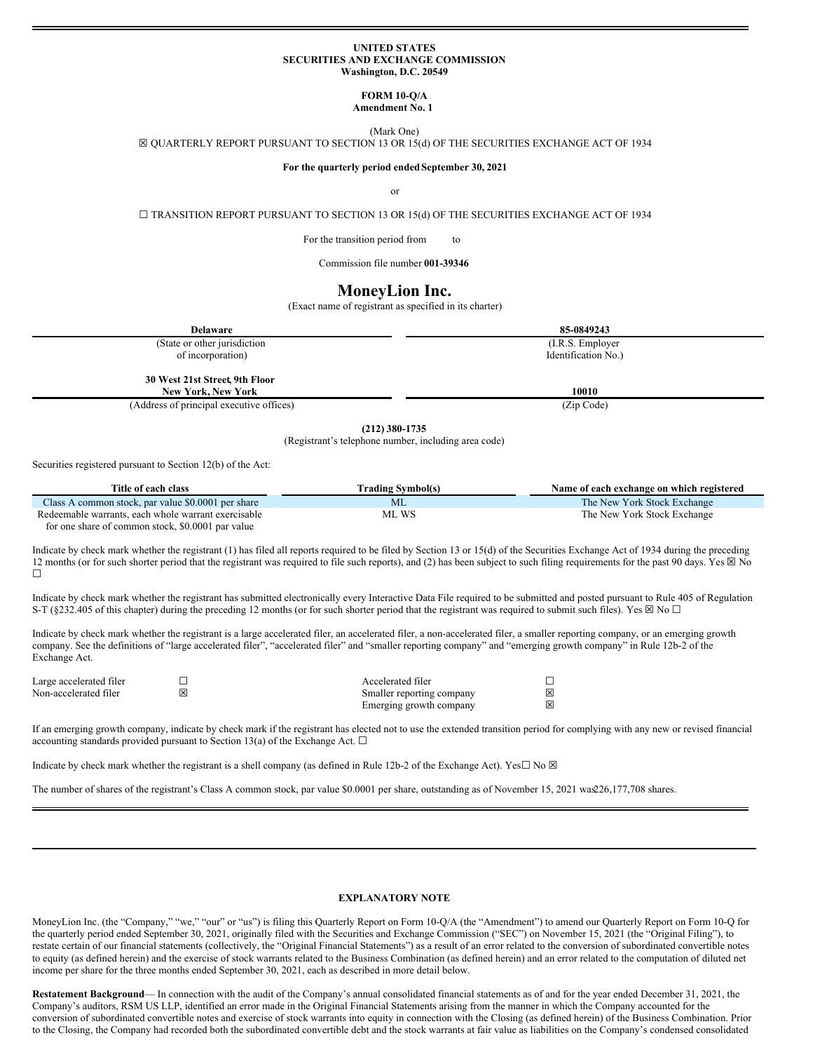#### **UNITED STATES SECURITIES AND EXCHANGE COMMISSION Washington, D.C. 20549**

# **FORM 10-Q/A**

**Amendment No. 1**

(Mark One)

<span id="page-0-0"></span>☒ QUARTERLY REPORT PURSUANT TO SECTION 13 OR 15(d) OF THE SECURITIES EXCHANGE ACT OF 1934

### **For the quarterly period endedSeptember 30, 2021**

or

 $\Box$  TRANSITION REPORT PURSUANT TO SECTION 13 OR 15(d) OF THE SECURITIES EXCHANGE ACT OF 1934

For the transition period from to

Commission file number **001-39346**

# **MoneyLion Inc.**

(Exact name of registrant as specified in its charter)

| <b>Delaware</b>                          | 85-0849243          |
|------------------------------------------|---------------------|
| (State or other jurisdiction)            | (I.R.S. Employer)   |
| of incorporation)                        | Identification No.) |
|                                          |                     |
| 30 West 21st Street, 9th Floor           |                     |
| <b>New York, New York</b>                | 10010               |
| (Address of principal executive offices) | (Zip Code)          |

**(212) 380-1735**

(Registrant's telephone number, including area code)

Securities registered pursuant to Section 12(b) of the Act:

| Title of each class                                 | Trading Symbol(s) | Name of each exchange on which registered |
|-----------------------------------------------------|-------------------|-------------------------------------------|
| Class A common stock, par value \$0.0001 per share  | ML                | The New York Stock Exchange               |
| Redeemable warrants, each whole warrant exercisable | ML WS             | The New York Stock Exchange               |

for one share of common stock, \$0.0001 par value

Indicate by check mark whether the registrant (1) has filed all reports required to be filed by Section 13 or 15(d) of the Securities Exchange Act of 1934 during the preceding 12 months (or for such shorter period that the registrant was required to file such reports), and (2) has been subject to such filing requirements for the past 90 days. Yes  $\boxtimes$  No ☐

Indicate by check mark whether the registrant has submitted electronically every Interactive Data File required to be submitted and posted pursuant to Rule 405 of Regulation S-T (§232.405 of this chapter) during the preceding 12 months (or for such shorter period that the registrant was required to submit such files). Yes  $\boxtimes$  No  $\Box$ 

Indicate by check mark whether the registrant is a large accelerated filer, an accelerated filer, a non-accelerated filer, a smaller reporting company, or an emerging growth company. See the definitions of "large accelerated filer", "accelerated filer" and "smaller reporting company" and "emerging growth company" in Rule 12b-2 of the Exchange Act.

| Large accelerated filer |   | Accelerated filer         |   |
|-------------------------|---|---------------------------|---|
| Non-accelerated filer   | ⊠ | Smaller reporting company | 冈 |
|                         |   | Emerging growth company   | 冈 |

If an emerging growth company, indicate by check mark if the registrant has elected not to use the extended transition period for complying with any new or revised financial accounting standards provided pursuant to Section 13(a) of the Exchange Act.  $\Box$ 

Indicate by check mark whether the registrant is a shell company (as defined in Rule 12b-2 of the Exchange Act). Yes $\Box$  No  $\boxtimes$ 

The number of shares of the registrant's Class A common stock, par value \$0.0001 per share, outstanding as of November 15, 2021 was 26,177,708 shares.

#### **EXPLANATORY NOTE**

MoneyLion Inc. (the "Company," "we," "our" or "us") is filing this Quarterly Report on Form 10-Q/A (the "Amendment") to amend our Quarterly Report on Form 10-Q for the quarterly period ended September 30, 2021, originally filed with the Securities and Exchange Commission ("SEC") on November 15, 2021 (the "Original Filing"), to restate certain of our financial statements (collectively, the "Original Financial Statements") as a result of an error related to the conversion of subordinated convertible notes to equity (as defined herein) and the exercise of stock warrants related to the Business Combination (as defined herein) and an error related to the computation of diluted net income per share for the three months ended September 30, 2021, each as described in more detail below.

**Restatement Background**— In connection with the audit of the Company's annual consolidated financial statements as of and for the year ended December 31, 2021, the Company's auditors, RSM US LLP, identified an error made in the Original Financial Statements arising from the manner in which the Company accounted for the conversion of subordinated convertible notes and exercise of stock warrants into equity in connection with the Closing (as defined herein) of the Business Combination. Prior to the Closing, the Company had recorded both the subordinated convertible debt and the stock warrants at fair value as liabilities on the Company's condensed consolidated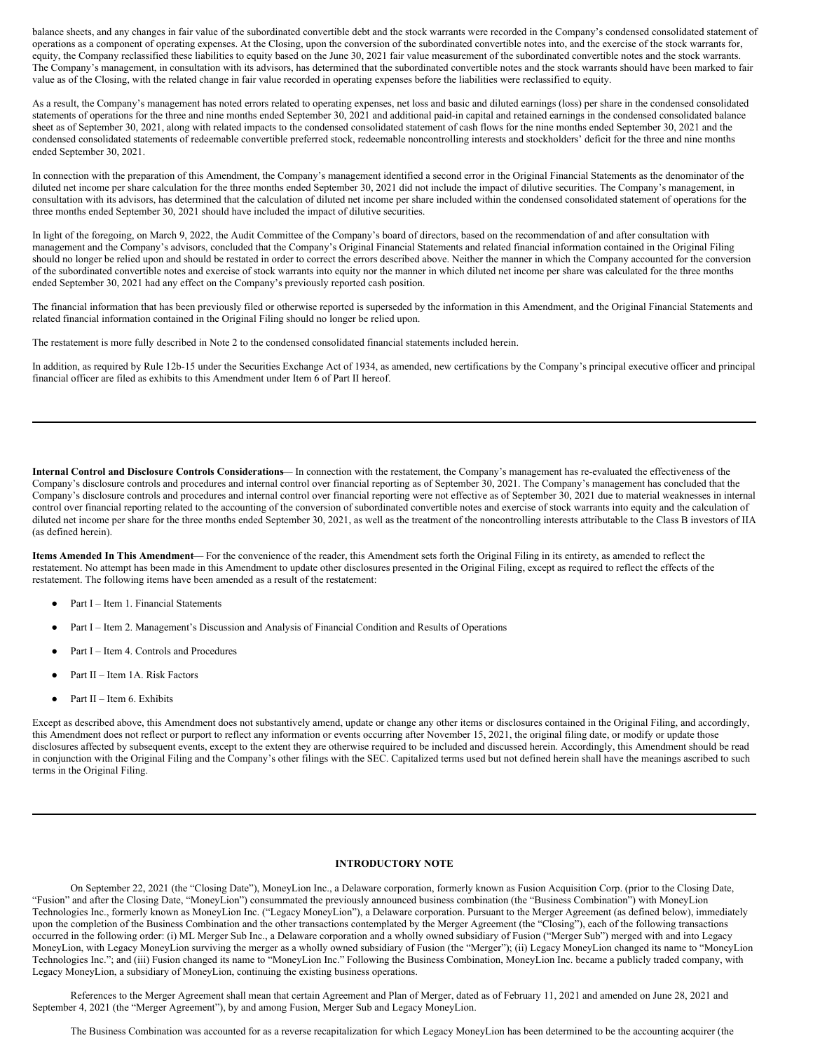balance sheets, and any changes in fair value of the subordinated convertible debt and the stock warrants were recorded in the Company's condensed consolidated statement of operations as a component of operating expenses. At the Closing, upon the conversion of the subordinated convertible notes into, and the exercise of the stock warrants for, equity, the Company reclassified these liabilities to equity based on the June 30, 2021 fair value measurement of the subordinated convertible notes and the stock warrants. The Company's management, in consultation with its advisors, has determined that the subordinated convertible notes and the stock warrants should have been marked to fair value as of the Closing, with the related change in fair value recorded in operating expenses before the liabilities were reclassified to equity.

As a result, the Company's management has noted errors related to operating expenses, net loss and basic and diluted earnings (loss) per share in the condensed consolidated statements of operations for the three and nine months ended September 30, 2021 and additional paid-in capital and retained earnings in the condensed consolidated balance sheet as of September 30, 2021, along with related impacts to the condensed consolidated statement of cash flows for the nine months ended September 30, 2021 and the condensed consolidated statements of redeemable convertible preferred stock, redeemable noncontrolling interests and stockholders' deficit for the three and nine months ended September 30, 2021.

In connection with the preparation of this Amendment, the Company's management identified a second error in the Original Financial Statements as the denominator of the diluted net income per share calculation for the three months ended September 30, 2021 did not include the impact of dilutive securities. The Company's management, in consultation with its advisors, has determined that the calculation of diluted net income per share included within the condensed consolidated statement of operations for the three months ended September 30, 2021 should have included the impact of dilutive securities.

In light of the foregoing, on March 9, 2022, the Audit Committee of the Company's board of directors, based on the recommendation of and after consultation with management and the Company's advisors, concluded that the Company's Original Financial Statements and related financial information contained in the Original Filing should no longer be relied upon and should be restated in order to correct the errors described above. Neither the manner in which the Company accounted for the conversion of the subordinated convertible notes and exercise of stock warrants into equity nor the manner in which diluted net income per share was calculated for the three months ended September 30, 2021 had any effect on the Company's previously reported cash position.

The financial information that has been previously filed or otherwise reported is superseded by the information in this Amendment, and the Original Financial Statements and related financial information contained in the Original Filing should no longer be relied upon.

The restatement is more fully described in Note 2 to the condensed consolidated financial statements included herein.

In addition, as required by Rule 12b-15 under the Securities Exchange Act of 1934, as amended, new certifications by the Company's principal executive officer and principal financial officer are filed as exhibits to this Amendment under Item 6 of Part II hereof.

**Internal Control and Disclosure Controls Considerations**— In connection with the restatement, the Company's management has re-evaluated the effectiveness of the Company's disclosure controls and procedures and internal control over financial reporting as of September 30, 2021. The Company's management has concluded that the Company's disclosure controls and procedures and internal control over financial reporting were not effective as of September 30, 2021 due to material weaknesses in internal control over financial reporting related to the accounting of the conversion of subordinated convertible notes and exercise of stock warrants into equity and the calculation of diluted net income per share for the three months ended September 30, 2021, as well as the treatment of the noncontrolling interests attributable to the Class B investors of IIA (as defined herein).

**Items Amended In This Amendment**— For the convenience of the reader, this Amendment sets forth the Original Filing in its entirety, as amended to reflect the restatement. No attempt has been made in this Amendment to update other disclosures presented in the Original Filing, except as required to reflect the effects of the restatement. The following items have been amended as a result of the restatement:

- Part I Item 1. Financial Statements
- Part I Item 2. Management's Discussion and Analysis of Financial Condition and Results of Operations
- Part I Item 4. Controls and Procedures
- Part II Item 1A. Risk Factors
- Part  $II$  Item 6. Exhibits

Except as described above, this Amendment does not substantively amend, update or change any other items or disclosures contained in the Original Filing, and accordingly, this Amendment does not reflect or purport to reflect any information or events occurring after November 15, 2021, the original filing date, or modify or update those disclosures affected by subsequent events, except to the extent they are otherwise required to be included and discussed herein. Accordingly, this Amendment should be read in conjunction with the Original Filing and the Company's other filings with the SEC. Capitalized terms used but not defined herein shall have the meanings ascribed to such terms in the Original Filing.

### **INTRODUCTORY NOTE**

On September 22, 2021 (the "Closing Date"), MoneyLion Inc., a Delaware corporation, formerly known as Fusion Acquisition Corp. (prior to the Closing Date, "Fusion" and after the Closing Date, "MoneyLion") consummated the previously announced business combination (the "Business Combination") with MoneyLion Technologies Inc., formerly known as MoneyLion Inc. ("Legacy MoneyLion"), a Delaware corporation. Pursuant to the Merger Agreement (as defined below), immediately upon the completion of the Business Combination and the other transactions contemplated by the Merger Agreement (the "Closing"), each of the following transactions occurred in the following order: (i) ML Merger Sub Inc., a Delaware corporation and a wholly owned subsidiary of Fusion ("Merger Sub") merged with and into Legacy MoneyLion, with Legacy MoneyLion surviving the merger as a wholly owned subsidiary of Fusion (the "Merger"); (ii) Legacy MoneyLion changed its name to "MoneyLion Technologies Inc."; and (iii) Fusion changed its name to "MoneyLion Inc." Following the Business Combination, MoneyLion Inc. became a publicly traded company, with Legacy MoneyLion, a subsidiary of MoneyLion, continuing the existing business operations.

References to the Merger Agreement shall mean that certain Agreement and Plan of Merger, dated as of February 11, 2021 and amended on June 28, 2021 and September 4, 2021 (the "Merger Agreement"), by and among Fusion, Merger Sub and Legacy MoneyLion.

The Business Combination was accounted for as a reverse recapitalization for which Legacy MoneyLion has been determined to be the accounting acquirer (the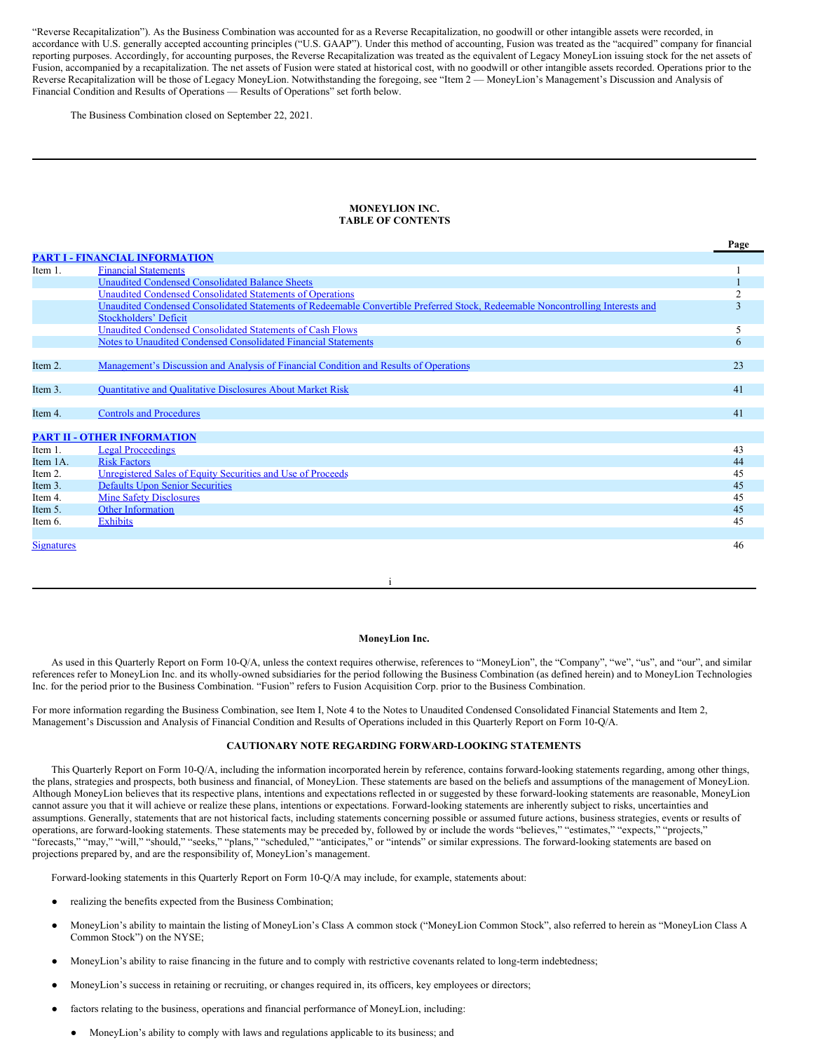"Reverse Recapitalization"). As the Business Combination was accounted for as a Reverse Recapitalization, no goodwill or other intangible assets were recorded, in accordance with U.S. generally accepted accounting principles ("U.S. GAAP"). Under this method of accounting, Fusion was treated as the "acquired" company for financial reporting purposes. Accordingly, for accounting purposes, the Reverse Recapitalization was treated as the equivalent of Legacy MoneyLion issuing stock for the net assets of Fusion, accompanied by a recapitalization. The net assets of Fusion were stated at historical cost, with no goodwill or other intangible assets recorded. Operations prior to the Reverse Recapitalization will be those of Legacy MoneyLion. Notwithstanding the foregoing, see "Item 2 — MoneyLion's Management's Discussion and Analysis of Financial Condition and Results of Operations — Results of Operations" set forth below.

The Business Combination closed on September 22, 2021.

#### **MONEYLION INC. TABLE OF CONTENTS**

|                   |                                                                                                                                | Page |
|-------------------|--------------------------------------------------------------------------------------------------------------------------------|------|
|                   | <b>PART I - FINANCIAL INFORMATION</b>                                                                                          |      |
| Item 1.           | <b>Financial Statements</b>                                                                                                    |      |
|                   | <b>Unaudited Condensed Consolidated Balance Sheets</b>                                                                         |      |
|                   | Unaudited Condensed Consolidated Statements of Operations                                                                      | 2    |
|                   | Unaudited Condensed Consolidated Statements of Redeemable Convertible Preferred Stock, Redeemable Noncontrolling Interests and | 3    |
|                   | <b>Stockholders' Deficit</b>                                                                                                   |      |
|                   | Unaudited Condensed Consolidated Statements of Cash Flows                                                                      | 5    |
|                   | Notes to Unaudited Condensed Consolidated Financial Statements                                                                 | 6    |
|                   |                                                                                                                                |      |
| Item 2.           | Management's Discussion and Analysis of Financial Condition and Results of Operations                                          | 23   |
|                   |                                                                                                                                |      |
| Item 3.           | <b>Quantitative and Qualitative Disclosures About Market Risk</b>                                                              | 41   |
|                   |                                                                                                                                |      |
| Item 4.           | <b>Controls and Procedures</b>                                                                                                 | 41   |
|                   |                                                                                                                                |      |
|                   | <b>PART II - OTHER INFORMATION</b>                                                                                             |      |
| Item 1.           | <b>Legal Proceedings</b>                                                                                                       | 43   |
| Item 1A.          | <b>Risk Factors</b>                                                                                                            | 44   |
| Item 2.           | Unregistered Sales of Equity Securities and Use of Proceeds                                                                    | 45   |
| Item 3.           | <b>Defaults Upon Senior Securities</b>                                                                                         | 45   |
| Item 4.           | <b>Mine Safety Disclosures</b>                                                                                                 | 45   |
| Item 5.           | <b>Other Information</b>                                                                                                       | 45   |
| Item 6.           | <b>Exhibits</b>                                                                                                                | 45   |
|                   |                                                                                                                                |      |
| <b>Signatures</b> |                                                                                                                                | 46   |
|                   |                                                                                                                                |      |

#### **MoneyLion Inc.**

i

As used in this Quarterly Report on Form 10-Q/A, unless the context requires otherwise, references to "MoneyLion", the "Company", "we", "us", and "our", and similar references refer to MoneyLion Inc. and its wholly-owned subsidiaries for the period following the Business Combination (as defined herein) and to MoneyLion Technologies Inc. for the period prior to the Business Combination. "Fusion" refers to Fusion Acquisition Corp. prior to the Business Combination.

For more information regarding the Business Combination, see Item I, Note 4 to the Notes to Unaudited Condensed Consolidated Financial Statements and Item 2, Management's Discussion and Analysis of Financial Condition and Results of Operations included in this Quarterly Report on Form 10-Q/A.

# **CAUTIONARY NOTE REGARDING FORWARD-LOOKING STATEMENTS**

This Quarterly Report on Form 10-Q/A, including the information incorporated herein by reference, contains forward-looking statements regarding, among other things, the plans, strategies and prospects, both business and financial, of MoneyLion. These statements are based on the beliefs and assumptions of the management of MoneyLion. Although MoneyLion believes that its respective plans, intentions and expectations reflected in or suggested by these forward-looking statements are reasonable, MoneyLion cannot assure you that it will achieve or realize these plans, intentions or expectations. Forward-looking statements are inherently subject to risks, uncertainties and assumptions. Generally, statements that are not historical facts, including statements concerning possible or assumed future actions, business strategies, events or results of operations, are forward-looking statements. These statements may be preceded by, followed by or include the words "believes," "estimates," "expects," "projects," "forecasts," "may," "will," "should," "seeks," "plans," "scheduled," "anticipates," or "intends" or similar expressions. The forward-looking statements are based on projections prepared by, and are the responsibility of, MoneyLion's management.

Forward-looking statements in this Quarterly Report on Form 10-Q/A may include, for example, statements about:

- realizing the benefits expected from the Business Combination;
- MoneyLion's ability to maintain the listing of MoneyLion's Class A common stock ("MoneyLion Common Stock", also referred to herein as "MoneyLion Class A Common Stock") on the NYSE;
- MoneyLion's ability to raise financing in the future and to comply with restrictive covenants related to long-term indebtedness;
- MoneyLion's success in retaining or recruiting, or changes required in, its officers, key employees or directors;
- factors relating to the business, operations and financial performance of MoneyLion, including:
	- MoneyLion's ability to comply with laws and regulations applicable to its business; and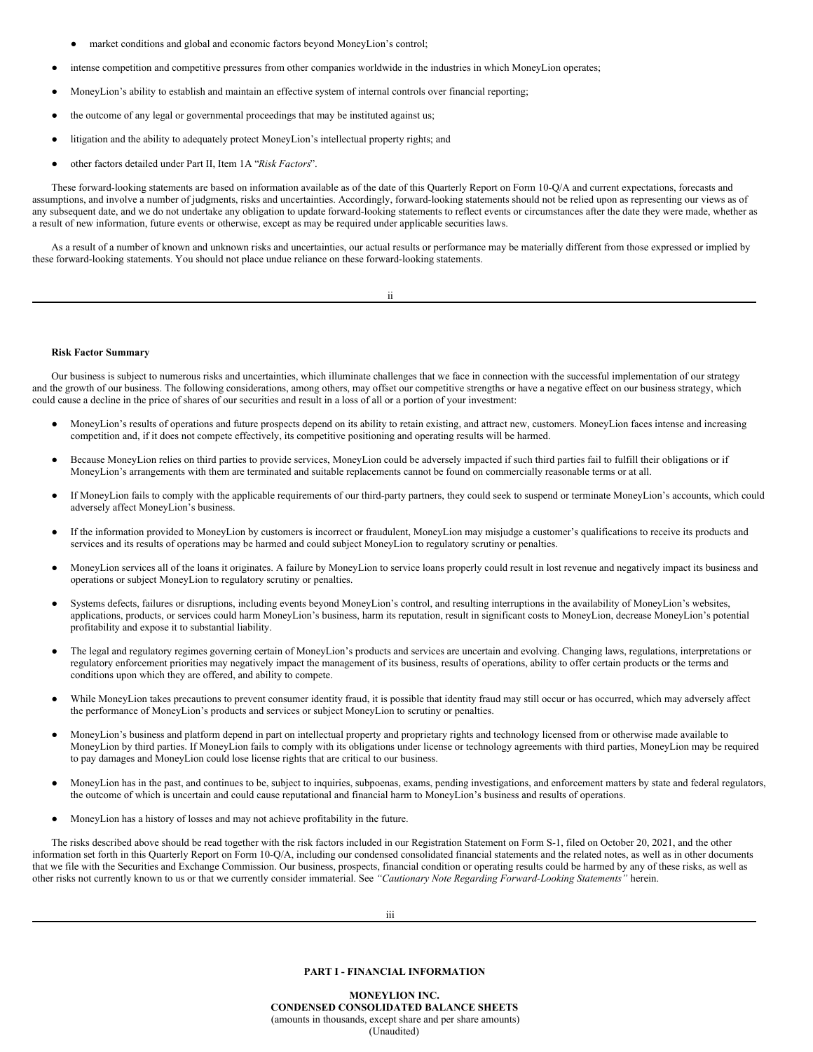- market conditions and global and economic factors beyond MoneyLion's control;
- intense competition and competitive pressures from other companies worldwide in the industries in which MoneyLion operates;
- MoneyLion's ability to establish and maintain an effective system of internal controls over financial reporting;
- the outcome of any legal or governmental proceedings that may be instituted against us;
- litigation and the ability to adequately protect MoneyLion's intellectual property rights; and
- other factors detailed under Part II, Item 1A "*Risk Factors*".

These forward-looking statements are based on information available as of the date of this Quarterly Report on Form 10-Q/A and current expectations, forecasts and assumptions, and involve a number of judgments, risks and uncertainties. Accordingly, forward-looking statements should not be relied upon as representing our views as of any subsequent date, and we do not undertake any obligation to update forward-looking statements to reflect events or circumstances after the date they were made, whether as a result of new information, future events or otherwise, except as may be required under applicable securities laws.

As a result of a number of known and unknown risks and uncertainties, our actual results or performance may be materially different from those expressed or implied by these forward-looking statements. You should not place undue reliance on these forward-looking statements.

|  | ٠ |  |
|--|---|--|
|  |   |  |
|  |   |  |
|  |   |  |

#### **Risk Factor Summary**

Our business is subject to numerous risks and uncertainties, which illuminate challenges that we face in connection with the successful implementation of our strategy and the growth of our business. The following considerations, among others, may offset our competitive strengths or have a negative effect on our business strategy, which could cause a decline in the price of shares of our securities and result in a loss of all or a portion of your investment:

- MoneyLion's results of operations and future prospects depend on its ability to retain existing, and attract new, customers. MoneyLion faces intense and increasing competition and, if it does not compete effectively, its competitive positioning and operating results will be harmed.
- Because MoneyLion relies on third parties to provide services, MoneyLion could be adversely impacted if such third parties fail to fulfill their obligations or if MoneyLion's arrangements with them are terminated and suitable replacements cannot be found on commercially reasonable terms or at all.
- If MoneyLion fails to comply with the applicable requirements of our third-party partners, they could seek to suspend or terminate MoneyLion's accounts, which could adversely affect MoneyLion's business.
- If the information provided to MoneyLion by customers is incorrect or fraudulent, MoneyLion may misjudge a customer's qualifications to receive its products and services and its results of operations may be harmed and could subject MoneyLion to regulatory scrutiny or penalties.
- MoneyLion services all of the loans it originates. A failure by MoneyLion to service loans properly could result in lost revenue and negatively impact its business and operations or subject MoneyLion to regulatory scrutiny or penalties.
- Systems defects, failures or disruptions, including events beyond MoneyLion's control, and resulting interruptions in the availability of MoneyLion's websites, applications, products, or services could harm MoneyLion's business, harm its reputation, result in significant costs to MoneyLion, decrease MoneyLion's potential profitability and expose it to substantial liability.
- The legal and regulatory regimes governing certain of MoneyLion's products and services are uncertain and evolving. Changing laws, regulations, interpretations or regulatory enforcement priorities may negatively impact the management of its business, results of operations, ability to offer certain products or the terms and conditions upon which they are offered, and ability to compete.
- While MoneyLion takes precautions to prevent consumer identity fraud, it is possible that identity fraud may still occur or has occurred, which may adversely affect the performance of MoneyLion's products and services or subject MoneyLion to scrutiny or penalties.
- MoneyLion's business and platform depend in part on intellectual property and proprietary rights and technology licensed from or otherwise made available to MoneyLion by third parties. If MoneyLion fails to comply with its obligations under license or technology agreements with third parties, MoneyLion may be required to pay damages and MoneyLion could lose license rights that are critical to our business.
- MoneyLion has in the past, and continues to be, subject to inquiries, subpoenas, exams, pending investigations, and enforcement matters by state and federal regulators, the outcome of which is uncertain and could cause reputational and financial harm to MoneyLion's business and results of operations.
- MoneyLion has a history of losses and may not achieve profitability in the future.

The risks described above should be read together with the risk factors included in our Registration Statement on Form S-1, filed on October 20, 2021, and the other information set forth in this Quarterly Report on Form 10-Q/A, including our condensed consolidated financial statements and the related notes, as well as in other documents that we file with the Securities and Exchange Commission. Our business, prospects, financial condition or operating results could be harmed by any of these risks, as well as other risks not currently known to us or that we currently consider immaterial. See *"Cautionary Note Regarding Forward-Looking Statements"* herein.

# **PART I - FINANCIAL INFORMATION**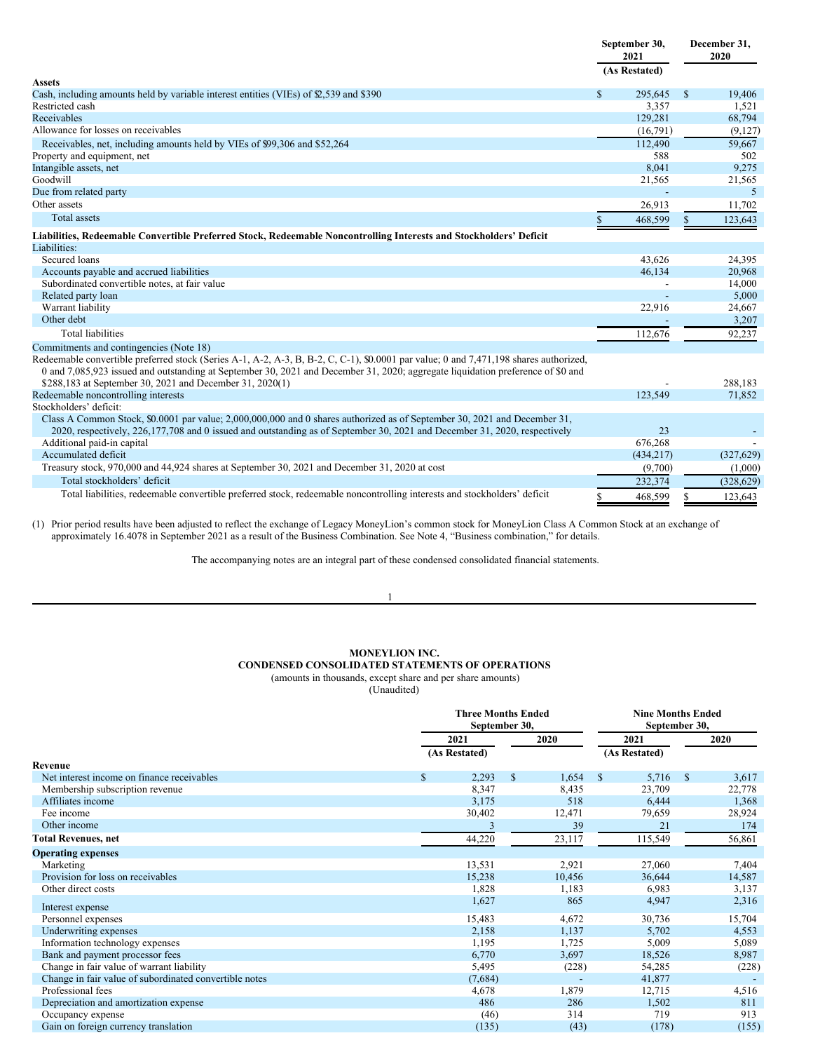|                                                                                                                                                                                                                                                                          |              | September 30,<br>2021 |              | December 31,<br>2020 |
|--------------------------------------------------------------------------------------------------------------------------------------------------------------------------------------------------------------------------------------------------------------------------|--------------|-----------------------|--------------|----------------------|
| <b>Assets</b>                                                                                                                                                                                                                                                            |              | (As Restated)         |              |                      |
| Cash, including amounts held by variable interest entities (VIEs) of $\mathcal{L}$ , 539 and \$390                                                                                                                                                                       | $\mathbb{S}$ | 295.645               | <sup>S</sup> | 19,406               |
| Restricted cash                                                                                                                                                                                                                                                          |              | 3,357                 |              | 1,521                |
| Receivables                                                                                                                                                                                                                                                              |              | 129,281               |              | 68,794               |
| Allowance for losses on receivables                                                                                                                                                                                                                                      |              | (16,791)              |              | (9,127)              |
| Receivables, net, including amounts held by VIEs of \$99,306 and \$52,264                                                                                                                                                                                                |              | 112,490               |              | 59,667               |
| Property and equipment, net                                                                                                                                                                                                                                              |              | 588                   |              | 502                  |
| Intangible assets, net                                                                                                                                                                                                                                                   |              | 8.041                 |              | 9,275                |
| Goodwill                                                                                                                                                                                                                                                                 |              | 21,565                |              | 21,565               |
| Due from related party                                                                                                                                                                                                                                                   |              |                       |              | 5                    |
| Other assets                                                                                                                                                                                                                                                             |              | 26,913                |              | 11,702               |
| <b>Total assets</b>                                                                                                                                                                                                                                                      |              | 468,599               |              | 123,643              |
| Liabilities, Redeemable Convertible Preferred Stock, Redeemable Noncontrolling Interests and Stockholders' Deficit                                                                                                                                                       |              |                       |              |                      |
| Liabilities:                                                                                                                                                                                                                                                             |              |                       |              |                      |
| Secured loans                                                                                                                                                                                                                                                            |              | 43.626                |              | 24,395               |
| Accounts payable and accrued liabilities                                                                                                                                                                                                                                 |              | 46,134                |              | 20,968               |
| Subordinated convertible notes, at fair value                                                                                                                                                                                                                            |              |                       |              | 14,000               |
| Related party loan                                                                                                                                                                                                                                                       |              |                       |              | 5,000                |
| Warrant liability                                                                                                                                                                                                                                                        |              | 22,916                |              | 24,667               |
| Other debt                                                                                                                                                                                                                                                               |              |                       |              | 3,207                |
| <b>Total liabilities</b>                                                                                                                                                                                                                                                 |              | 112,676               |              | 92,237               |
| Commitments and contingencies (Note 18)                                                                                                                                                                                                                                  |              |                       |              |                      |
| Redeemable convertible preferred stock (Series A-1, A-2, A-3, B, B-2, C, C-1), \$0.0001 par value; 0 and 7,471,198 shares authorized,<br>0 and 7,085,923 issued and outstanding at September 30, 2021 and December 31, 2020; aggregate liquidation preference of \$0 and |              |                       |              |                      |
| \$288,183 at September 30, 2021 and December 31, 2020(1)                                                                                                                                                                                                                 |              |                       |              | 288,183              |
| Redeemable noncontrolling interests                                                                                                                                                                                                                                      |              | 123,549               |              | 71,852               |
| Stockholders' deficit:                                                                                                                                                                                                                                                   |              |                       |              |                      |
| Class A Common Stock, \$0.0001 par value; 2,000,000,000 and 0 shares authorized as of September 30, 2021 and December 31,<br>2020, respectively, 226,177,708 and 0 issued and outstanding as of September 30, 2021 and December 31, 2020, respectively                   |              | 23                    |              |                      |
| Additional paid-in capital                                                                                                                                                                                                                                               |              | 676,268               |              |                      |
| Accumulated deficit                                                                                                                                                                                                                                                      |              | (434, 217)            |              | (327, 629)           |
| Treasury stock, 970,000 and 44,924 shares at September 30, 2021 and December 31, 2020 at cost                                                                                                                                                                            |              | (9,700)               |              | (1,000)              |
| Total stockholders' deficit                                                                                                                                                                                                                                              |              | 232,374               |              | (328, 629)           |
| Total liabilities, redeemable convertible preferred stock, redeemable noncontrolling interests and stockholders' deficit                                                                                                                                                 |              | 468,599               |              | 123,643              |
|                                                                                                                                                                                                                                                                          |              |                       |              |                      |

(1) Prior period results have been adjusted to reflect the exchange of Legacy MoneyLion's common stock for MoneyLion Class A Common Stock at an exchange of approximately 16.4078 in September 2021 as a result of the Business Combination. See Note 4, "Business combination," for details.

The accompanying notes are an integral part of these condensed consolidated financial statements.

#### 1

# **MONEYLION INC.**

# **CONDENSED CONSOLIDATED STATEMENTS OF OPERATIONS** (amounts in thousands, except share and per share amounts)

|                                                        | <b>Three Months Ended</b><br>September 30, |    |        | <b>Nine Months Ended</b><br>September 30, |              |        |
|--------------------------------------------------------|--------------------------------------------|----|--------|-------------------------------------------|--------------|--------|
|                                                        | 2021                                       |    | 2020   | 2021                                      |              | 2020   |
|                                                        | (As Restated)                              |    |        | (As Restated)                             |              |        |
| Revenue                                                |                                            |    |        |                                           |              |        |
| Net interest income on finance receivables             | \$<br>2,293                                | \$ | 1,654  | 5,716<br>\$                               | $\mathbf{s}$ | 3,617  |
| Membership subscription revenue                        | 8,347                                      |    | 8,435  | 23,709                                    |              | 22,778 |
| Affiliates income                                      | 3,175                                      |    | 518    | 6,444                                     |              | 1,368  |
| Fee income                                             | 30,402                                     |    | 12,471 | 79,659                                    |              | 28,924 |
| Other income                                           |                                            |    | 39     | 21                                        |              | 174    |
| <b>Total Revenues, net</b>                             | 44,220                                     |    | 23,117 | 115,549                                   |              | 56,861 |
| <b>Operating expenses</b>                              |                                            |    |        |                                           |              |        |
| Marketing                                              | 13,531                                     |    | 2,921  | 27,060                                    |              | 7,404  |
| Provision for loss on receivables                      | 15,238                                     |    | 10,456 | 36,644                                    |              | 14,587 |
| Other direct costs                                     | 1,828                                      |    | 1,183  | 6,983                                     |              | 3,137  |
| Interest expense                                       | 1,627                                      |    | 865    | 4,947                                     |              | 2,316  |
| Personnel expenses                                     | 15,483                                     |    | 4,672  | 30,736                                    |              | 15,704 |
| Underwriting expenses                                  | 2,158                                      |    | 1,137  | 5,702                                     |              | 4,553  |
| Information technology expenses                        | 1,195                                      |    | 1,725  | 5,009                                     |              | 5,089  |
| Bank and payment processor fees                        | 6,770                                      |    | 3,697  | 18,526                                    |              | 8,987  |
| Change in fair value of warrant liability              | 5,495                                      |    | (228)  | 54,285                                    |              | (228)  |
| Change in fair value of subordinated convertible notes | (7,684)                                    |    |        | 41,877                                    |              |        |
| Professional fees                                      | 4,678                                      |    | 1,879  | 12,715                                    |              | 4,516  |
| Depreciation and amortization expense                  | 486                                        |    | 286    | 1,502                                     |              | 811    |
| Occupancy expense                                      | (46)                                       |    | 314    | 719                                       |              | 913    |
| Gain on foreign currency translation                   | (135)                                      |    | (43)   | (178)                                     |              | (155)  |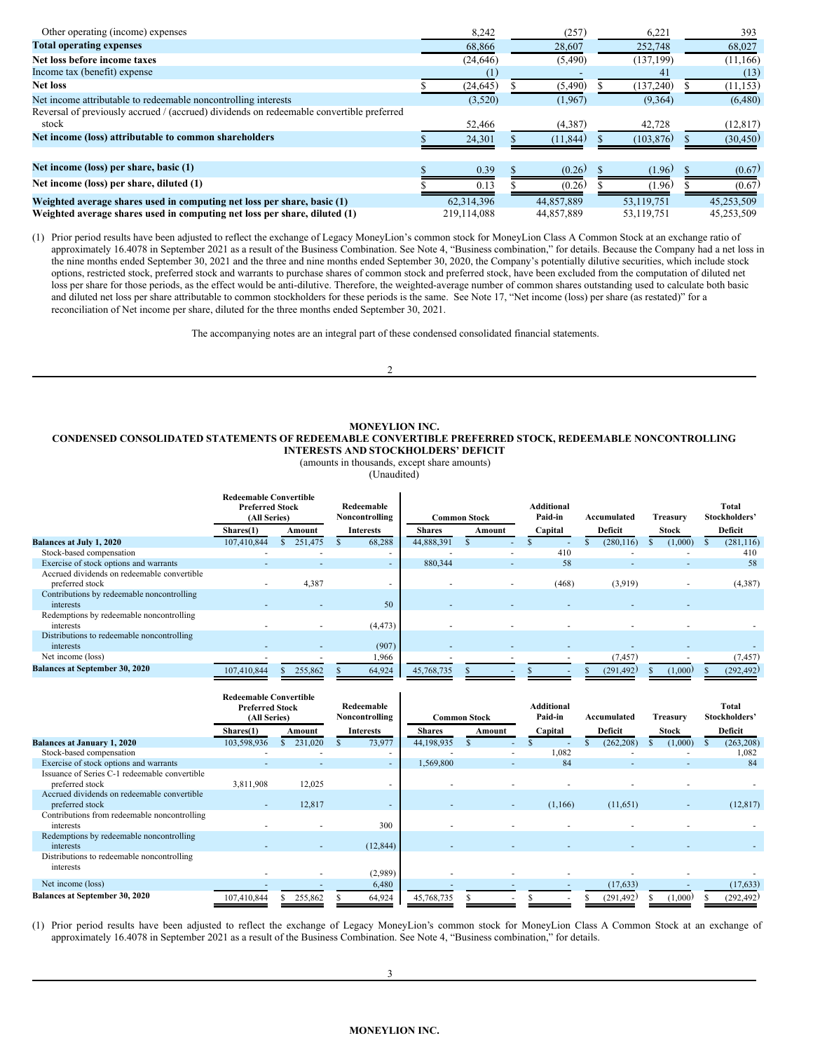| Other operating (income) expenses                                                        | 8,242       | (257)      | 6,221      | 393        |
|------------------------------------------------------------------------------------------|-------------|------------|------------|------------|
| <b>Total operating expenses</b>                                                          | 68,866      | 28,607     | 252,748    | 68,027     |
| Net loss before income taxes                                                             | (24, 646)   | (5,490)    | (137, 199) | (11,166)   |
| Income tax (benefit) expense                                                             |             |            | 41         | (13)       |
| <b>Net loss</b>                                                                          | (24, 645)   | (5,490)    | (137, 240) | (11, 153)  |
| Net income attributable to redeemable noncontrolling interests                           | (3,520)     | (1,967)    | (9,364)    | (6,480)    |
| Reversal of previously accrued / (accrued) dividends on redeemable convertible preferred |             |            |            |            |
| stock                                                                                    | 52,466      | (4,387)    | 42,728     | (12, 817)  |
| Net income (loss) attributable to common shareholders                                    | 24,301      | (11, 844)  | (103, 876) | (30, 450)  |
| Net income (loss) per share, basic (1)                                                   | 0.39        | (0.26)     | (1.96)     | (0.67)     |
| Net income (loss) per share, diluted (1)                                                 | 0.13        | (0.26)     | (1.96)     | (0.67)     |
| Weighted average shares used in computing net loss per share, basic (1)                  | 62,314,396  | 44,857,889 | 53,119,751 | 45,253,509 |
| Weighted average shares used in computing net loss per share, diluted (1)                | 219.114.088 | 44,857,889 | 53,119,751 | 45,253,509 |

(1) Prior period results have been adjusted to reflect the exchange of Legacy MoneyLion's common stock for MoneyLion Class A Common Stock at an exchange ratio of approximately 16.4078 in September 2021 as a result of the Business Combination. See Note 4, "Business combination," for details. Because the Company had a net loss in the nine months ended September 30, 2021 and the three and nine months ended September 30, 2020, the Company's potentially dilutive securities, which include stock options, restricted stock, preferred stock and warrants to purchase shares of common stock and preferred stock, have been excluded from the computation of diluted net loss per share for those periods, as the effect would be anti-dilutive. Therefore, the weighted-average number of common shares outstanding used to calculate both basic and diluted net loss per share attributable to common stockholders for these periods is the same. See Note 17, "Net income (loss) per share (as restated)" for a reconciliation of Net income per share, diluted for the three months ended September 30, 2021.

The accompanying notes are an integral part of these condensed consolidated financial statements.

 $\mathcal{L}$ 

# **MONEYLION INC. CONDENSED CONSOLIDATED STATEMENTS OF REDEEMABLE CONVERTIBLE PREFERRED STOCK, REDEEMABLE NONCONTROLLING INTERESTS AND STOCKHOLDERS' DEFICIT**

(amounts in thousands, except share amounts)

(Unaudited)

|                                             | <b>Redeemable Convertible</b>          |         |                              |                     |        |        |                              |  |             |          |         |                        |
|---------------------------------------------|----------------------------------------|---------|------------------------------|---------------------|--------|--------|------------------------------|--|-------------|----------|---------|------------------------|
|                                             | <b>Preferred Stock</b><br>(All Series) |         | Redeemable<br>Noncontrolling | <b>Common Stock</b> |        |        | <b>Additional</b><br>Paid-in |  | Accumulated | Treasurv |         | Total<br>Stockholders' |
|                                             |                                        |         |                              | <b>Shares</b>       |        |        |                              |  | Deficit     |          |         |                        |
|                                             | Shares(1)                              | Amount  | <b>Interests</b>             |                     | Amount |        | Capital                      |  |             |          | Stock   | Deficit                |
| <b>Balances at July 1, 2020</b>             | 107,410,844                            | 251,475 | 68,288                       | 44,888,391          |        |        |                              |  | (280, 116)  |          | (1,000) | (281, 116)             |
| Stock-based compensation                    |                                        |         |                              |                     |        | $\sim$ | 410                          |  | ۰           |          |         | 410                    |
| Exercise of stock options and warrants      |                                        |         |                              | 880,344             |        | ٠      | 58                           |  |             |          |         | 58                     |
| Accrued dividends on redeemable convertible |                                        |         |                              |                     |        |        |                              |  |             |          |         |                        |
| preferred stock                             |                                        | 4,387   |                              |                     |        |        | (468)                        |  | (3,919)     |          |         | (4,387)                |
| Contributions by redeemable noncontrolling  |                                        |         |                              |                     |        |        |                              |  |             |          |         |                        |
| interests                                   |                                        |         | 50                           |                     |        |        |                              |  |             |          |         |                        |
| Redemptions by redeemable noncontrolling    |                                        |         |                              |                     |        |        |                              |  |             |          |         |                        |
| interests                                   |                                        |         | (4, 473)                     |                     |        |        |                              |  |             |          |         |                        |
| Distributions to redeemable noncontrolling  |                                        |         |                              |                     |        |        |                              |  |             |          |         |                        |
| interests                                   |                                        |         | (907)                        |                     |        |        |                              |  |             |          |         |                        |
| Net income (loss)                           |                                        |         | 1,966                        |                     |        |        |                              |  | (7, 457)    |          |         | (7, 457)               |
| <b>Balances at September 30, 2020</b>       | 107,410,844                            | 255,862 | 64,924                       | 45,768,735          |        |        |                              |  | (291, 492)  |          | (1,000) | (292, 492)             |

|                                               | <b>Redeemable Convertible</b><br><b>Preferred Stock</b><br>(All Series) |         | Redeemable<br>Noncontrolling |               | <b>Common Stock</b>      | Additional<br>Paid-in | Accumulated | Treasury     | Total<br>Stockholders' |
|-----------------------------------------------|-------------------------------------------------------------------------|---------|------------------------------|---------------|--------------------------|-----------------------|-------------|--------------|------------------------|
|                                               | Shares(1)                                                               | Amount  | <b>Interests</b>             | <b>Shares</b> | Amount                   | Capital               | Deficit     | <b>Stock</b> | Deficit                |
| <b>Balances at January 1, 2020</b>            | 103,598,936                                                             | 231,020 | 73,977                       | 44,198,935    |                          |                       | (262, 208)  | (1,000)      | (263, 208)             |
| Stock-based compensation                      |                                                                         |         |                              |               | $\overline{\phantom{a}}$ | 1,082                 |             |              | 1,082                  |
| Exercise of stock options and warrants        |                                                                         |         | ۰.                           | 1,569,800     | $\overline{\phantom{a}}$ | 84                    |             |              | 84                     |
| Issuance of Series C-1 redeemable convertible |                                                                         |         |                              |               |                          |                       |             |              |                        |
| preferred stock                               | 3,811,908                                                               | 12,025  |                              |               |                          |                       |             |              |                        |
| Accrued dividends on redeemable convertible   |                                                                         |         |                              |               |                          |                       |             |              |                        |
| preferred stock                               |                                                                         | 12,817  |                              |               | $\overline{\phantom{a}}$ | (1,166)               | (11,651)    |              | (12, 817)              |
| Contributions from redeemable noncontrolling  |                                                                         |         |                              |               |                          |                       |             |              |                        |
| interests                                     |                                                                         |         | 300                          |               |                          |                       |             |              |                        |
| Redemptions by redeemable noncontrolling      |                                                                         |         |                              |               |                          |                       |             |              |                        |
| interests                                     |                                                                         |         | (12, 844)                    |               |                          |                       |             |              |                        |
| Distributions to redeemable noncontrolling    |                                                                         |         |                              |               |                          |                       |             |              |                        |
| interests                                     |                                                                         |         |                              |               |                          |                       |             |              |                        |
|                                               |                                                                         |         | (2,989)                      |               |                          |                       |             |              |                        |
| Net income (loss)                             |                                                                         |         | 6,480                        |               |                          |                       | (17, 633)   |              | (17, 633)              |
| <b>Balances at September 30, 2020</b>         | 107,410,844                                                             | 255,862 | 64,924                       | 45,768,735    |                          |                       | (291, 492)  | (1,000)      | (292, 492)             |

(1) Prior period results have been adjusted to reflect the exchange of Legacy MoneyLion's common stock for MoneyLion Class A Common Stock at an exchange of approximately 16.4078 in September 2021 as a result of the Business Combination. See Note 4, "Business combination," for details.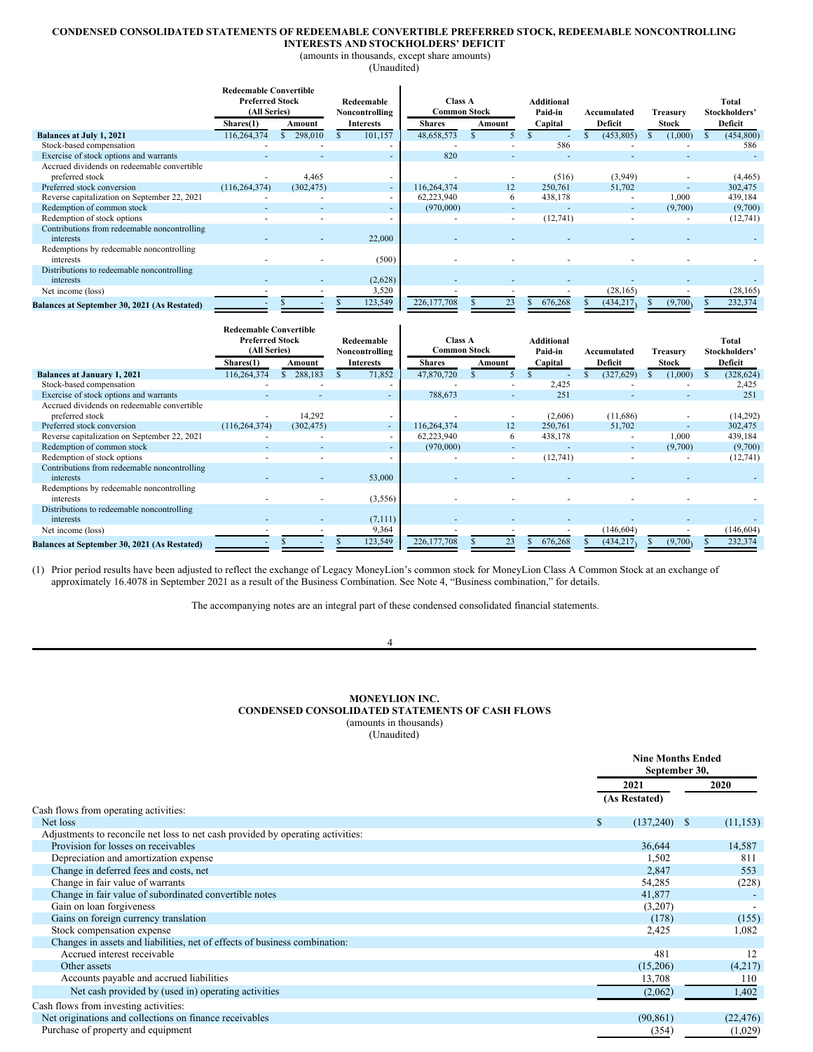# **CONDENSED CONSOLIDATED STATEMENTS OF REDEEMABLE CONVERTIBLE PREFERRED STOCK, REDEEMABLE NONCONTROLLING**

**INTERESTS AND STOCKHOLDERS' DEFICIT** (amounts in thousands, except share amounts)

(Unaudited)

|                                              | <b>Redeemable Convertible</b>          |            |                              |                                       |                          |                              |             |              |                        |  |
|----------------------------------------------|----------------------------------------|------------|------------------------------|---------------------------------------|--------------------------|------------------------------|-------------|--------------|------------------------|--|
|                                              | <b>Preferred Stock</b><br>(All Series) |            | Redeemable<br>Noncontrolling | <b>Class A</b><br><b>Common Stock</b> |                          | <b>Additional</b><br>Paid-in | Accumulated | Treasury     | Total<br>Stockholders' |  |
|                                              | Shares(1)                              | Amount     | <b>Interests</b>             | <b>Shares</b>                         | Amount                   | Capital                      | Deficit     | <b>Stock</b> | Deficit                |  |
| Balances at July 1, 2021                     | 116,264,374                            | 298,010    | 101,157                      | 48,658,573                            |                          |                              | (453, 805)  | (1,000)      | (454, 800)             |  |
| Stock-based compensation                     |                                        |            |                              |                                       |                          | 586                          |             |              | 586                    |  |
| Exercise of stock options and warrants       |                                        |            |                              | 820                                   |                          |                              |             |              |                        |  |
| Accrued dividends on redeemable convertible  |                                        |            |                              |                                       |                          |                              |             |              |                        |  |
| preferred stock                              |                                        | 4,465      |                              |                                       |                          | (516)                        | (3,949)     |              | (4, 465)               |  |
| Preferred stock conversion                   | (116, 264, 374)                        | (302, 475) |                              | 116,264,374                           | 12                       | 250,761                      | 51,702      |              | 302,475                |  |
| Reverse capitalization on September 22, 2021 |                                        |            |                              | 62,223,940                            | 6                        | 438,178                      |             | 1,000        | 439,184                |  |
| Redemption of common stock                   |                                        |            |                              | (970,000)                             | $\overline{\phantom{a}}$ |                              | $\sim$      | (9,700)      | (9,700)                |  |
| Redemption of stock options                  |                                        |            |                              |                                       |                          | (12,741)                     |             |              | (12,741)               |  |
| Contributions from redeemable noncontrolling |                                        |            |                              |                                       |                          |                              |             |              |                        |  |
| interests                                    |                                        |            | 22,000                       |                                       |                          |                              |             |              |                        |  |
| Redemptions by redeemable noncontrolling     |                                        |            |                              |                                       |                          |                              |             |              |                        |  |
| interests                                    |                                        |            | (500)                        |                                       |                          |                              |             |              |                        |  |
| Distributions to redeemable noncontrolling   |                                        |            |                              |                                       |                          |                              |             |              |                        |  |
| interests                                    |                                        |            | (2,628)                      |                                       |                          |                              |             |              |                        |  |
| Net income (loss)                            |                                        |            | 3,520                        |                                       |                          |                              | (28, 165)   |              | (28, 165)              |  |
| Balances at September 30, 2021 (As Restated) |                                        |            | 123,549                      | 226, 177, 708                         | 23                       | 676,268                      | (434, 217)  | (9,700)      | 232,374                |  |

|                                              | <b>Redeemable Convertible</b> |            |                                    |                          |                                      |        |                    |                          |                          |  |                          |
|----------------------------------------------|-------------------------------|------------|------------------------------------|--------------------------|--------------------------------------|--------|--------------------|--------------------------|--------------------------|--|--------------------------|
|                                              | <b>Preferred Stock</b>        |            | Redeemable                         |                          | Class A                              |        | <b>Additional</b>  |                          |                          |  | Total                    |
|                                              | (All Series)<br>Shares(1)     | Amount     | Noncontrolling<br><b>Interests</b> |                          | <b>Common Stock</b><br><b>Shares</b> | Amount | Paid-in<br>Capital | Accumulated<br>Deficit   | Treasurv<br><b>Stock</b> |  | Stockholders'<br>Deficit |
| <b>Balances at January 1, 2021</b>           | 116.264.374                   | 288,183    |                                    | 71,852                   | 47,870,720                           |        |                    | (327, 629)               | (1,000)                  |  | (328, 624)               |
| Stock-based compensation                     |                               |            |                                    |                          |                                      |        | 2,425              |                          |                          |  | 2,425                    |
| Exercise of stock options and warrants       |                               |            |                                    |                          | 788,673                              |        | 251                |                          |                          |  | 251                      |
| Accrued dividends on redeemable convertible  |                               |            |                                    |                          |                                      |        |                    |                          |                          |  |                          |
| preferred stock                              |                               | 14,292     |                                    |                          |                                      |        | (2,606)            | (11,686)                 |                          |  | (14,292)                 |
| Preferred stock conversion                   | (116, 264, 374)               | (302, 475) |                                    | $\sim$                   | 116,264,374                          | 12     | 250,761            | 51,702                   |                          |  | 302,475                  |
| Reverse capitalization on September 22, 2021 |                               |            |                                    | $\overline{\phantom{a}}$ | 62,223,940                           | 6      | 438,178            | $\overline{\phantom{a}}$ | 1,000                    |  | 439,184                  |
| Redemption of common stock                   |                               |            |                                    |                          | (970,000)                            |        |                    |                          | (9,700)                  |  | (9,700)                  |
| Redemption of stock options                  |                               |            |                                    |                          |                                      |        | (12,741)           |                          |                          |  | (12,741)                 |
| Contributions from redeemable noncontrolling |                               |            |                                    |                          |                                      |        |                    |                          |                          |  |                          |
| interests                                    |                               |            |                                    | 53,000                   |                                      |        |                    |                          |                          |  |                          |
| Redemptions by redeemable noncontrolling     |                               |            |                                    |                          |                                      |        |                    |                          |                          |  |                          |
| interests                                    |                               |            |                                    | (3,556)                  |                                      |        |                    |                          |                          |  |                          |
| Distributions to redeemable noncontrolling   |                               |            |                                    |                          |                                      |        |                    |                          |                          |  |                          |
| interests                                    |                               |            |                                    | (7,111)                  |                                      |        |                    |                          |                          |  |                          |
| Net income (loss)                            |                               |            |                                    | 9,364                    |                                      |        |                    | (146, 604)               |                          |  | (146, 604)               |
| Balances at September 30, 2021 (As Restated) |                               |            |                                    | 123,549                  | 226, 177, 708                        |        | 676.268            | (434, 217)               | (9.700)                  |  | 232,374                  |

(1) Prior period results have been adjusted to reflect the exchange of Legacy MoneyLion's common stock for MoneyLion Class A Common Stock at an exchange of approximately 16.4078 in September 2021 as a result of the Business Combination. See Note 4, "Business combination," for details.

The accompanying notes are an integral part of these condensed consolidated financial statements.

#### 4

# **MONEYLION INC. CONDENSED CONSOLIDATED STATEMENTS OF CASH FLOWS** (amounts in thousands) (Unaudited)

|                                                                                 | <b>Nine Months Ended</b><br>September 30, |    |           |
|---------------------------------------------------------------------------------|-------------------------------------------|----|-----------|
|                                                                                 | 2021                                      |    | 2020      |
|                                                                                 | (As Restated)                             |    |           |
| Cash flows from operating activities:                                           |                                           |    |           |
| Net loss                                                                        | \$<br>(137,240)                           | -S | (11, 153) |
| Adjustments to reconcile net loss to net cash provided by operating activities: |                                           |    |           |
| Provision for losses on receivables                                             | 36,644                                    |    | 14,587    |
| Depreciation and amortization expense                                           | 1,502                                     |    | 811       |
| Change in deferred fees and costs, net                                          | 2,847                                     |    | 553       |
| Change in fair value of warrants                                                | 54,285                                    |    | (228)     |
| Change in fair value of subordinated convertible notes                          | 41,877                                    |    |           |
| Gain on loan forgiveness                                                        | (3,207)                                   |    |           |
| Gains on foreign currency translation                                           | (178)                                     |    | (155)     |
| Stock compensation expense                                                      | 2,425                                     |    | 1,082     |
| Changes in assets and liabilities, net of effects of business combination:      |                                           |    |           |
| Accrued interest receivable                                                     | 481                                       |    | 12        |
| Other assets                                                                    | (15,206)                                  |    | (4,217)   |
| Accounts payable and accrued liabilities                                        | 13,708                                    |    | 110       |
| Net cash provided by (used in) operating activities                             | (2,062)                                   |    | 1,402     |
| Cash flows from investing activities:                                           |                                           |    |           |
| Net originations and collections on finance receivables                         | (90, 861)                                 |    | (22, 476) |
| Purchase of property and equipment                                              | (354)                                     |    | (1,029)   |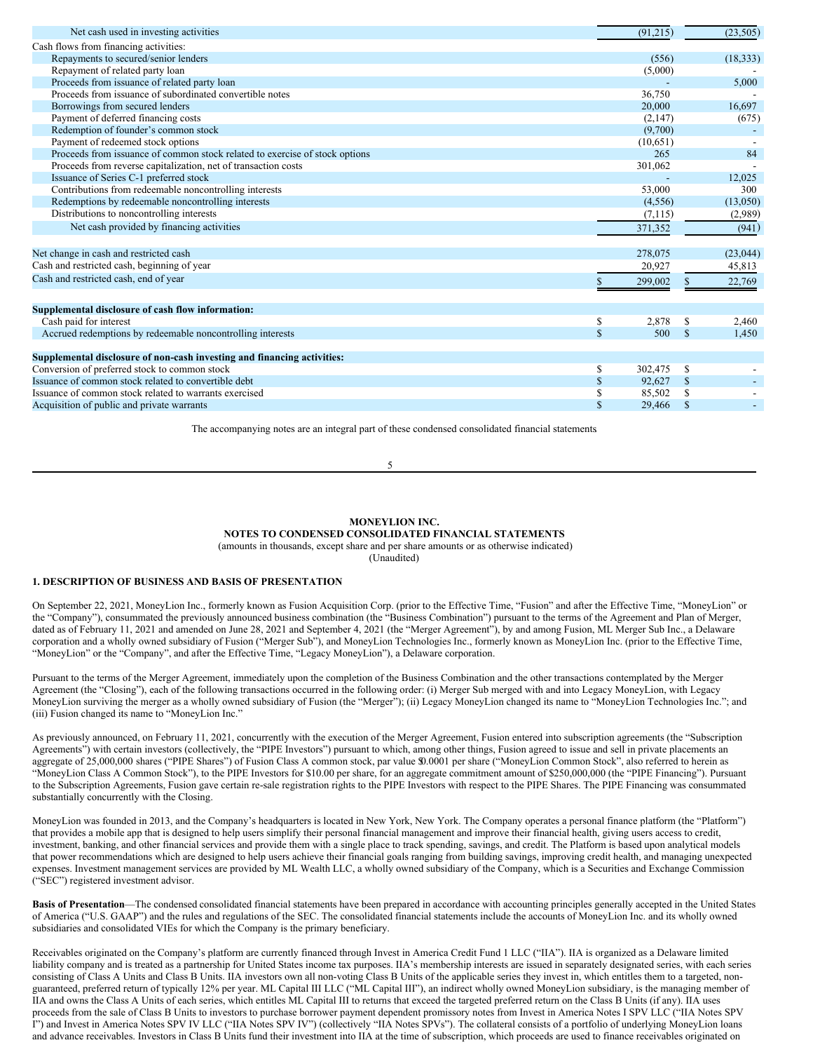| Net cash used in investing activities                                                                 | (91,215)            | (23, 505)            |
|-------------------------------------------------------------------------------------------------------|---------------------|----------------------|
| Cash flows from financing activities:                                                                 |                     |                      |
| Repayments to secured/senior lenders                                                                  | (556)               | (18, 333)            |
| Repayment of related party loan                                                                       | (5,000)             |                      |
| Proceeds from issuance of related party loan                                                          |                     | 5,000                |
| Proceeds from issuance of subordinated convertible notes                                              | 36,750              |                      |
| Borrowings from secured lenders                                                                       | 20,000              | 16,697               |
| Payment of deferred financing costs                                                                   | (2,147)             | (675)                |
| Redemption of founder's common stock                                                                  | (9,700)             |                      |
| Payment of redeemed stock options                                                                     | (10,651)            |                      |
| Proceeds from issuance of common stock related to exercise of stock options                           | 265                 | 84                   |
| Proceeds from reverse capitalization, net of transaction costs                                        | 301,062             |                      |
| Issuance of Series C-1 preferred stock                                                                |                     | 12,025               |
| Contributions from redeemable noncontrolling interests                                                | 53,000              | 300                  |
| Redemptions by redeemable noncontrolling interests                                                    | (4,556)             | (13,050)             |
| Distributions to noncontrolling interests                                                             | (7,115)             | (2,989)              |
| Net cash provided by financing activities                                                             | 371,352             | (941)                |
|                                                                                                       |                     |                      |
| Net change in cash and restricted cash                                                                | 278,075             | (23, 044)            |
| Cash and restricted cash, beginning of year                                                           | 20,927              | 45,813               |
| Cash and restricted cash, end of year                                                                 | 299,002             | 22,769               |
|                                                                                                       |                     |                      |
| Supplemental disclosure of cash flow information:                                                     |                     |                      |
| Cash paid for interest                                                                                | \$<br>2,878         | S<br>2,460           |
| Accrued redemptions by redeemable noncontrolling interests                                            | $\mathbb{S}$<br>500 | $\mathbf S$<br>1,450 |
|                                                                                                       |                     |                      |
| Supplemental disclosure of non-cash investing and financing activities:                               | \$<br>302,475       | S                    |
| Conversion of preferred stock to common stock<br>Issuance of common stock related to convertible debt | \$<br>92,627        | $\mathbf S$          |
| Issuance of common stock related to warrants exercised                                                | \$<br>85,502        | S                    |
| Acquisition of public and private warrants                                                            | \$<br>29,466        | \$                   |
|                                                                                                       |                     |                      |

The accompanying notes are an integral part of these condensed consolidated financial statements.

5

# **MONEYLION INC. NOTES TO CONDENSED CONSOLIDATED FINANCIAL STATEMENTS**

(amounts in thousands, except share and per share amounts or as otherwise indicated)

(Unaudited)

# **1. DESCRIPTION OF BUSINESS AND BASIS OF PRESENTATION**

On September 22, 2021, MoneyLion Inc., formerly known as Fusion Acquisition Corp. (prior to the Effective Time, "Fusion" and after the Effective Time, "MoneyLion" or the "Company"), consummated the previously announced business combination (the "Business Combination") pursuant to the terms of the Agreement and Plan of Merger, dated as of February 11, 2021 and amended on June 28, 2021 and September 4, 2021 (the "Merger Agreement"), by and among Fusion, ML Merger Sub Inc., a Delaware corporation and a wholly owned subsidiary of Fusion ("Merger Sub"), and MoneyLion Technologies Inc., formerly known as MoneyLion Inc. (prior to the Effective Time, "MoneyLion" or the "Company", and after the Effective Time, "Legacy MoneyLion"), a Delaware corporation.

Pursuant to the terms of the Merger Agreement, immediately upon the completion of the Business Combination and the other transactions contemplated by the Merger Agreement (the "Closing"), each of the following transactions occurred in the following order: (i) Merger Sub merged with and into Legacy MoneyLion, with Legacy MoneyLion surviving the merger as a wholly owned subsidiary of Fusion (the "Merger"); (ii) Legacy MoneyLion changed its name to "MoneyLion Technologies Inc."; and (iii) Fusion changed its name to "MoneyLion Inc."

As previously announced, on February 11, 2021, concurrently with the execution of the Merger Agreement, Fusion entered into subscription agreements (the "Subscription Agreements") with certain investors (collectively, the "PIPE Investors") pursuant to which, among other things, Fusion agreed to issue and sell in private placements an aggregate of 25,000,000 shares ("PIPE Shares") of Fusion Class A common stock, par value \$0.0001 per share ("MoneyLion Common Stock", also referred to herein as "MoneyLion Class A Common Stock"), to the PIPE Investors for \$10.00 per share, for an aggregate commitment amount of \$250,000,000 (the "PIPE Financing"). Pursuant to the Subscription Agreements, Fusion gave certain re-sale registration rights to the PIPE Investors with respect to the PIPE Shares. The PIPE Financing was consummated substantially concurrently with the Closing.

MoneyLion was founded in 2013, and the Company's headquarters is located in New York, New York. The Company operates a personal finance platform (the "Platform") that provides a mobile app that is designed to help users simplify their personal financial management and improve their financial health, giving users access to credit, investment, banking, and other financial services and provide them with a single place to track spending, savings, and credit. The Platform is based upon analytical models that power recommendations which are designed to help users achieve their financial goals ranging from building savings, improving credit health, and managing unexpected expenses. Investment management services are provided by ML Wealth LLC, a wholly owned subsidiary of the Company, which is a Securities and Exchange Commission ("SEC") registered investment advisor.

**Basis of Presentation**—The condensed consolidated financial statements have been prepared in accordance with accounting principles generally accepted in the United States of America ("U.S. GAAP") and the rules and regulations of the SEC. The consolidated financial statements include the accounts of MoneyLion Inc. and its wholly owned subsidiaries and consolidated VIEs for which the Company is the primary beneficiary.

Receivables originated on the Company's platform are currently financed through Invest in America Credit Fund 1 LLC ("IIA"). IIA is organized as a Delaware limited liability company and is treated as a partnership for United States income tax purposes. IIA's membership interests are issued in separately designated series, with each series consisting of Class A Units and Class B Units. IIA investors own all non-voting Class B Units of the applicable series they invest in, which entitles them to a targeted, nonguaranteed, preferred return of typically 12% per year. ML Capital III LLC ("ML Capital III"), an indirect wholly owned MoneyLion subsidiary, is the managing member of IIA and owns the Class A Units of each series, which entitles ML Capital III to returns that exceed the targeted preferred return on the Class B Units (if any). IIA uses proceeds from the sale of Class B Units to investors to purchase borrower payment dependent promissory notes from Invest in America Notes I SPV LLC ("IIA Notes SPV I") and Invest in America Notes SPV IV LLC ("IIA Notes SPV IV") (collectively "IIA Notes SPVs"). The collateral consists of a portfolio of underlying MoneyLion loans and advance receivables. Investors in Class B Units fund their investment into IIA at the time of subscription, which proceeds are used to finance receivables originated on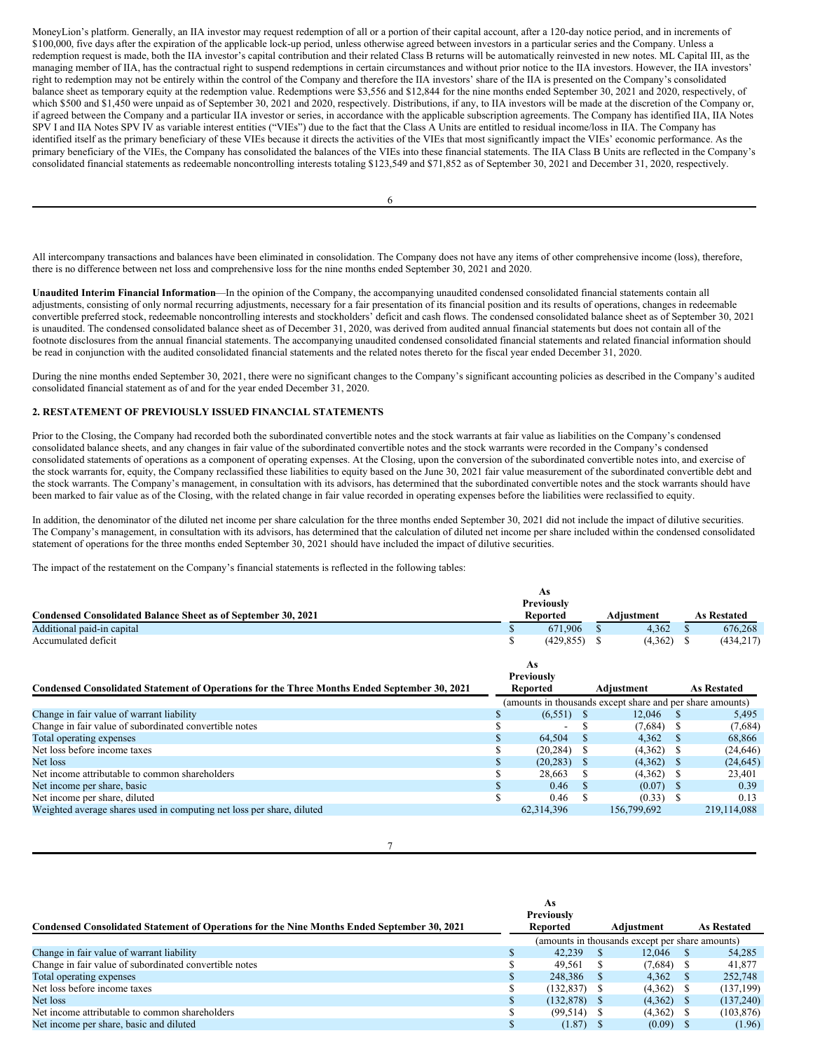MoneyLion's platform. Generally, an IIA investor may request redemption of all or a portion of their capital account, after a 120-day notice period, and in increments of \$100,000, five days after the expiration of the applicable lock-up period, unless otherwise agreed between investors in a particular series and the Company. Unless a redemption request is made, both the IIA investor's capital contribution and their related Class B returns will be automatically reinvested in new notes. ML Capital III, as the managing member of IIA, has the contractual right to suspend redemptions in certain circumstances and without prior notice to the IIA investors. However, the IIA investors' right to redemption may not be entirely within the control of the Company and therefore the IIA investors' share of the IIA is presented on the Company's consolidated balance sheet as temporary equity at the redemption value. Redemptions were \$3,556 and \$12,844 for the nine months ended September 30, 2021 and 2020, respectively, of which \$500 and \$1,450 were unpaid as of September 30, 2021 and 2020, respectively. Distributions, if any, to IIA investors will be made at the discretion of the Company or, if agreed between the Company and a particular IIA investor or series, in accordance with the applicable subscription agreements. The Company has identified IIA, IIA Notes SPV I and IIA Notes SPV IV as variable interest entities ("VIEs") due to the fact that the Class A Units are entitled to residual income/loss in IIA. The Company has identified itself as the primary beneficiary of these VIEs because it directs the activities of the VIEs that most significantly impact the VIEs' economic performance. As the primary beneficiary of the VIEs, the Company has consolidated the balances of the VIEs into these financial statements. The IIA Class B Units are reflected in the Company's consolidated financial statements as redeemable noncontrolling interests totaling \$123,549 and \$71,852 as of September 30, 2021 and December 31, 2020, respectively.

All intercompany transactions and balances have been eliminated in consolidation. The Company does not have any items of other comprehensive income (loss), therefore, there is no difference between net loss and comprehensive loss for the nine months ended September 30, 2021 and 2020.

**Unaudited Interim Financial Information**—In the opinion of the Company, the accompanying unaudited condensed consolidated financial statements contain all adjustments, consisting of only normal recurring adjustments, necessary for a fair presentation of its financial position and its results of operations, changes in redeemable convertible preferred stock, redeemable noncontrolling interests and stockholders' deficit and cash flows. The condensed consolidated balance sheet as of September 30, 2021 is unaudited. The condensed consolidated balance sheet as of December 31, 2020, was derived from audited annual financial statements but does not contain all of the footnote disclosures from the annual financial statements. The accompanying unaudited condensed consolidated financial statements and related financial information should be read in conjunction with the audited consolidated financial statements and the related notes thereto for the fiscal year ended December 31, 2020.

During the nine months ended September 30, 2021, there were no significant changes to the Company's significant accounting policies as described in the Company's audited consolidated financial statement as of and for the year ended December 31, 2020.

# **2. RESTATEMENT OF PREVIOUSLY ISSUED FINANCIAL STATEMENTS**

Prior to the Closing, the Company had recorded both the subordinated convertible notes and the stock warrants at fair value as liabilities on the Company's condensed consolidated balance sheets, and any changes in fair value of the subordinated convertible notes and the stock warrants were recorded in the Company's condensed consolidated statements of operations as a component of operating expenses. At the Closing, upon the conversion of the subordinated convertible notes into, and exercise of the stock warrants for, equity, the Company reclassified these liabilities to equity based on the June 30, 2021 fair value measurement of the subordinated convertible debt and the stock warrants. The Company's management, in consultation with its advisors, has determined that the subordinated convertible notes and the stock warrants should have been marked to fair value as of the Closing, with the related change in fair value recorded in operating expenses before the liabilities were reclassified to equity.

In addition, the denominator of the diluted net income per share calculation for the three months ended September 30, 2021 did not include the impact of dilutive securities. The Company's management, in consultation with its advisors, has determined that the calculation of diluted net income per share included within the condensed consolidated statement of operations for the three months ended September 30, 2021 should have included the impact of dilutive securities.

The impact of the restatement on the Company's financial statements is reflected in the following tables:

|                                                               | As                |            |                    |
|---------------------------------------------------------------|-------------------|------------|--------------------|
|                                                               | <b>Previously</b> |            |                    |
| Condensed Consolidated Balance Sheet as of September 30, 2021 | Reported          | Adiustment | <b>As Restated</b> |
| Additional paid-in capital                                    | 671.906           | 4.362      | 676,268            |
| Accumulated deficit                                           | (429.855)         | (4.362)    | (434, 217)         |

|                                                                                              | As                       |    |                                                           |                    |
|----------------------------------------------------------------------------------------------|--------------------------|----|-----------------------------------------------------------|--------------------|
|                                                                                              | <b>Previously</b>        |    |                                                           |                    |
| Condensed Consolidated Statement of Operations for the Three Months Ended September 30, 2021 | Reported                 |    | Adiustment                                                | <b>As Restated</b> |
|                                                                                              |                          |    | (amounts in thousands except share and per share amounts) |                    |
| Change in fair value of warrant liability                                                    | $(6,551)$ \$             |    | 12.046                                                    | 5,495              |
| Change in fair value of subordinated convertible notes                                       | $\overline{\phantom{a}}$ |    | $(7,684)$ \$                                              | (7,684)            |
| Total operating expenses                                                                     | 64.504                   | -S | $4.362 \quad$ \$                                          | 68.866             |
| Net loss before income taxes                                                                 | (20, 284)                |    | $(4,362)$ \$                                              | (24, 646)          |
| Net loss                                                                                     | $(20, 283)$ \$           |    | $(4,362)$ \$                                              | (24, 645)          |
| Net income attributable to common shareholders                                               | 28.663                   |    | $(4,362)$ \$                                              | 23,401             |
| Net income per share, basic                                                                  | 0.46                     |    | $(0.07)$ \$                                               | 0.39               |
| Net income per share, diluted                                                                | 0.46                     |    | $(0.33)$ \$                                               | 0.13               |
| Weighted average shares used in computing net loss per share, diluted                        | 62,314,396               |    | 156,799,692                                               | 219, 114, 088      |

7

|                                                                                             | Previously     |                                                 |                    |
|---------------------------------------------------------------------------------------------|----------------|-------------------------------------------------|--------------------|
| Condensed Consolidated Statement of Operations for the Nine Months Ended September 30, 2021 | Reported       | Adiustment                                      | <b>As Restated</b> |
|                                                                                             |                | (amounts in thousands except per share amounts) |                    |
| Change in fair value of warrant liability                                                   | 42.239         | 12.046                                          | 54.285             |
| Change in fair value of subordinated convertible notes                                      | 49.561         | $(7,684)$ \$                                    | 41,877             |
| Total operating expenses                                                                    | 248,386        | 4.362                                           | 252,748            |
| Net loss before income taxes                                                                | $(132.837)$ \$ | $(4,362)$ \$                                    | (137, 199)         |
| Net loss                                                                                    | (132.878)      | (4,362)                                         | (137,240)          |
| Net income attributable to common shareholders                                              | $(99, 514)$ \$ | (4,362)                                         | (103, 876)         |
| Net income per share, basic and diluted                                                     | (1.87)         | (0.09)                                          | (1.96)             |

**As**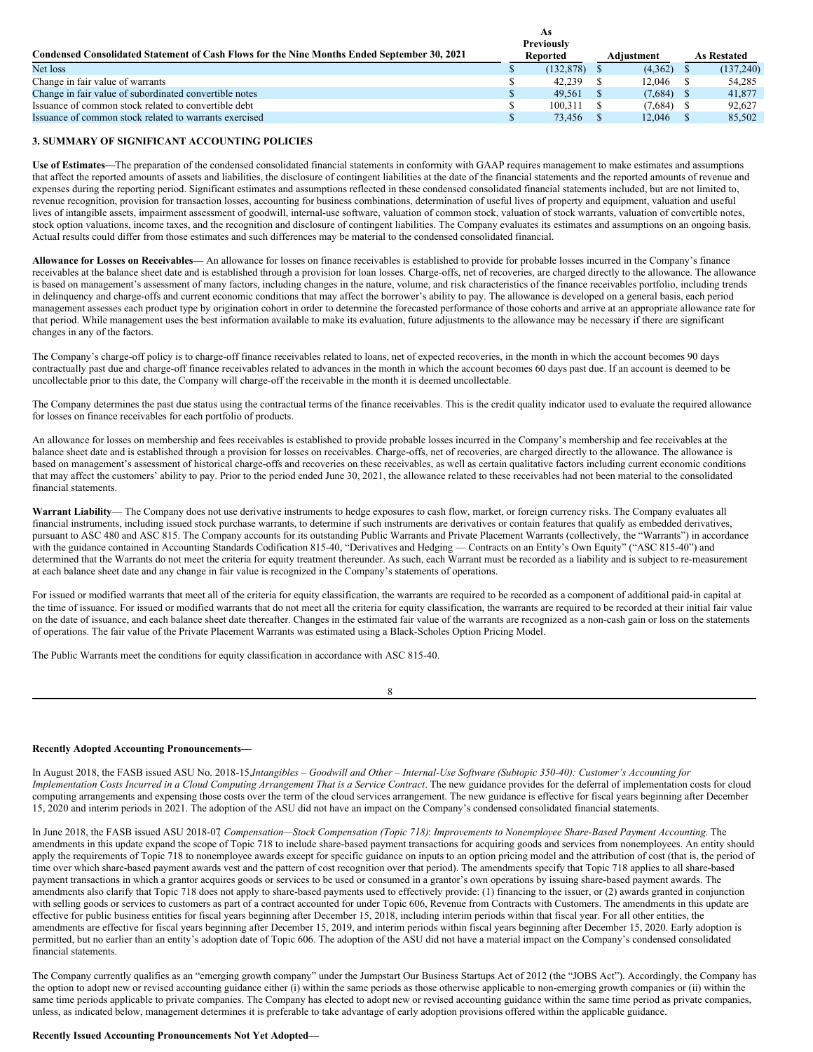|                                                                                             | As                                   |              |                    |
|---------------------------------------------------------------------------------------------|--------------------------------------|--------------|--------------------|
| Condensed Consolidated Statement of Cash Flows for the Nine Months Ended September 30, 2021 | <b>Previously</b><br><b>Reported</b> | Adiustment   | <b>As Restated</b> |
| Net loss                                                                                    | (132.878)                            | (4,362)      | (137, 240)         |
| Change in fair value of warrants                                                            | 42.239                               | 12.046       | 54.285             |
| Change in fair value of subordinated convertible notes                                      | 49.561                               | (7,684)      | 41,877             |
| Issuance of common stock related to convertible debt                                        | 100.311                              | $(7,684)$ \$ | 92.627             |
| Issuance of common stock related to warrants exercised                                      | 73.456                               | 12.046       | 85,502             |

# **3. SUMMARY OF SIGNIFICANT ACCOUNTING POLICIES**

**Use of Estimates—**The preparation of the condensed consolidated financial statements in conformity with GAAP requires management to make estimates and assumptions that affect the reported amounts of assets and liabilities, the disclosure of contingent liabilities at the date of the financial statements and the reported amounts of revenue and expenses during the reporting period. Significant estimates and assumptions reflected in these condensed consolidated financial statements included, but are not limited to, revenue recognition, provision for transaction losses, accounting for business combinations, determination of useful lives of property and equipment, valuation and useful lives of intangible assets, impairment assessment of goodwill, internal-use software, valuation of common stock, valuation of stock warrants, valuation of convertible notes, stock option valuations, income taxes, and the recognition and disclosure of contingent liabilities. The Company evaluates its estimates and assumptions on an ongoing basis. Actual results could differ from those estimates and such differences may be material to the condensed consolidated financial.

**Allowance for Losses on Receivables—** An allowance for losses on finance receivables is established to provide for probable losses incurred in the Company's finance receivables at the balance sheet date and is established through a provision for loan losses. Charge-offs, net of recoveries, are charged directly to the allowance. The allowance is based on management's assessment of many factors, including changes in the nature, volume, and risk characteristics of the finance receivables portfolio, including trends in delinquency and charge-offs and current economic conditions that may affect the borrower's ability to pay. The allowance is developed on a general basis, each period management assesses each product type by origination cohort in order to determine the forecasted performance of those cohorts and arrive at an appropriate allowance rate for that period. While management uses the best information available to make its evaluation, future adjustments to the allowance may be necessary if there are significant changes in any of the factors.

The Company's charge-off policy is to charge-off finance receivables related to loans, net of expected recoveries, in the month in which the account becomes 90 days contractually past due and charge-off finance receivables related to advances in the month in which the account becomes 60 days past due. If an account is deemed to be uncollectable prior to this date, the Company will charge-off the receivable in the month it is deemed uncollectable.

The Company determines the past due status using the contractual terms of the finance receivables. This is the credit quality indicator used to evaluate the required allowance for losses on finance receivables for each portfolio of products.

An allowance for losses on membership and fees receivables is established to provide probable losses incurred in the Company's membership and fee receivables at the balance sheet date and is established through a provision for losses on receivables. Charge-offs, net of recoveries, are charged directly to the allowance. The allowance is based on management's assessment of historical charge-offs and recoveries on these receivables, as well as certain qualitative factors including current economic conditions that may affect the customers' ability to pay. Prior to the period ended June 30, 2021, the allowance related to these receivables had not been material to the consolidated financial statements.

**Warrant Liability**— The Company does not use derivative instruments to hedge exposures to cash flow, market, or foreign currency risks. The Company evaluates all financial instruments, including issued stock purchase warrants, to determine if such instruments are derivatives or contain features that qualify as embedded derivatives, pursuant to ASC 480 and ASC 815. The Company accounts for its outstanding Public Warrants and Private Placement Warrants (collectively, the "Warrants") in accordance with the guidance contained in Accounting Standards Codification 815-40, "Derivatives and Hedging — Contracts on an Entity's Own Equity" ("ASC 815-40") and determined that the Warrants do not meet the criteria for equity treatment thereunder. As such, each Warrant must be recorded as a liability and is subject to re-measurement at each balance sheet date and any change in fair value is recognized in the Company's statements of operations.

For issued or modified warrants that meet all of the criteria for equity classification, the warrants are required to be recorded as a component of additional paid-in capital at the time of issuance. For issued or modified warrants that do not meet all the criteria for equity classification, the warrants are required to be recorded at their initial fair value on the date of issuance, and each balance sheet date thereafter. Changes in the estimated fair value of the warrants are recognized as a non-cash gain or loss on the statements of operations. The fair value of the Private Placement Warrants was estimated using a Black-Scholes Option Pricing Model.

The Public Warrants meet the conditions for equity classification in accordance with ASC 815-40.

8

#### **Recently Adopted Accounting Pronouncements—**

In August 2018, the FASB issued ASU No. 2018-15. Intangibles - Goodwill and Other - Internal-Use Software (Subtopic 350-40): Customer's Accounting for Implementation Costs Incurred in a Cloud Computing Arrangement That is a Service Contract. The new guidance provides for the deferral of implementation costs for cloud computing arrangements and expensing those costs over the term of the cloud services arrangement. The new guidance is effective for fiscal years beginning after December 15, 2020 and interim periods in 2021. The adoption of the ASU did not have an impact on the Company's condensed consolidated financial statements.

In June 2018, the FASB issued ASU 2018-07, Compensation-Stock Compensation (Topic 718): Improvements to Nonemployee Share-Based Payment Accounting. The amendments in this update expand the scope of Topic 718 to include share-based payment transactions for acquiring goods and services from nonemployees. An entity should apply the requirements of Topic 718 to nonemployee awards except for specific guidance on inputs to an option pricing model and the attribution of cost (that is, the period of time over which share-based payment awards vest and the pattern of cost recognition over that period). The amendments specify that Topic 718 applies to all share-based payment transactions in which a grantor acquires goods or services to be used or consumed in a grantor's own operations by issuing share-based payment awards. The amendments also clarify that Topic 718 does not apply to share-based payments used to effectively provide: (1) financing to the issuer, or (2) awards granted in conjunction with selling goods or services to customers as part of a contract accounted for under Topic 606, Revenue from Contracts with Customers. The amendments in this update are effective for public business entities for fiscal years beginning after December 15, 2018, including interim periods within that fiscal year. For all other entities, the amendments are effective for fiscal years beginning after December 15, 2019, and interim periods within fiscal years beginning after December 15, 2020. Early adoption is permitted, but no earlier than an entity's adoption date of Topic 606. The adoption of the ASU did not have a material impact on the Company's condensed consolidated financial statements.

The Company currently qualifies as an "emerging growth company" under the Jumpstart Our Business Startups Act of 2012 (the "JOBS Act"). Accordingly, the Company has the option to adopt new or revised accounting guidance either (i) within the same periods as those otherwise applicable to non-emerging growth companies or (ii) within the same time periods applicable to private companies. The Company has elected to adopt new or revised accounting guidance within the same time period as private companies, unless, as indicated below, management determines it is preferable to take advantage of early adoption provisions offered within the applicable guidance.

# **Recently Issued Accounting Pronouncements Not Yet Adopted—**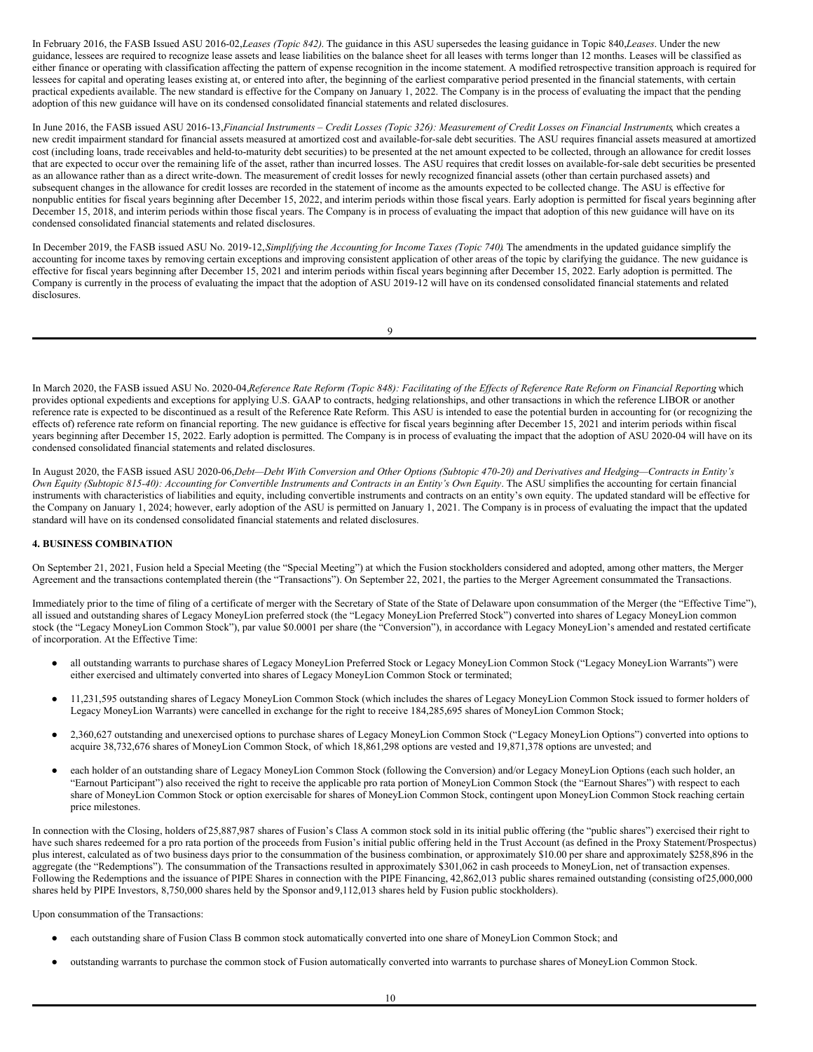In February 2016, the FASB Issued ASU 2016-02,*Leases (Topic 842)*. The guidance in this ASU supersedes the leasing guidance in Topic 840,*Leases*. Under the new guidance, lessees are required to recognize lease assets and lease liabilities on the balance sheet for all leases with terms longer than 12 months. Leases will be classified as either finance or operating with classification affecting the pattern of expense recognition in the income statement. A modified retrospective transition approach is required for lessees for capital and operating leases existing at, or entered into after, the beginning of the earliest comparative period presented in the financial statements, with certain practical expedients available. The new standard is effective for the Company on January 1, 2022. The Company is in the process of evaluating the impact that the pending adoption of this new guidance will have on its condensed consolidated financial statements and related disclosures.

In June 2016, the FASB issued ASU 2016-13, Financial Instruments - Credit Losses (Topic 326): Measurement of Credit Losses on Financial Instruments, which creates a new credit impairment standard for financial assets measured at amortized cost and available-for-sale debt securities. The ASU requires financial assets measured at amortized cost (including loans, trade receivables and held-to-maturity debt securities) to be presented at the net amount expected to be collected, through an allowance for credit losses that are expected to occur over the remaining life of the asset, rather than incurred losses. The ASU requires that credit losses on available-for-sale debt securities be presented as an allowance rather than as a direct write-down. The measurement of credit losses for newly recognized financial assets (other than certain purchased assets) and subsequent changes in the allowance for credit losses are recorded in the statement of income as the amounts expected to be collected change. The ASU is effective for nonpublic entities for fiscal years beginning after December 15, 2022, and interim periods within those fiscal years. Early adoption is permitted for fiscal years beginning after December 15, 2018, and interim periods within those fiscal years. The Company is in process of evaluating the impact that adoption of this new guidance will have on its condensed consolidated financial statements and related disclosures.

In December 2019, the FASB issued ASU No. 2019-12,*Simplifying the Accounting for Income Taxes (Topic 740)*. The amendments in the updated guidance simplify the accounting for income taxes by removing certain exceptions and improving consistent application of other areas of the topic by clarifying the guidance. The new guidance is effective for fiscal years beginning after December 15, 2021 and interim periods within fiscal years beginning after December 15, 2022. Early adoption is permitted. The Company is currently in the process of evaluating the impact that the adoption of ASU 2019-12 will have on its condensed consolidated financial statements and related disclosures.

| t |         |             |  |
|---|---------|-------------|--|
|   |         | I<br>I<br>ł |  |
|   | ۰.<br>v |             |  |

In March 2020, the FASB issued ASU No. 2020-04, Reference Rate Reform (Topic 848): Facilitating of the Effects of Reference Rate Reform on Financial Reporting which provides optional expedients and exceptions for applying U.S. GAAP to contracts, hedging relationships, and other transactions in which the reference LIBOR or another reference rate is expected to be discontinued as a result of the Reference Rate Reform. This ASU is intended to ease the potential burden in accounting for (or recognizing the effects of) reference rate reform on financial reporting. The new guidance is effective for fiscal years beginning after December 15, 2021 and interim periods within fiscal years beginning after December 15, 2022. Early adoption is permitted. The Company is in process of evaluating the impact that the adoption of ASU 2020-04 will have on its condensed consolidated financial statements and related disclosures.

In August 2020, the FASB issued ASU 2020-06, Debt-Debt With Conversion and Other Options (Subtopic 470-20) and Derivatives and Hedging-Contracts in Entity's Own Equity (Subtopic 815-40): Accounting for Convertible Instruments and Contracts in an Entity's Own Equity. The ASU simplifies the accounting for certain financial instruments with characteristics of liabilities and equity, including convertible instruments and contracts on an entity's own equity. The updated standard will be effective for the Company on January 1, 2024; however, early adoption of the ASU is permitted on January 1, 2021. The Company is in process of evaluating the impact that the updated standard will have on its condensed consolidated financial statements and related disclosures.

# **4. BUSINESS COMBINATION**

On September 21, 2021, Fusion held a Special Meeting (the "Special Meeting") at which the Fusion stockholders considered and adopted, among other matters, the Merger Agreement and the transactions contemplated therein (the "Transactions"). On September 22, 2021, the parties to the Merger Agreement consummated the Transactions.

Immediately prior to the time of filing of a certificate of merger with the Secretary of State of the State of Delaware upon consummation of the Merger (the "Effective Time"), all issued and outstanding shares of Legacy MoneyLion preferred stock (the "Legacy MoneyLion Preferred Stock") converted into shares of Legacy MoneyLion common stock (the "Legacy MoneyLion Common Stock"), par value \$0.0001 per share (the "Conversion"), in accordance with Legacy MoneyLion's amended and restated certificate of incorporation. At the Effective Time:

- all outstanding warrants to purchase shares of Legacy MoneyLion Preferred Stock or Legacy MoneyLion Common Stock ("Legacy MoneyLion Warrants") were either exercised and ultimately converted into shares of Legacy MoneyLion Common Stock or terminated;
- 11,231,595 outstanding shares of Legacy MoneyLion Common Stock (which includes the shares of Legacy MoneyLion Common Stock issued to former holders of Legacy MoneyLion Warrants) were cancelled in exchange for the right to receive 184,285,695 shares of MoneyLion Common Stock;
- 2,360,627 outstanding and unexercised options to purchase shares of Legacy MoneyLion Common Stock ("Legacy MoneyLion Options") converted into options to acquire 38,732,676 shares of MoneyLion Common Stock, of which 18,861,298 options are vested and 19,871,378 options are unvested; and
- each holder of an outstanding share of Legacy MoneyLion Common Stock (following the Conversion) and/or Legacy MoneyLion Options (each such holder, an "Earnout Participant") also received the right to receive the applicable pro rata portion of MoneyLion Common Stock (the "Earnout Shares") with respect to each share of MoneyLion Common Stock or option exercisable for shares of MoneyLion Common Stock, contingent upon MoneyLion Common Stock reaching certain price milestones.

In connection with the Closing, holders of 25,887,987 shares of Fusion's Class A common stock sold in its initial public offering (the "public shares") exercised their right to have such shares redeemed for a pro rata portion of the proceeds from Fusion's initial public offering held in the Trust Account (as defined in the Proxy Statement/Prospectus) plus interest, calculated as of two business days prior to the consummation of the business combination, or approximately \$10.00 per share and approximately \$258,896 in the aggregate (the "Redemptions"). The consummation of the Transactions resulted in approximately \$301,062 in cash proceeds to MoneyLion, net of transaction expenses. Following the Redemptions and the issuance of PIPE Shares in connection with the PIPE Financing, 42,862,013 public shares remained outstanding (consisting of 25,000,000) shares held by PIPE Investors, 8,750,000 shares held by the Sponsor and9,112,013 shares held by Fusion public stockholders).

Upon consummation of the Transactions:

- each outstanding share of Fusion Class B common stock automatically converted into one share of MoneyLion Common Stock; and
- outstanding warrants to purchase the common stock of Fusion automatically converted into warrants to purchase shares of MoneyLion Common Stock.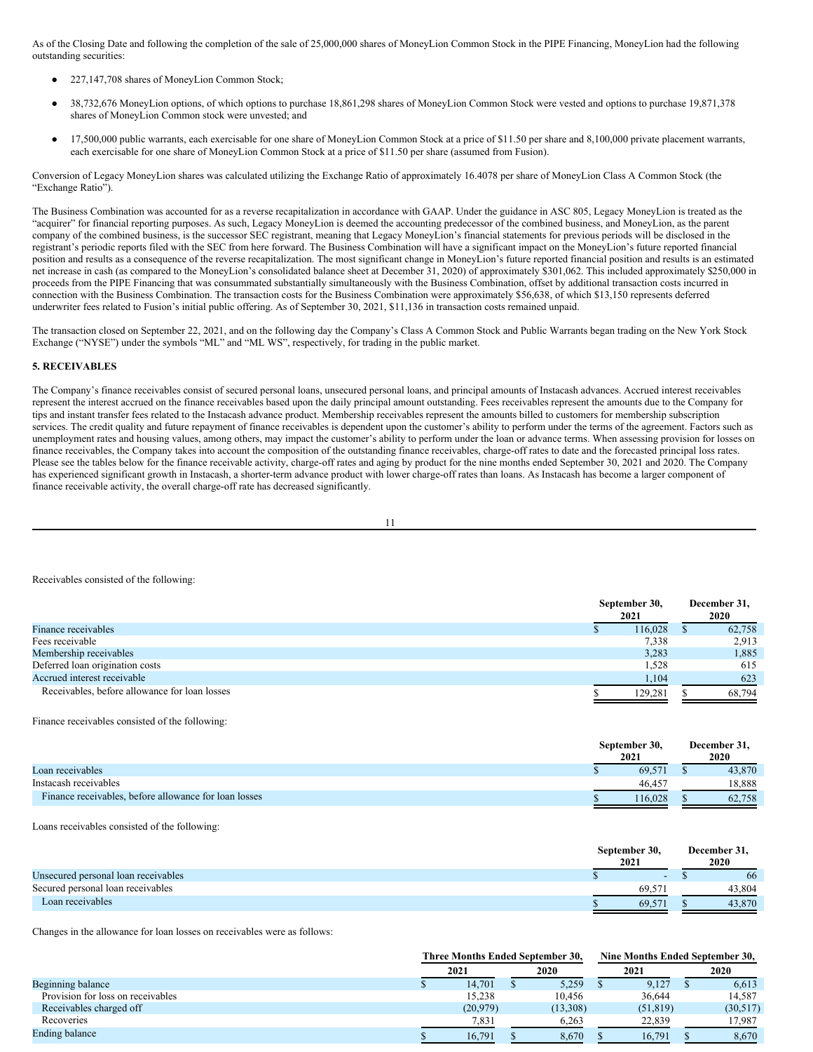As of the Closing Date and following the completion of the sale of 25,000,000 shares of MoneyLion Common Stock in the PIPE Financing, MoneyLion had the following outstanding securities:

- 227,147,708 shares of MoneyLion Common Stock;
- 38,732,676 MoneyLion options, of which options to purchase 18,861,298 shares of MoneyLion Common Stock were vested and options to purchase 19,871,378 shares of MoneyLion Common stock were unvested; and
- 17,500,000 public warrants, each exercisable for one share of MoneyLion Common Stock at a price of \$11.50 per share and 8,100,000 private placement warrants, each exercisable for one share of MoneyLion Common Stock at a price of \$11.50 per share (assumed from Fusion).

Conversion of Legacy MoneyLion shares was calculated utilizing the Exchange Ratio of approximately 16.4078 per share of MoneyLion Class A Common Stock (the "Exchange Ratio").

The Business Combination was accounted for as a reverse recapitalization in accordance with GAAP. Under the guidance in ASC 805, Legacy MoneyLion is treated as the "acquirer" for financial reporting purposes. As such, Legacy MoneyLion is deemed the accounting predecessor of the combined business, and MoneyLion, as the parent company of the combined business, is the successor SEC registrant, meaning that Legacy MoneyLion's financial statements for previous periods will be disclosed in the registrant's periodic reports filed with the SEC from here forward. The Business Combination will have a significant impact on the MoneyLion's future reported financial position and results as a consequence of the reverse recapitalization. The most significant change in MoneyLion's future reported financial position and results is an estimated net increase in cash (as compared to the MoneyLion's consolidated balance sheet at December 31, 2020) of approximately \$301,062. This included approximately \$250,000 in proceeds from the PIPE Financing that was consummated substantially simultaneously with the Business Combination, offset by additional transaction costs incurred in connection with the Business Combination. The transaction costs for the Business Combination were approximately \$56,638, of which \$13,150 represents deferred underwriter fees related to Fusion's initial public offering. As of September 30, 2021, \$11,136 in transaction costs remained unpaid.

The transaction closed on September 22, 2021, and on the following day the Company's Class A Common Stock and Public Warrants began trading on the New York Stock Exchange ("NYSE") under the symbols "ML" and "ML WS", respectively, for trading in the public market.

# **5. RECEIVABLES**

The Company's finance receivables consist of secured personal loans, unsecured personal loans, and principal amounts of Instacash advances. Accrued interest receivables represent the interest accrued on the finance receivables based upon the daily principal amount outstanding. Fees receivables represent the amounts due to the Company for tips and instant transfer fees related to the Instacash advance product. Membership receivables represent the amounts billed to customers for membership subscription services. The credit quality and future repayment of finance receivables is dependent upon the customer's ability to perform under the terms of the agreement. Factors such as unemployment rates and housing values, among others, may impact the customer's ability to perform under the loan or advance terms. When assessing provision for losses on finance receivables, the Company takes into account the composition of the outstanding finance receivables, charge-off rates to date and the forecasted principal loss rates. Please see the tables below for the finance receivable activity, charge-off rates and aging by product for the nine months ended September 30, 2021 and 2020. The Company has experienced significant growth in Instacash, a shorter-term advance product with lower charge-off rates than loans. As Instacash has become a larger component of finance receivable activity, the overall charge-off rate has decreased significantly.

Receivables consisted of the following:

|                                               | September 30, | December 31, |  |
|-----------------------------------------------|---------------|--------------|--|
|                                               | 2021          | 2020         |  |
| Finance receivables                           | 116,028       | 62,758       |  |
| Fees receivable                               | 7,338         | 2,913        |  |
| Membership receivables                        | 3,283         | 1,885        |  |
| Deferred loan origination costs               | 1,528         | 615          |  |
| Accrued interest receivable                   | 1,104         | 623          |  |
| Receivables, before allowance for loan losses | 129.281       | 68,794       |  |

Finance receivables consisted of the following:

|                                                       | September 30,<br>2021 | December 31.<br>2020 |
|-------------------------------------------------------|-----------------------|----------------------|
| Loan receivables                                      | 69.571                | 43,870               |
| Instacash receivables                                 | $46.45^{\circ}$       | 18.888               |
| Finance receivables, before allowance for loan losses | 16.028                | 62.758               |

Loans receivables consisted of the following:

|                                     | September 30.<br>2021 |       | December 31,<br>2020 |
|-------------------------------------|-----------------------|-------|----------------------|
| Unsecured personal loan receivables |                       | -     | 66                   |
| Secured personal loan receivables   | 69                    |       | 43.804               |
| Loan receivables                    |                       | 69.57 | 43,870               |

Changes in the allowance for loan losses on receivables were as follows:

|                                   | Three Months Ended September 30. |  |          | Nine Months Ended September 30. |           |  |          |
|-----------------------------------|----------------------------------|--|----------|---------------------------------|-----------|--|----------|
|                                   | 2021                             |  | 2020     |                                 | 2021      |  | 2020     |
| Beginning balance                 | 14.701                           |  | 5,259    |                                 | 9,127     |  | 6,613    |
| Provision for loss on receivables | 15.238                           |  | 10.456   |                                 | 36.644    |  | 14.587   |
| Receivables charged off           | (20, 979)                        |  | (13,308) |                                 | (51, 819) |  | (30,517) |
| Recoveries                        | 7,831                            |  | 6.263    |                                 | 22.839    |  | 17.987   |
| <b>Ending balance</b>             | 16.791                           |  | 8,670    |                                 | 16.791    |  | 8,670    |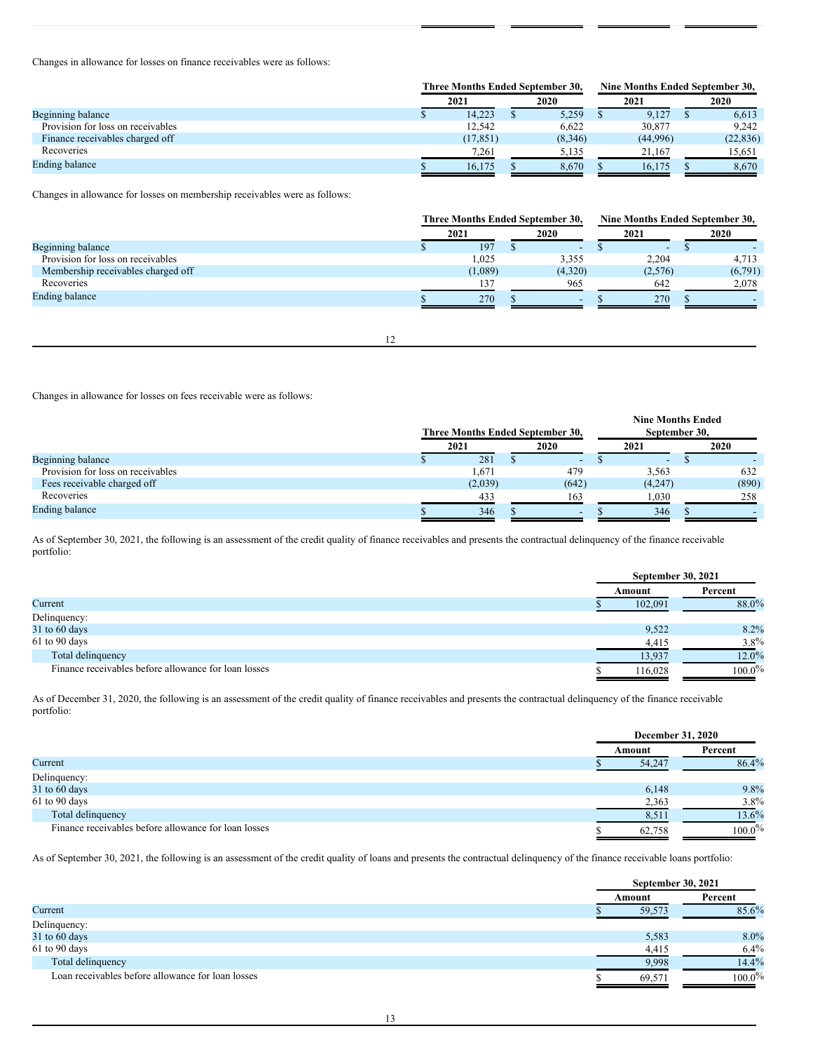Changes in allowance for losses on finance receivables were as follows:

|                                   | <b>Three Months Ended September 30.</b> |           |  | <b>Nine Months Ended September 30.</b> |  |          |  |           |
|-----------------------------------|-----------------------------------------|-----------|--|----------------------------------------|--|----------|--|-----------|
|                                   |                                         | 2021      |  | 2020                                   |  | 2021     |  | 2020      |
| Beginning balance                 |                                         | 14,223    |  | 5,259                                  |  | 9,127    |  | 6,613     |
| Provision for loss on receivables |                                         | 12.542    |  | 6.622                                  |  | 30,877   |  | 9.242     |
| Finance receivables charged off   |                                         | (17, 851) |  | (8,346)                                |  | (44,996) |  | (22, 836) |
| Recoveries                        |                                         | 7.261     |  | 5.135                                  |  | 21.167   |  | 15.651    |
| Ending balance                    |                                         | 16.175    |  | 8,670                                  |  | 16.175   |  | 8,670     |

Changes in allowance for losses on membership receivables were as follows:

|                                    | Three Months Ended September 30. |  |                          | Nine Months Ended September 30. |                          |  |         |
|------------------------------------|----------------------------------|--|--------------------------|---------------------------------|--------------------------|--|---------|
|                                    | 2021                             |  | 2020                     |                                 | 2021                     |  | 2020    |
| Beginning balance                  | 197                              |  | $\overline{\phantom{0}}$ |                                 | $\overline{\phantom{a}}$ |  |         |
| Provision for loss on receivables  | 1,025                            |  | 3.355                    |                                 | 2,204                    |  | 4,713   |
| Membership receivables charged off | (1,089)                          |  | (4,320)                  |                                 | (2,576)                  |  | (6,791) |
| Recoveries                         | 137                              |  | 965                      |                                 | 642                      |  | 2,078   |
| Ending balance                     | 270                              |  | $\overline{\phantom{a}}$ |                                 | 270                      |  |         |
|                                    |                                  |  |                          |                                 |                          |  |         |

12

Changes in allowance for losses on fees receivable were as follows:

|                                   | Three Months Ended September 30. |  |                          | <b>Nine Months Ended</b><br>September 30, |         |  |       |
|-----------------------------------|----------------------------------|--|--------------------------|-------------------------------------------|---------|--|-------|
|                                   | 2021                             |  | 2020                     |                                           | 2021    |  | 2020  |
| Beginning balance                 | 281                              |  | $\overline{\phantom{a}}$ |                                           | ۰       |  |       |
| Provision for loss on receivables | 1,671                            |  | 479                      |                                           | 3.563   |  | 632   |
| Fees receivable charged off       | (2,039)                          |  | (642)                    |                                           | (4,247) |  | (890) |
| Recoveries                        | 433                              |  | 163                      |                                           | 1,030   |  | 258   |
| <b>Ending balance</b>             | 346                              |  | $\overline{\phantom{0}}$ |                                           | 346     |  |       |

As of September 30, 2021, the following is an assessment of the credit quality of finance receivables and presents the contractual delinquency of the finance receivable portfolio:

|                                                      | <b>September 30, 2021</b> |           |
|------------------------------------------------------|---------------------------|-----------|
|                                                      | Amount                    | Percent   |
| Current                                              | 102,091                   | 88.0%     |
| Delinquency:                                         |                           |           |
| $31$ to $60$ days                                    | 9,522                     | 8.2%      |
| 61 to 90 days                                        | 4,415                     | $3.8\%$   |
| Total delinquency                                    | 13,937                    | $12.0\%$  |
| Finance receivables before allowance for loan losses | 116,028                   | $100.0\%$ |

As of December 31, 2020, the following is an assessment of the credit quality of finance receivables and presents the contractual delinquency of the finance receivable portfolio:

|                                                      | December 31, 2020 |           |  |
|------------------------------------------------------|-------------------|-----------|--|
|                                                      | Amount            | Percent   |  |
| Current                                              | 54,247            | 86.4%     |  |
| Delinquency:                                         |                   |           |  |
| 31 to 60 days                                        | 6,148             | 9.8%      |  |
| 61 to 90 days                                        | 2,363             | $3.8\%$   |  |
| Total delinquency                                    | 8,511             | 13.6%     |  |
| Finance receivables before allowance for loan losses | 62,758            | $100.0\%$ |  |

As of September 30, 2021, the following is an assessment of the credit quality of loans and presents the contractual delinquency of the finance receivable loans portfolio:

|                                                   |        | <b>September 30, 2021</b> |
|---------------------------------------------------|--------|---------------------------|
|                                                   | Amount | Percent                   |
| Current                                           |        | 85.6%<br>59,573           |
| Delinquency:                                      |        |                           |
| 31 to 60 days                                     |        | 8.0%<br>5,583             |
| 61 to 90 days                                     |        | $6.4\%$<br>4,415          |
| Total delinquency                                 |        | 14.4%<br>9,998            |
| Loan receivables before allowance for loan losses | 69.571 | $100.0\%$                 |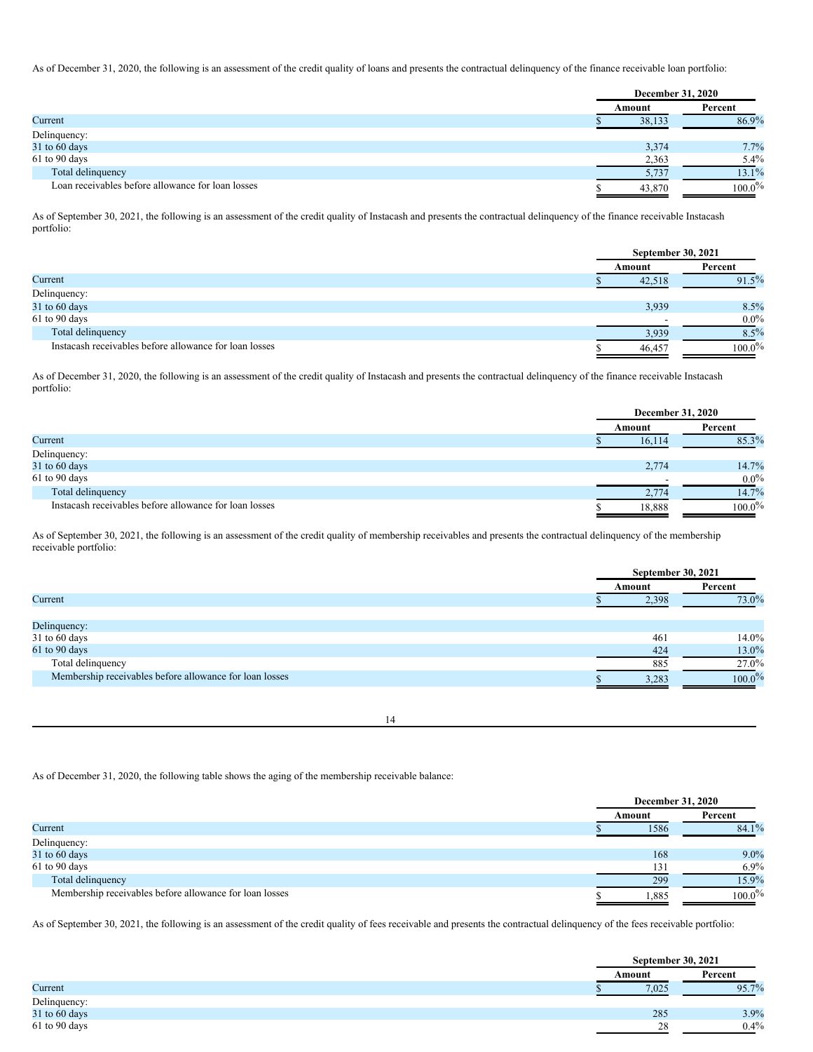As of December 31, 2020, the following is an assessment of the credit quality of loans and presents the contractual delinquency of the finance receivable loan portfolio:

|                                                   | <b>December 31, 2020</b> |           |  |  |
|---------------------------------------------------|--------------------------|-----------|--|--|
|                                                   | Amount                   | Percent   |  |  |
| Current                                           | 38,133                   | 86.9%     |  |  |
| Delinquency:                                      |                          |           |  |  |
| $31$ to 60 days                                   | 3,374                    | 7.7%      |  |  |
| 61 to 90 days                                     | 2,363                    | $5.4\%$   |  |  |
| Total delinquency                                 | 5,737                    | 13.1%     |  |  |
| Loan receivables before allowance for loan losses | 43,870                   | $100.0\%$ |  |  |

As of September 30, 2021, the following is an assessment of the credit quality of Instacash and presents the contractual delinquency of the finance receivable Instacash portfolio:

|                                                        | <b>September 30, 2021</b> |           |
|--------------------------------------------------------|---------------------------|-----------|
|                                                        | Amount                    | Percent   |
| Current                                                | 42,518                    | 91.5%     |
| Delinquency:                                           |                           |           |
| 31 to 60 days                                          | 3,939                     | 8.5%      |
| 61 to 90 days                                          |                           | $0.0\%$   |
| Total delinquency                                      | 3,939                     | $8.5\%$   |
| Instacash receivables before allowance for loan losses | 46,457                    | $100.0\%$ |

As of December 31, 2020, the following is an assessment of the credit quality of Instacash and presents the contractual delinquency of the finance receivable Instacash portfolio:

|                                                        | <b>December 31, 2020</b> |           |  |
|--------------------------------------------------------|--------------------------|-----------|--|
|                                                        | Amount                   | Percent   |  |
| Current                                                | 16,114                   | 85.3%     |  |
| Delinquency:                                           |                          |           |  |
| $31$ to 60 days                                        | 2,774                    | 14.7%     |  |
| 61 to 90 days                                          |                          | $0.0\%$   |  |
| Total delinquency                                      | 2,774                    | 14.7%     |  |
| Instacash receivables before allowance for loan losses | 18,888                   | $100.0\%$ |  |

As of September 30, 2021, the following is an assessment of the credit quality of membership receivables and presents the contractual delinquency of the membership receivable portfolio:

|                                                         | <b>September 30, 2021</b> |           |  |
|---------------------------------------------------------|---------------------------|-----------|--|
|                                                         | Amount                    | Percent   |  |
| Current                                                 | 2,398                     | 73.0%     |  |
|                                                         |                           |           |  |
| Delinquency:                                            |                           |           |  |
| 31 to 60 days                                           | 461                       | 14.0%     |  |
| 61 to 90 days                                           | 424                       | 13.0%     |  |
| Total delinquency                                       | 885                       | 27.0%     |  |
| Membership receivables before allowance for loan losses | 3,283                     | $100.0\%$ |  |
|                                                         |                           |           |  |

14

As of December 31, 2020, the following table shows the aging of the membership receivable balance:

|                                                         | December 31, 2020 |           |  |
|---------------------------------------------------------|-------------------|-----------|--|
|                                                         | Amount            | Percent   |  |
| Current                                                 | 1586              | 84.1%     |  |
| Delinquency:                                            |                   |           |  |
| 31 to 60 days                                           | 168               | $9.0\%$   |  |
| 61 to 90 days                                           | 131               | $6.9\%$   |  |
| Total delinquency                                       | 299               | 15.9%     |  |
| Membership receivables before allowance for loan losses | ,885              | $100.0\%$ |  |

As of September 30, 2021, the following is an assessment of the credit quality of fees receivable and presents the contractual delinquency of the fees receivable portfolio:

|               | <b>September 30, 2021</b> |         |  |
|---------------|---------------------------|---------|--|
|               | Amount                    | Percent |  |
| Current       | 7.025                     | 95.7%   |  |
| Delinquency:  |                           |         |  |
| 31 to 60 days | 285                       | 3.9%    |  |
| 61 to 90 days | 28                        | 0.4%    |  |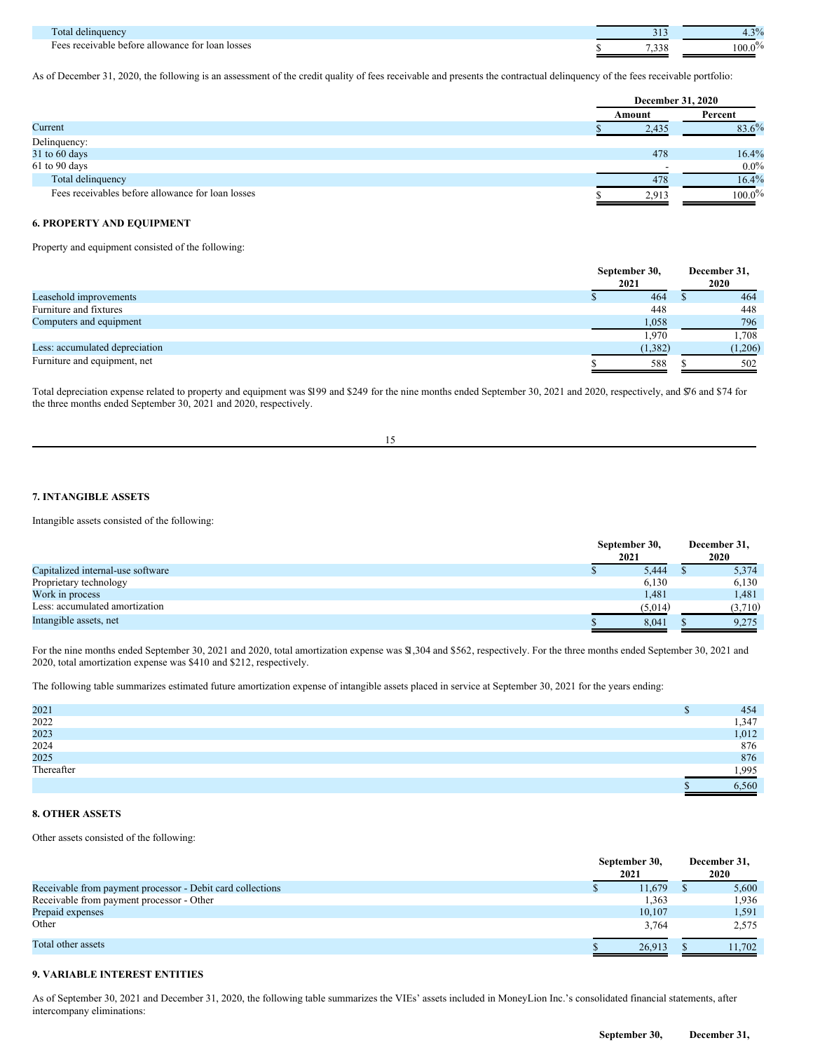| `ota<br><i>i</i> delinquency                                     |   | $\gamma$ 0/<br>-70<br>᠇.       |
|------------------------------------------------------------------|---|--------------------------------|
| s receivable before allowance for loan losses<br>$H \cap \Omega$ | . | . 0<br>100.0<br>$\prime\prime$ |

As of December 31, 2020, the following is an assessment of the credit quality of fees receivable and presents the contractual delinquency of the fees receivable portfolio:

|                                                   | <b>December 31, 2020</b> |           |  |
|---------------------------------------------------|--------------------------|-----------|--|
|                                                   | Amount                   | Percent   |  |
| Current                                           | 2,435                    | 83.6%     |  |
| Delinquency:                                      |                          |           |  |
| 31 to 60 days                                     | 478                      | 16.4%     |  |
| 61 to 90 days                                     |                          | $0.0\%$   |  |
| Total delinquency                                 | 478                      | 16.4%     |  |
| Fees receivables before allowance for loan losses | 2.913                    | $100.0\%$ |  |

# **6. PROPERTY AND EQUIPMENT**

Property and equipment consisted of the following:

|                                | September 30,<br>2021 | December 31,<br>2020 |  |
|--------------------------------|-----------------------|----------------------|--|
| Leasehold improvements         | 464                   | 464                  |  |
| Furniture and fixtures         | 448                   | 448                  |  |
| Computers and equipment        | 1,058                 | 796                  |  |
|                                | 1,970                 | .708                 |  |
| Less: accumulated depreciation | (1,382)               | (1,206)              |  |
| Furniture and equipment, net   | 588                   | 502                  |  |

Total depreciation expense related to property and equipment was \$199 and \$249 for the nine months ended September 30, 2021 and 2020, respectively, and \$76 and \$74 for the three months ended September 30, 2021 and 2020, respectively.

15

# **7. INTANGIBLE ASSETS**

Intangible assets consisted of the following:

|                                   | September 30,<br>2021 | December 31,<br>2020 |  |
|-----------------------------------|-----------------------|----------------------|--|
| Capitalized internal-use software | 5.444<br>Φ            | 5,374                |  |
| Proprietary technology            | 6,130                 | 6,130                |  |
| Work in process                   | 1,481                 | 1,481                |  |
| Less: accumulated amortization    | (5,014)               | (3,710)              |  |
| Intangible assets, net            | 8,041                 | 9.275                |  |

For the nine months ended September 30, 2021 and 2020, total amortization expense was \$1,304 and \$562, respectively. For the three months ended September 30, 2021 and 2020, total amortization expense was \$410 and \$212, respectively.

The following table summarizes estimated future amortization expense of intangible assets placed in service at September 30, 2021 for the years ending:

| 2021         | 454   |
|--------------|-------|
| 2022         | 1,347 |
| 2023         | 1,012 |
| 2024<br>2025 | 876   |
|              | 876   |
| Thereafter   | .995  |
|              | 6,560 |

# **8. OTHER ASSETS**

Other assets consisted of the following:

|                                                            | September 30,<br>2021 | December 31,<br>2020 |        |  |
|------------------------------------------------------------|-----------------------|----------------------|--------|--|
| Receivable from payment processor - Debit card collections | 11,679                |                      | 5,600  |  |
| Receivable from payment processor - Other                  | 1,363                 |                      | 1,936  |  |
| Prepaid expenses                                           | 10,107                |                      | 1,591  |  |
| Other                                                      | 3.764                 |                      | 2.575  |  |
| Total other assets                                         | 26,913                |                      | 11.702 |  |

# **9. VARIABLE INTEREST ENTITIES**

As of September 30, 2021 and December 31, 2020, the following table summarizes the VIEs' assets included in MoneyLion Inc.'s consolidated financial statements, after intercompany eliminations: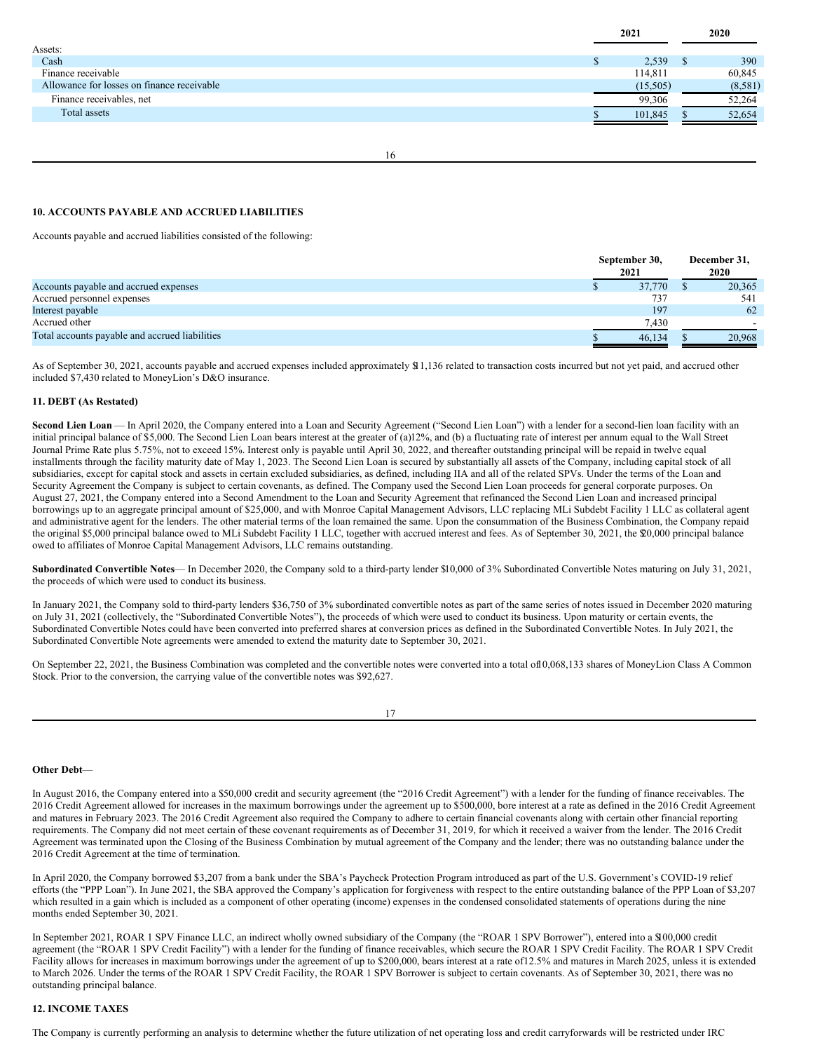|                                            | 2021     | 2020    |
|--------------------------------------------|----------|---------|
| Assets:                                    |          |         |
| Cash                                       | 2,539    | 390     |
| Finance receivable                         | 114,811  | 60,845  |
| Allowance for losses on finance receivable | (15,505) | (8,581) |
| Finance receivables, net                   | 99.306   | 52,264  |
| Total assets                               | 101.845  | 52,654  |

16

# **10. ACCOUNTS PAYABLE AND ACCRUED LIABILITIES**

Accounts payable and accrued liabilities consisted of the following:

|                                                | September 30,<br>2021 |  | December 31,<br>2020 |  |
|------------------------------------------------|-----------------------|--|----------------------|--|
| Accounts payable and accrued expenses          | 37.770                |  | 20,365               |  |
| Accrued personnel expenses                     | 737                   |  | 541                  |  |
| Interest payable                               | 197                   |  | 62                   |  |
| Accrued other                                  | 7,430                 |  |                      |  |
| Total accounts payable and accrued liabilities | 46,134                |  | 20,968               |  |

As of September 30, 2021, accounts payable and accrued expenses included approximately \$11,136 related to transaction costs incurred but not yet paid, and accrued other included \$7,430 related to MoneyLion's D&O insurance.

#### **11. DEBT (As Restated)**

**Second Lien Loan** — In April 2020, the Company entered into a Loan and Security Agreement ("Second Lien Loan") with a lender for a second-lien loan facility with an initial principal balance of \$5,000. The Second Lien Loan bears interest at the greater of (a)12%, and (b) a fluctuating rate of interest per annum equal to the Wall Street Journal Prime Rate plus 5.75%, not to exceed 15%. Interest only is payable until April 30, 2022, and thereafter outstanding principal will be repaid in twelve equal installments through the facility maturity date of May 1, 2023. The Second Lien Loan is secured by substantially all assets of the Company, including capital stock of all subsidiaries, except for capital stock and assets in certain excluded subsidiaries, as defined, including IIA and all of the related SPVs. Under the terms of the Loan and Security Agreement the Company is subject to certain covenants, as defined. The Company used the Second Lien Loan proceeds for general corporate purposes. On August 27, 2021, the Company entered into a Second Amendment to the Loan and Security Agreement that refinanced the Second Lien Loan and increased principal borrowings up to an aggregate principal amount of \$25,000, and with Monroe Capital Management Advisors, LLC replacing MLi Subdebt Facility 1 LLC as collateral agent and administrative agent for the lenders. The other material terms of the loan remained the same. Upon the consummation of the Business Combination, the Company repaid the original \$5,000 principal balance owed to MLi Subdebt Facility 1 LLC, together with accrued interest and fees. As of September 30, 2021, the \$20,000 principal balance owed to affiliates of Monroe Capital Management Advisors, LLC remains outstanding.

**Subordinated Convertible Notes**— In December 2020, the Company sold to a third-party lender \$10,000 of 3% Subordinated Convertible Notes maturing on July 31, 2021, the proceeds of which were used to conduct its business.

In January 2021, the Company sold to third-party lenders \$36,750 of 3% subordinated convertible notes as part of the same series of notes issued in December 2020 maturing on July 31, 2021 (collectively, the "Subordinated Convertible Notes"), the proceeds of which were used to conduct its business. Upon maturity or certain events, the Subordinated Convertible Notes could have been converted into preferred shares at conversion prices as defined in the Subordinated Convertible Notes. In July 2021, the Subordinated Convertible Note agreements were amended to extend the maturity date to September 30, 2021.

On September 22, 2021, the Business Combination was completed and the convertible notes were converted into a total of10,068,133 shares of MoneyLion Class A Common Stock. Prior to the conversion, the carrying value of the convertible notes was \$92,627.

17

#### **Other Debt**—

In August 2016, the Company entered into a \$50,000 credit and security agreement (the "2016 Credit Agreement") with a lender for the funding of finance receivables. The 2016 Credit Agreement allowed for increases in the maximum borrowings under the agreement up to \$500,000, bore interest at a rate as defined in the 2016 Credit Agreement and matures in February 2023. The 2016 Credit Agreement also required the Company to adhere to certain financial covenants along with certain other financial reporting requirements. The Company did not meet certain of these covenant requirements as of December 31, 2019, for which it received a waiver from the lender. The 2016 Credit Agreement was terminated upon the Closing of the Business Combination by mutual agreement of the Company and the lender; there was no outstanding balance under the 2016 Credit Agreement at the time of termination.

In April 2020, the Company borrowed \$3,207 from a bank under the SBA's Paycheck Protection Program introduced as part of the U.S. Government's COVID-19 relief efforts (the "PPP Loan"). In June 2021, the SBA approved the Company's application for forgiveness with respect to the entire outstanding balance of the PPP Loan of \$3,207 which resulted in a gain which is included as a component of other operating (income) expenses in the condensed consolidated statements of operations during the nine months ended September 30, 2021.

In September 2021, ROAR 1 SPV Finance LLC, an indirect wholly owned subsidiary of the Company (the "ROAR 1 SPV Borrower"), entered into a \$100,000 credit agreement (the "ROAR 1 SPV Credit Facility") with a lender for the funding of finance receivables, which secure the ROAR 1 SPV Credit Facility. The ROAR 1 SPV Credit Facility allows for increases in maximum borrowings under the agreement of up to \$200,000, bears interest at a rate of12.5% and matures in March 2025, unless it is extended to March 2026. Under the terms of the ROAR 1 SPV Credit Facility, the ROAR 1 SPV Borrower is subject to certain covenants. As of September 30, 2021, there was no outstanding principal balance.

#### **12. INCOME TAXES**

The Company is currently performing an analysis to determine whether the future utilization of net operating loss and credit carryforwards will be restricted under IRC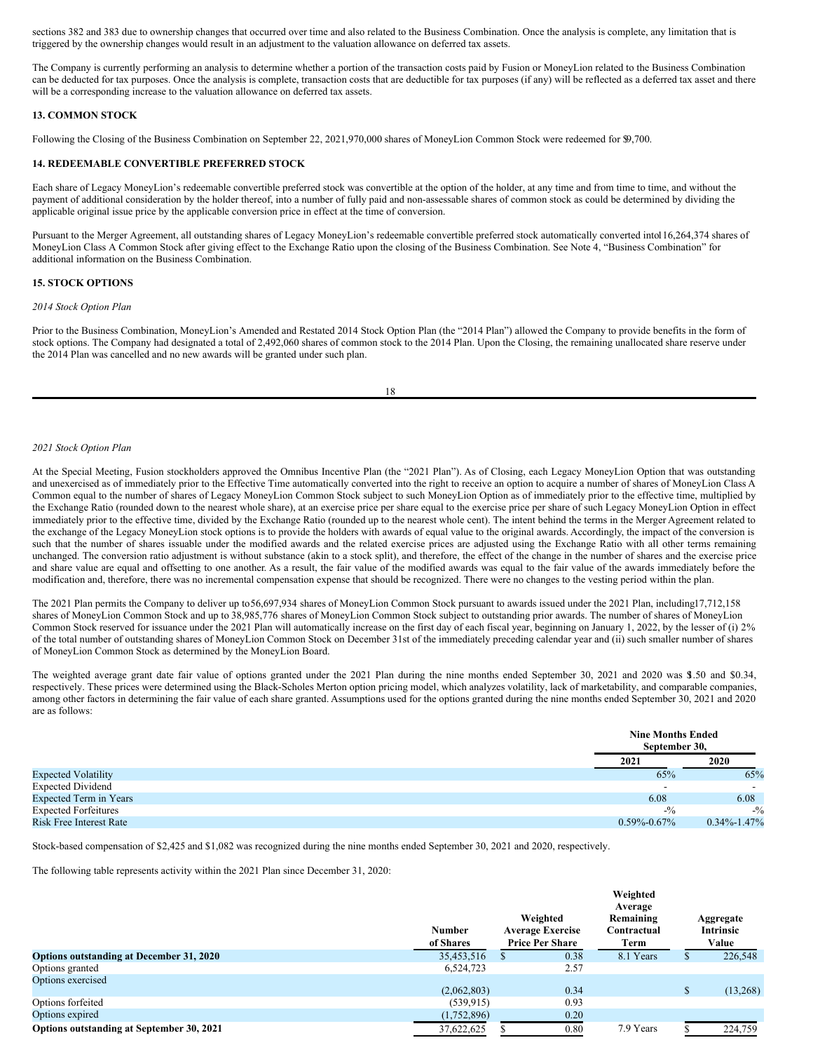sections 382 and 383 due to ownership changes that occurred over time and also related to the Business Combination. Once the analysis is complete, any limitation that is triggered by the ownership changes would result in an adjustment to the valuation allowance on deferred tax assets.

The Company is currently performing an analysis to determine whether a portion of the transaction costs paid by Fusion or MoneyLion related to the Business Combination can be deducted for tax purposes. Once the analysis is complete, transaction costs that are deductible for tax purposes (if any) will be reflected as a deferred tax asset and there will be a corresponding increase to the valuation allowance on deferred tax assets.

# **13. COMMON STOCK**

Following the Closing of the Business Combination on September 22, 2021,970,000 shares of MoneyLion Common Stock were redeemed for \$9,700.

## **14. REDEEMABLE CONVERTIBLE PREFERRED STOCK**

Each share of Legacy MoneyLion's redeemable convertible preferred stock was convertible at the option of the holder, at any time and from time to time, and without the payment of additional consideration by the holder thereof, into a number of fully paid and non-assessable shares of common stock as could be determined by dividing the applicable original issue price by the applicable conversion price in effect at the time of conversion.

Pursuant to the Merger Agreement, all outstanding shares of Legacy MoneyLion's redeemable convertible preferred stock automatically converted into116,264,374 shares of MoneyLion Class A Common Stock after giving effect to the Exchange Ratio upon the closing of the Business Combination. See Note 4, "Business Combination" for additional information on the Business Combination.

#### **15. STOCK OPTIONS**

#### *2014 Stock Option Plan*

Prior to the Business Combination, MoneyLion's Amended and Restated 2014 Stock Option Plan (the "2014 Plan") allowed the Company to provide benefits in the form of stock options. The Company had designated a total of 2,492,060 shares of common stock to the 2014 Plan. Upon the Closing, the remaining unallocated share reserve under the 2014 Plan was cancelled and no new awards will be granted under such plan.

18

#### *2021 Stock Option Plan*

At the Special Meeting, Fusion stockholders approved the Omnibus Incentive Plan (the "2021 Plan"). As of Closing, each Legacy MoneyLion Option that was outstanding and unexercised as of immediately prior to the Effective Time automatically converted into the right to receive an option to acquire a number of shares of MoneyLion Class A Common equal to the number of shares of Legacy MoneyLion Common Stock subject to such MoneyLion Option as of immediately prior to the effective time, multiplied by the Exchange Ratio (rounded down to the nearest whole share), at an exercise price per share equal to the exercise price per share of such Legacy MoneyLion Option in effect immediately prior to the effective time, divided by the Exchange Ratio (rounded up to the nearest whole cent). The intent behind the terms in the Merger Agreement related to the exchange of the Legacy MoneyLion stock options is to provide the holders with awards of equal value to the original awards. Accordingly, the impact of the conversion is such that the number of shares issuable under the modified awards and the related exercise prices are adjusted using the Exchange Ratio with all other terms remaining unchanged. The conversion ratio adjustment is without substance (akin to a stock split), and therefore, the effect of the change in the number of shares and the exercise price and share value are equal and offsetting to one another. As a result, the fair value of the modified awards was equal to the fair value of the awards immediately before the modification and, therefore, there was no incremental compensation expense that should be recognized. There were no changes to the vesting period within the plan.

The 2021 Plan permits the Company to deliver up to56,697,934 shares of MoneyLion Common Stock pursuant to awards issued under the 2021 Plan, including17,712,158 shares of MoneyLion Common Stock and up to 38,985,776 shares of MoneyLion Common Stock subject to outstanding prior awards. The number of shares of MoneyLion Common Stock reserved for issuance under the 2021 Plan will automatically increase on the first day of each fiscal year, beginning on January 1, 2022, by the lesser of (i) 2% of the total number of outstanding shares of MoneyLion Common Stock on December 31st of the immediately preceding calendar year and (ii) such smaller number of shares of MoneyLion Common Stock as determined by the MoneyLion Board.

The weighted average grant date fair value of options granted under the 2021 Plan during the nine months ended September 30, 2021 and 2020 was \$1.50 and \$0.34, respectively. These prices were determined using the Black-Scholes Merton option pricing model, which analyzes volatility, lack of marketability, and comparable companies, among other factors in determining the fair value of each share granted. Assumptions used for the options granted during the nine months ended September 30, 2021 and 2020 are as follows:

|                                | <b>Nine Months Ended</b><br>September 30. |                          |
|--------------------------------|-------------------------------------------|--------------------------|
|                                | 2021                                      | 2020                     |
| <b>Expected Volatility</b>     | 65%                                       | 65%                      |
| <b>Expected Dividend</b>       | -                                         | $\overline{\phantom{a}}$ |
| <b>Expected Term in Years</b>  | 6.08                                      | 6.08                     |
| <b>Expected Forfeitures</b>    | $-1/2$                                    | $-1/2$                   |
| <b>Risk Free Interest Rate</b> | $0.59\% - 0.67\%$                         | $0.34\% - 1.47\%$        |

Stock-based compensation of \$2,425 and \$1,082 was recognized during the nine months ended September 30, 2021 and 2020, respectively.

The following table represents activity within the 2021 Plan since December 31, 2020:

|                                           |               |                                     | Weighted<br>Average      |                               |
|-------------------------------------------|---------------|-------------------------------------|--------------------------|-------------------------------|
|                                           | <b>Number</b> | Weighted<br><b>Average Exercise</b> | Remaining<br>Contractual | Aggregate<br><b>Intrinsic</b> |
|                                           | of Shares     | <b>Price Per Share</b>              | Term                     | Value                         |
| Options outstanding at December 31, 2020  | 35,453,516    | 0.38<br>S                           | 8.1 Years                | 226,548                       |
| Options granted                           | 6,524,723     | 2.57                                |                          |                               |
| Options exercised                         |               |                                     |                          |                               |
|                                           | (2,062,803)   | 0.34                                |                          | (13,268)                      |
| Options forfeited                         | (539, 915)    | 0.93                                |                          |                               |
| Options expired                           | (1,752,896)   | 0.20                                |                          |                               |
| Options outstanding at September 30, 2021 | 37,622,625    | 0.80                                | 7.9 Years                | 224,759                       |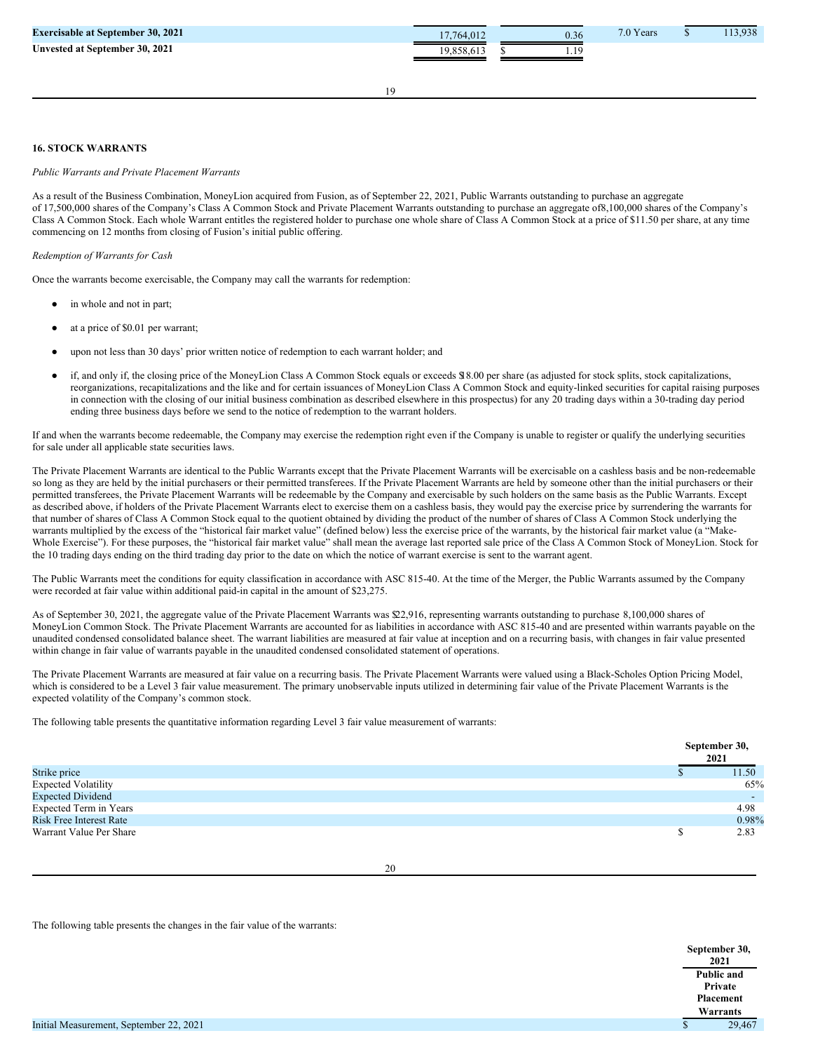| <b>Exercisable at September 30, 2021</b> | 7.764.012 | 0.36 | 7.0 Years | 13.938 |
|------------------------------------------|-----------|------|-----------|--------|
| Unvested at September 30, 2021           |           | .    |           |        |

# **16. STOCK WARRANTS**

#### *Public Warrants and Private Placement Warrants*

As a result of the Business Combination, MoneyLion acquired from Fusion, as of September 22, 2021, Public Warrants outstanding to purchase an aggregate of 17,500,000 shares of the Company's Class A Common Stock and Private Placement Warrants outstanding to purchase an aggregate of8,100,000 shares of the Company's Class A Common Stock. Each whole Warrant entitles the registered holder to purchase one whole share of Class A Common Stock at a price of \$11.50 per share, at any time commencing on 12 months from closing of Fusion's initial public offering.

## *Redemption of Warrants for Cash*

Once the warrants become exercisable, the Company may call the warrants for redemption:

- in whole and not in part:
- at a price of \$0.01 per warrant;
- upon not less than 30 days' prior written notice of redemption to each warrant holder; and
- if, and only if, the closing price of the MoneyLion Class A Common Stock equals or exceeds \$18.00 per share (as adjusted for stock splits, stock capitalizations, reorganizations, recapitalizations and the like and for certain issuances of MoneyLion Class A Common Stock and equity-linked securities for capital raising purposes in connection with the closing of our initial business combination as described elsewhere in this prospectus) for any 20 trading days within a 30-trading day period ending three business days before we send to the notice of redemption to the warrant holders.

If and when the warrants become redeemable, the Company may exercise the redemption right even if the Company is unable to register or qualify the underlying securities for sale under all applicable state securities laws.

The Private Placement Warrants are identical to the Public Warrants except that the Private Placement Warrants will be exercisable on a cashless basis and be non-redeemable so long as they are held by the initial purchasers or their permitted transferees. If the Private Placement Warrants are held by someone other than the initial purchasers or their permitted transferees, the Private Placement Warrants will be redeemable by the Company and exercisable by such holders on the same basis as the Public Warrants. Except as described above, if holders of the Private Placement Warrants elect to exercise them on a cashless basis, they would pay the exercise price by surrendering the warrants for that number of shares of Class A Common Stock equal to the quotient obtained by dividing the product of the number of shares of Class A Common Stock underlying the warrants multiplied by the excess of the "historical fair market value" (defined below) less the exercise price of the warrants, by the historical fair market value (a "Make-Whole Exercise"). For these purposes, the "historical fair market value" shall mean the average last reported sale price of the Class A Common Stock of MoneyLion. Stock for the 10 trading days ending on the third trading day prior to the date on which the notice of warrant exercise is sent to the warrant agent.

The Public Warrants meet the conditions for equity classification in accordance with ASC 815-40. At the time of the Merger, the Public Warrants assumed by the Company were recorded at fair value within additional paid-in capital in the amount of \$23,275.

As of September 30, 2021, the aggregate value of the Private Placement Warrants was \$22,916, representing warrants outstanding to purchase 8,100,000 shares of MoneyLion Common Stock. The Private Placement Warrants are accounted for as liabilities in accordance with ASC 815-40 and are presented within warrants payable on the unaudited condensed consolidated balance sheet. The warrant liabilities are measured at fair value at inception and on a recurring basis, with changes in fair value presented within change in fair value of warrants payable in the unaudited condensed consolidated statement of operations.

The Private Placement Warrants are measured at fair value on a recurring basis. The Private Placement Warrants were valued using a Black-Scholes Option Pricing Model, which is considered to be a Level 3 fair value measurement. The primary unobservable inputs utilized in determining fair value of the Private Placement Warrants is the expected volatility of the Company's common stock.

The following table presents the quantitative information regarding Level 3 fair value measurement of warrants:

|                                | September 30,<br>2021 |
|--------------------------------|-----------------------|
| Strike price                   | 11.50                 |
| <b>Expected Volatility</b>     | 65%                   |
| <b>Expected Dividend</b>       |                       |
| Expected Term in Years         | 4.98                  |
| <b>Risk Free Interest Rate</b> | 0.98%                 |
| Warrant Value Per Share        | 2.83                  |

The following table presents the changes in the fair value of the warrants:

**September 30, 2021 Public and**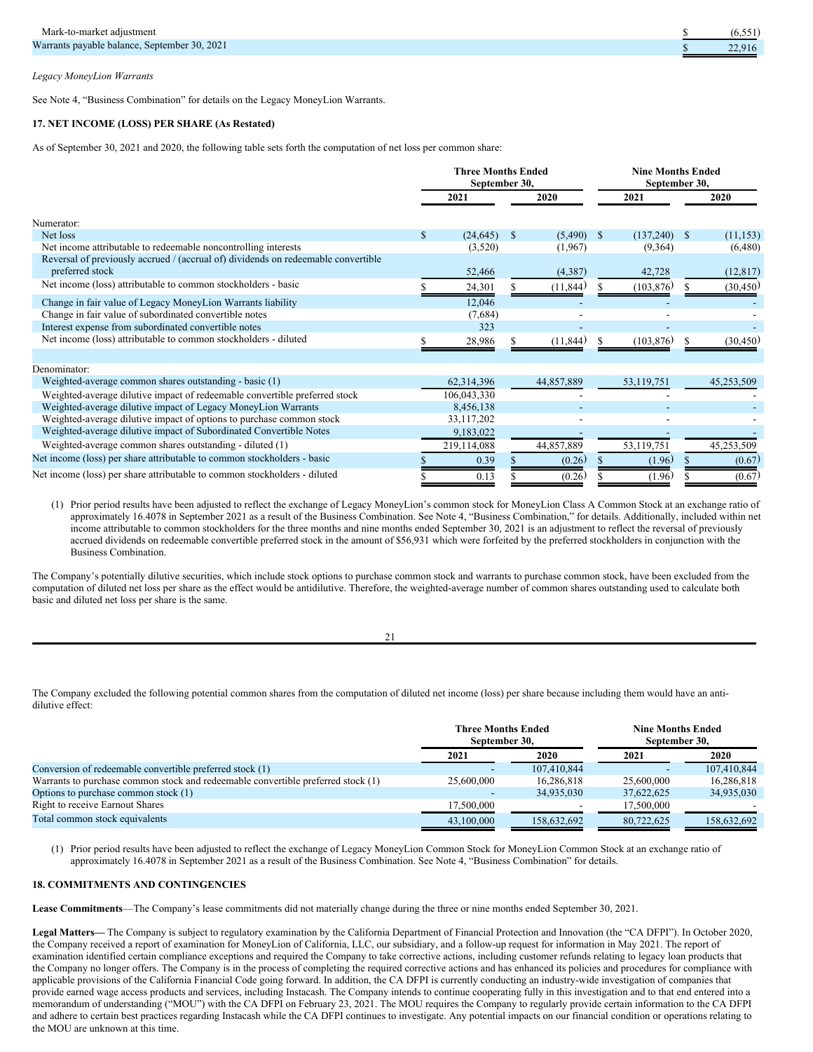|  | Legacy MoneyLion Warrants |  |
|--|---------------------------|--|
|  |                           |  |

See Note 4, "Business Combination" for details on the Legacy MoneyLion Warrants.

# **17. NET INCOME (LOSS) PER SHARE (As Restated)**

As of September 30, 2021 and 2020, the following table sets forth the computation of net loss per common share:

|                                                                                   | <b>Three Months Ended</b><br>September 30, |             |              |            |               | <b>Nine Months Ended</b><br>September 30, |              |            |  |
|-----------------------------------------------------------------------------------|--------------------------------------------|-------------|--------------|------------|---------------|-------------------------------------------|--------------|------------|--|
|                                                                                   |                                            | 2021        |              | 2020       |               | 2021                                      |              | 2020       |  |
| Numerator:                                                                        |                                            |             |              |            |               |                                           |              |            |  |
| Net loss                                                                          | \$                                         | (24, 645)   | $\mathbb{S}$ | (5,490)    | <sup>\$</sup> | (137,240)                                 | <sup>S</sup> | (11, 153)  |  |
| Net income attributable to redeemable noncontrolling interests                    |                                            | (3,520)     |              | (1,967)    |               | (9,364)                                   |              | (6,480)    |  |
| Reversal of previously accrued / (accrual of) dividends on redeemable convertible |                                            |             |              |            |               |                                           |              |            |  |
| preferred stock                                                                   |                                            | 52,466      |              | (4,387)    |               | 42,728                                    |              | (12, 817)  |  |
| Net income (loss) attributable to common stockholders - basic                     |                                            | 24,301      |              | (11, 844)  |               | (103, 876)                                |              | (30, 450)  |  |
| Change in fair value of Legacy MoneyLion Warrants liability                       |                                            | 12,046      |              |            |               |                                           |              |            |  |
| Change in fair value of subordinated convertible notes                            |                                            | (7,684)     |              |            |               |                                           |              |            |  |
| Interest expense from subordinated convertible notes                              |                                            | 323         |              |            |               |                                           |              |            |  |
| Net income (loss) attributable to common stockholders - diluted                   |                                            | 28,986      |              | (11, 844)  |               | (103, 876)                                |              | (30, 450)  |  |
|                                                                                   |                                            |             |              |            |               |                                           |              |            |  |
| Denominator:                                                                      |                                            |             |              |            |               |                                           |              |            |  |
| Weighted-average common shares outstanding - basic (1)                            |                                            | 62,314,396  |              | 44,857,889 |               | 53,119,751                                |              | 45,253,509 |  |
| Weighted-average dilutive impact of redeemable convertible preferred stock        |                                            | 106,043,330 |              |            |               |                                           |              |            |  |
| Weighted-average dilutive impact of Legacy MoneyLion Warrants                     |                                            | 8,456,138   |              |            |               |                                           |              |            |  |
| Weighted-average dilutive impact of options to purchase common stock              |                                            | 33,117,202  |              |            |               |                                           |              |            |  |
| Weighted-average dilutive impact of Subordinated Convertible Notes                |                                            | 9,183,022   |              |            |               |                                           |              |            |  |
| Weighted-average common shares outstanding - diluted (1)                          |                                            | 219,114,088 |              | 44,857,889 |               | 53,119,751                                |              | 45,253,509 |  |
| Net income (loss) per share attributable to common stockholders - basic           |                                            | 0.39        |              | (0.26)     |               | (1.96)                                    |              | (0.67)     |  |
| Net income (loss) per share attributable to common stockholders - diluted         |                                            | 0.13        |              | (0.26)     |               | (1.96)                                    |              | (0.67)     |  |

(1) Prior period results have been adjusted to reflect the exchange of Legacy MoneyLion's common stock for MoneyLion Class A Common Stock at an exchange ratio of approximately 16.4078 in September 2021 as a result of the Business Combination. See Note 4, "Business Combination," for details. Additionally, included within net income attributable to common stockholders for the three months and nine months ended September 30, 2021 is an adjustment to reflect the reversal of previously accrued dividends on redeemable convertible preferred stock in the amount of \$56,931 which were forfeited by the preferred stockholders in conjunction with the Business Combination.

The Company's potentially dilutive securities, which include stock options to purchase common stock and warrants to purchase common stock, have been excluded from the computation of diluted net loss per share as the effect would be antidilutive. Therefore, the weighted-average number of common shares outstanding used to calculate both basic and diluted net loss per share is the same.

| I |  |
|---|--|

The Company excluded the following potential common shares from the computation of diluted net income (loss) per share because including them would have an antidilutive effect:

|                                                                                  | <b>Three Months Ended</b><br>September 30. |             | <b>Nine Months Ended</b><br>September 30. |             |
|----------------------------------------------------------------------------------|--------------------------------------------|-------------|-------------------------------------------|-------------|
|                                                                                  | 2021                                       | 2020        | 2021                                      | 2020        |
| Conversion of redeemable convertible preferred stock (1)                         |                                            | 107.410.844 |                                           | 107,410,844 |
| Warrants to purchase common stock and redeemable convertible preferred stock (1) | 25,600,000                                 | 16.286.818  | 25,600,000                                | 16,286,818  |
| Options to purchase common stock $(1)$                                           |                                            | 34,935,030  | 37,622,625                                | 34,935,030  |
| <b>Right to receive Earnout Shares</b>                                           | 17.500,000                                 |             | 17,500,000                                |             |
| Total common stock equivalents                                                   | 43,100,000                                 | 158,632,692 | 80.722,625                                | 158,632,692 |

(1) Prior period results have been adjusted to reflect the exchange of Legacy MoneyLion Common Stock for MoneyLion Common Stock at an exchange ratio of approximately 16.4078 in September 2021 as a result of the Business Combination. See Note 4, "Business Combination" for details.

# **18. COMMITMENTS AND CONTINGENCIES**

**Lease Commitments**—The Company's lease commitments did not materially change during the three or nine months ended September 30, 2021.

**Legal Matters—** The Company is subject to regulatory examination by the California Department of Financial Protection and Innovation (the "CA DFPI"). In October 2020, the Company received a report of examination for MoneyLion of California, LLC, our subsidiary, and a follow-up request for information in May 2021. The report of examination identified certain compliance exceptions and required the Company to take corrective actions, including customer refunds relating to legacy loan products that the Company no longer offers. The Company is in the process of completing the required corrective actions and has enhanced its policies and procedures for compliance with applicable provisions of the California Financial Code going forward. In addition, the CA DFPI is currently conducting an industry-wide investigation of companies that provide earned wage access products and services, including Instacash. The Company intends to continue cooperating fully in this investigation and to that end entered into a memorandum of understanding ("MOU") with the CA DFPI on February 23, 2021. The MOU requires the Company to regularly provide certain information to the CA DFPI and adhere to certain best practices regarding Instacash while the CA DFPI continues to investigate. Any potential impacts on our financial condition or operations relating to the MOU are unknown at this time.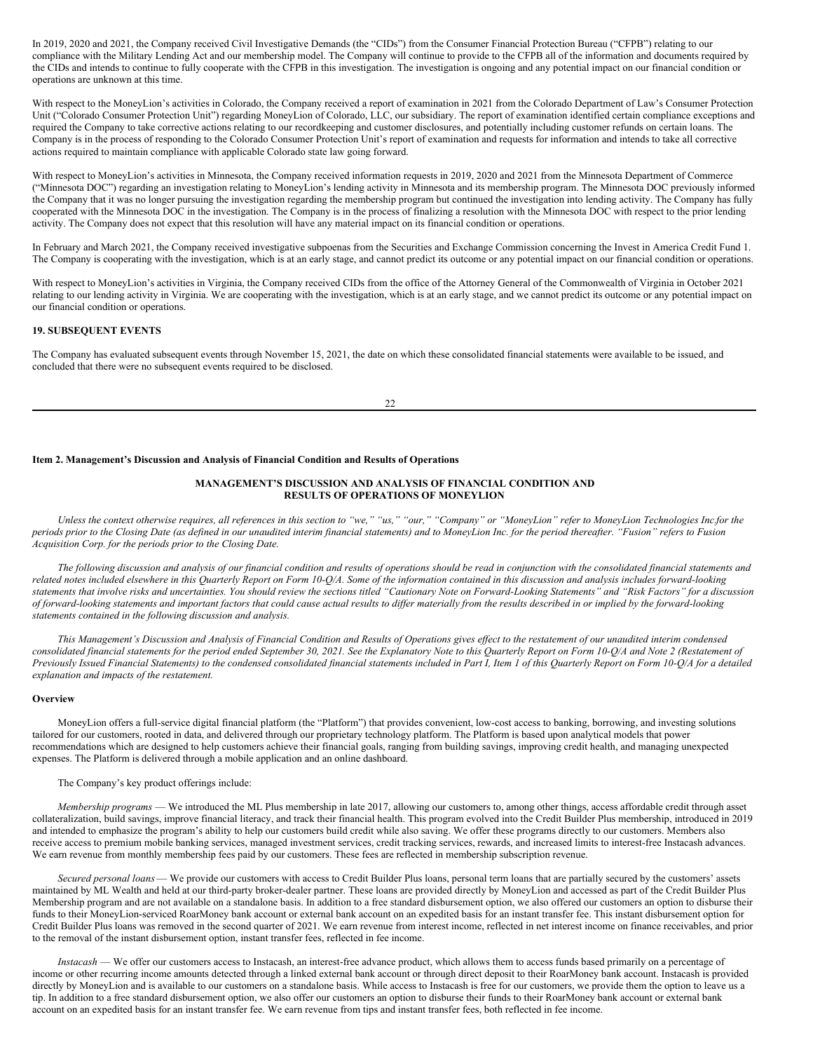In 2019, 2020 and 2021, the Company received Civil Investigative Demands (the "CIDs") from the Consumer Financial Protection Bureau ("CFPB") relating to our compliance with the Military Lending Act and our membership model. The Company will continue to provide to the CFPB all of the information and documents required by the CIDs and intends to continue to fully cooperate with the CFPB in this investigation. The investigation is ongoing and any potential impact on our financial condition or operations are unknown at this time.

With respect to the MoneyLion's activities in Colorado, the Company received a report of examination in 2021 from the Colorado Department of Law's Consumer Protection Unit ("Colorado Consumer Protection Unit") regarding MoneyLion of Colorado, LLC, our subsidiary. The report of examination identified certain compliance exceptions and required the Company to take corrective actions relating to our recordkeeping and customer disclosures, and potentially including customer refunds on certain loans. The Company is in the process of responding to the Colorado Consumer Protection Unit's report of examination and requests for information and intends to take all corrective actions required to maintain compliance with applicable Colorado state law going forward.

With respect to MoneyLion's activities in Minnesota, the Company received information requests in 2019, 2020 and 2021 from the Minnesota Department of Commerce ("Minnesota DOC") regarding an investigation relating to MoneyLion's lending activity in Minnesota and its membership program. The Minnesota DOC previously informed the Company that it was no longer pursuing the investigation regarding the membership program but continued the investigation into lending activity. The Company has fully cooperated with the Minnesota DOC in the investigation. The Company is in the process of finalizing a resolution with the Minnesota DOC with respect to the prior lending activity. The Company does not expect that this resolution will have any material impact on its financial condition or operations.

In February and March 2021, the Company received investigative subpoenas from the Securities and Exchange Commission concerning the Invest in America Credit Fund 1. The Company is cooperating with the investigation, which is at an early stage, and cannot predict its outcome or any potential impact on our financial condition or operations.

With respect to MoneyLion's activities in Virginia, the Company received CIDs from the office of the Attorney General of the Commonwealth of Virginia in October 2021 relating to our lending activity in Virginia. We are cooperating with the investigation, which is at an early stage, and we cannot predict its outcome or any potential impact on our financial condition or operations.

# **19. SUBSEQUENT EVENTS**

The Company has evaluated subsequent events through November 15, 2021, the date on which these consolidated financial statements were available to be issued, and concluded that there were no subsequent events required to be disclosed.

#### **Item 2. Management's Discussion and Analysis of Financial Condition and Results of Operations**

# **MANAGEMENT'S DISCUSSION AND ANALYSIS OF FINANCIAL CONDITION AND RESULTS OF OPERATIONS OF MONEYLION**

Unless the context otherwise requires, all references in this section to "we," "us," "Our," "Company" or "MoneyLion" refer to MoneyLion Technologies Inc.for the periods prior to the Closing Date (as defined in our unaudited interim financial statements) and to MoneyLion Inc. for the period thereafter. "Fusion" refers to Fusion *Acquisition Corp. for the periods prior to the Closing Date.*

The following discussion and analysis of our financial condition and results of operations should be read in conjunction with the consolidated financial statements and related notes included elsewhere in this Quarterly Report on Form 10-Q/A. Some of the information contained in this discussion and analysis includes forward-looking statements that involve risks and uncertainties. You should review the sections titled "Cautionary Note on Forward-Looking Statements" and "Risk Factors" for a discussion of forward-looking statements and important factors that could cause actual results to differ materially from the results described in or implied by the forward-looking *statements contained in the following discussion and analysis.*

This Management's Discussion and Analysis of Financial Condition and Results of Operations gives effect to the restatement of our unaudited interim condensed consolidated financial statements for the period ended September 30, 2021. See the Explanatory Note to this Quarterly Report on Form 10-Q/A and Note 2 (Restatement of Previously Issued Financial Statements) to the condensed consolidated financial statements included in Part I, Item 1 of this Quarterly Report on Form 10-Q/A for a detailed *explanation and impacts of the restatement.*

# **Overview**

MoneyLion offers a full-service digital financial platform (the "Platform") that provides convenient, low-cost access to banking, borrowing, and investing solutions tailored for our customers, rooted in data, and delivered through our proprietary technology platform. The Platform is based upon analytical models that power recommendations which are designed to help customers achieve their financial goals, ranging from building savings, improving credit health, and managing unexpected expenses. The Platform is delivered through a mobile application and an online dashboard.

The Company's key product offerings include:

*Membership programs* — We introduced the ML Plus membership in late 2017, allowing our customers to, among other things, access affordable credit through asset collateralization, build savings, improve financial literacy, and track their financial health. This program evolved into the Credit Builder Plus membership, introduced in 2019 and intended to emphasize the program's ability to help our customers build credit while also saving. We offer these programs directly to our customers. Members also receive access to premium mobile banking services, managed investment services, credit tracking services, rewards, and increased limits to interest-free Instacash advances. We earn revenue from monthly membership fees paid by our customers. These fees are reflected in membership subscription revenue.

*Secured personal loans* — We provide our customers with access to Credit Builder Plus loans, personal term loans that are partially secured by the customers' assets maintained by ML Wealth and held at our third-party broker-dealer partner. These loans are provided directly by MoneyLion and accessed as part of the Credit Builder Plus Membership program and are not available on a standalone basis. In addition to a free standard disbursement option, we also offered our customers an option to disburse their funds to their MoneyLion-serviced RoarMoney bank account or external bank account on an expedited basis for an instant transfer fee. This instant disbursement option for Credit Builder Plus loans was removed in the second quarter of 2021. We earn revenue from interest income, reflected in net interest income on finance receivables, and prior to the removal of the instant disbursement option, instant transfer fees, reflected in fee income.

*Instacash* — We offer our customers access to Instacash, an interest-free advance product, which allows them to access funds based primarily on a percentage of income or other recurring income amounts detected through a linked external bank account or through direct deposit to their RoarMoney bank account. Instacash is provided directly by MoneyLion and is available to our customers on a standalone basis. While access to Instacash is free for our customers, we provide them the option to leave us a tip. In addition to a free standard disbursement option, we also offer our customers an option to disburse their funds to their RoarMoney bank account or external bank account on an expedited basis for an instant transfer fee. We earn revenue from tips and instant transfer fees, both reflected in fee income.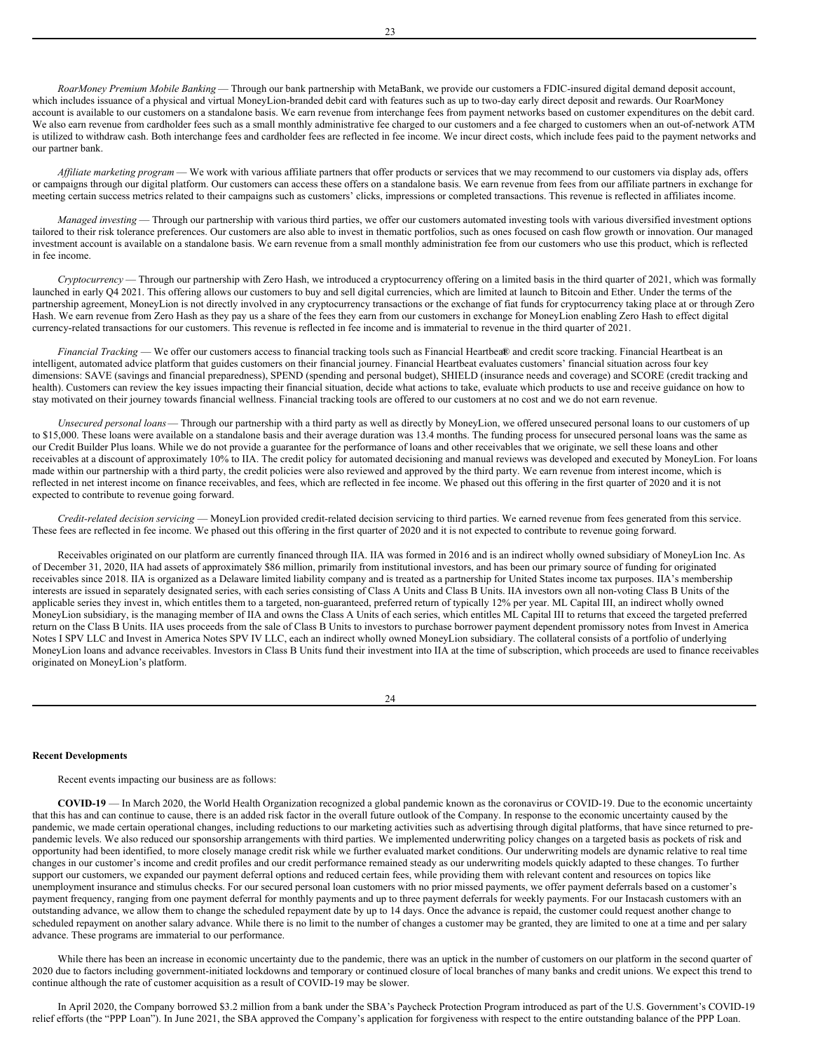*RoarMoney Premium Mobile Banking* — Through our bank partnership with MetaBank, we provide our customers a FDIC-insured digital demand deposit account, which includes issuance of a physical and virtual MoneyLion-branded debit card with features such as up to two-day early direct deposit and rewards. Our RoarMoney account is available to our customers on a standalone basis. We earn revenue from interchange fees from payment networks based on customer expenditures on the debit card. We also earn revenue from cardholder fees such as a small monthly administrative fee charged to our customers and a fee charged to customers when an out-of-network ATM is utilized to withdraw cash. Both interchange fees and cardholder fees are reflected in fee income. We incur direct costs, which include fees paid to the payment networks and our partner bank.

*Af iliate marketing program* — We work with various affiliate partners that offer products or services that we may recommend to our customers via display ads, offers or campaigns through our digital platform. Our customers can access these offers on a standalone basis. We earn revenue from fees from our affiliate partners in exchange for meeting certain success metrics related to their campaigns such as customers' clicks, impressions or completed transactions. This revenue is reflected in affiliates income.

*Managed investing* — Through our partnership with various third parties, we offer our customers automated investing tools with various diversified investment options tailored to their risk tolerance preferences. Our customers are also able to invest in thematic portfolios, such as ones focused on cash flow growth or innovation. Our managed investment account is available on a standalone basis. We earn revenue from a small monthly administration fee from our customers who use this product, which is reflected in fee income.

*Cryptocurrency* — Through our partnership with Zero Hash, we introduced a cryptocurrency offering on a limited basis in the third quarter of 2021, which was formally launched in early Q4 2021. This offering allows our customers to buy and sell digital currencies, which are limited at launch to Bitcoin and Ether. Under the terms of the partnership agreement, MoneyLion is not directly involved in any cryptocurrency transactions or the exchange of fiat funds for cryptocurrency taking place at or through Zero Hash. We earn revenue from Zero Hash as they pay us a share of the fees they earn from our customers in exchange for MoneyLion enabling Zero Hash to effect digital currency-related transactions for our customers. This revenue is reflected in fee income and is immaterial to revenue in the third quarter of 2021.

*Financial Tracking* — We offer our customers access to financial tracking tools such as Financial Heartbea® and credit score tracking. Financial Heartbeat is an intelligent, automated advice platform that guides customers on their financial journey. Financial Heartbeat evaluates customers' financial situation across four key dimensions: SAVE (savings and financial preparedness), SPEND (spending and personal budget), SHIELD (insurance needs and coverage) and SCORE (credit tracking and health). Customers can review the key issues impacting their financial situation, decide what actions to take, evaluate which products to use and receive guidance on how to stay motivated on their journey towards financial wellness. Financial tracking tools are offered to our customers at no cost and we do not earn revenue.

*Unsecured personal loans*— Through our partnership with a third party as well as directly by MoneyLion, we offered unsecured personal loans to our customers of up to \$15,000. These loans were available on a standalone basis and their average duration was 13.4 months. The funding process for unsecured personal loans was the same as our Credit Builder Plus loans. While we do not provide a guarantee for the performance of loans and other receivables that we originate, we sell these loans and other receivables at a discount of approximately 10% to IIA. The credit policy for automated decisioning and manual reviews was developed and executed by MoneyLion. For loans made within our partnership with a third party, the credit policies were also reviewed and approved by the third party. We earn revenue from interest income, which is reflected in net interest income on finance receivables, and fees, which are reflected in fee income. We phased out this offering in the first quarter of 2020 and it is not expected to contribute to revenue going forward.

*Credit-related decision servicing* — MoneyLion provided credit-related decision servicing to third parties. We earned revenue from fees generated from this service. These fees are reflected in fee income. We phased out this offering in the first quarter of 2020 and it is not expected to contribute to revenue going forward.

Receivables originated on our platform are currently financed through IIA. IIA was formed in 2016 and is an indirect wholly owned subsidiary of MoneyLion Inc. As of December 31, 2020, IIA had assets of approximately \$86 million, primarily from institutional investors, and has been our primary source of funding for originated receivables since 2018. IIA is organized as a Delaware limited liability company and is treated as a partnership for United States income tax purposes. IIA's membership interests are issued in separately designated series, with each series consisting of Class A Units and Class B Units. IIA investors own all non-voting Class B Units of the applicable series they invest in, which entitles them to a targeted, non-guaranteed, preferred return of typically 12% per year. ML Capital III, an indirect wholly owned MoneyLion subsidiary, is the managing member of IIA and owns the Class A Units of each series, which entitles ML Capital III to returns that exceed the targeted preferred return on the Class B Units. IIA uses proceeds from the sale of Class B Units to investors to purchase borrower payment dependent promissory notes from Invest in America Notes I SPV LLC and Invest in America Notes SPV IV LLC, each an indirect wholly owned MoneyLion subsidiary. The collateral consists of a portfolio of underlying MoneyLion loans and advance receivables. Investors in Class B Units fund their investment into IIA at the time of subscription, which proceeds are used to finance receivables originated on MoneyLion's platform.

#### **Recent Developments**

Recent events impacting our business are as follows:

**COVID-19** — In March 2020, the World Health Organization recognized a global pandemic known as the coronavirus or COVID-19. Due to the economic uncertainty that this has and can continue to cause, there is an added risk factor in the overall future outlook of the Company. In response to the economic uncertainty caused by the pandemic, we made certain operational changes, including reductions to our marketing activities such as advertising through digital platforms, that have since returned to prepandemic levels. We also reduced our sponsorship arrangements with third parties. We implemented underwriting policy changes on a targeted basis as pockets of risk and opportunity had been identified, to more closely manage credit risk while we further evaluated market conditions. Our underwriting models are dynamic relative to real time changes in our customer's income and credit profiles and our credit performance remained steady as our underwriting models quickly adapted to these changes. To further support our customers, we expanded our payment deferral options and reduced certain fees, while providing them with relevant content and resources on topics like unemployment insurance and stimulus checks. For our secured personal loan customers with no prior missed payments, we offer payment deferrals based on a customer's payment frequency, ranging from one payment deferral for monthly payments and up to three payment deferrals for weekly payments. For our Instacash customers with an outstanding advance, we allow them to change the scheduled repayment date by up to 14 days. Once the advance is repaid, the customer could request another change to scheduled repayment on another salary advance. While there is no limit to the number of changes a customer may be granted, they are limited to one at a time and per salary advance. These programs are immaterial to our performance.

While there has been an increase in economic uncertainty due to the pandemic, there was an uptick in the number of customers on our platform in the second quarter of 2020 due to factors including government-initiated lockdowns and temporary or continued closure of local branches of many banks and credit unions. We expect this trend to continue although the rate of customer acquisition as a result of COVID-19 may be slower.

In April 2020, the Company borrowed \$3.2 million from a bank under the SBA's Paycheck Protection Program introduced as part of the U.S. Government's COVID-19 relief efforts (the "PPP Loan"). In June 2021, the SBA approved the Company's application for forgiveness with respect to the entire outstanding balance of the PPP Loan.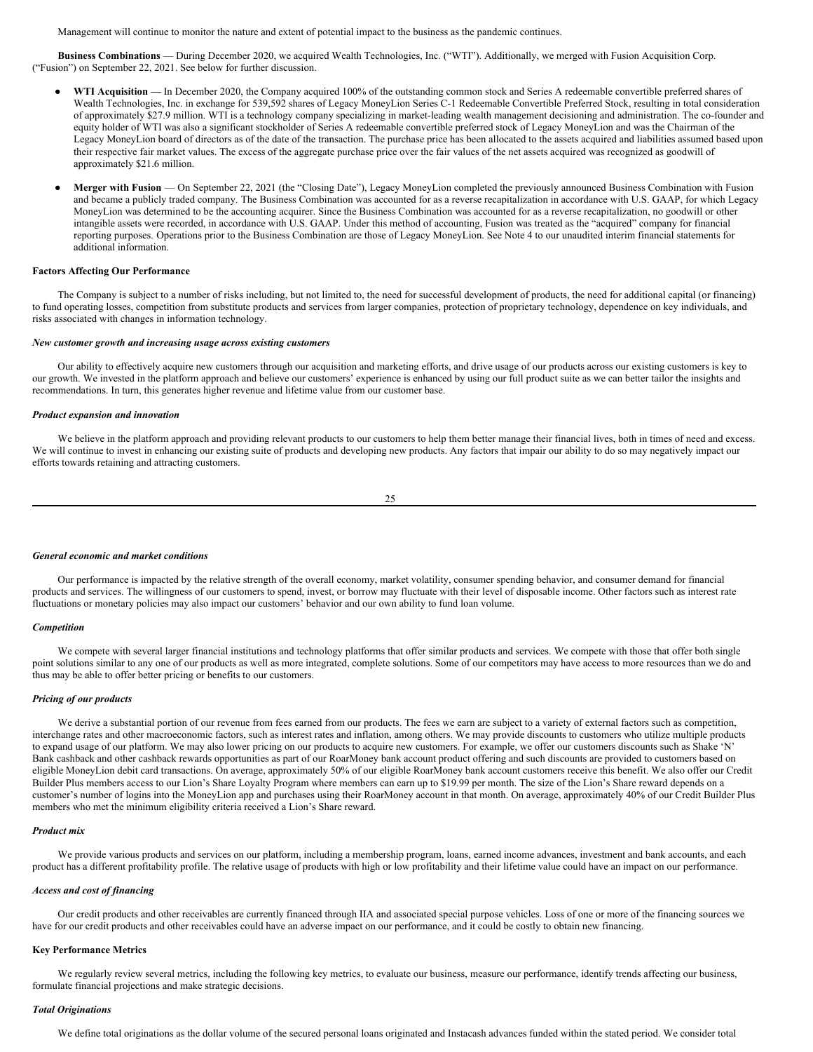Management will continue to monitor the nature and extent of potential impact to the business as the pandemic continues.

**Business Combinations** — During December 2020, we acquired Wealth Technologies, Inc. ("WTI"). Additionally, we merged with Fusion Acquisition Corp. ("Fusion") on September 22, 2021. See below for further discussion.

- WTI Acquisition In December 2020, the Company acquired 100% of the outstanding common stock and Series A redeemable convertible preferred shares of Wealth Technologies, Inc. in exchange for 539,592 shares of Legacy MoneyLion Series C-1 Redeemable Convertible Preferred Stock, resulting in total consideration of approximately \$27.9 million. WTI is a technology company specializing in market-leading wealth management decisioning and administration. The co-founder and equity holder of WTI was also a significant stockholder of Series A redeemable convertible preferred stock of Legacy MoneyLion and was the Chairman of the Legacy MoneyLion board of directors as of the date of the transaction. The purchase price has been allocated to the assets acquired and liabilities assumed based upon their respective fair market values. The excess of the aggregate purchase price over the fair values of the net assets acquired was recognized as goodwill of approximately \$21.6 million.
- Merger with Fusion On September 22, 2021 (the "Closing Date"), Legacy MoneyLion completed the previously announced Business Combination with Fusion and became a publicly traded company. The Business Combination was accounted for as a reverse recapitalization in accordance with U.S. GAAP, for which Legacy MoneyLion was determined to be the accounting acquirer. Since the Business Combination was accounted for as a reverse recapitalization, no goodwill or other intangible assets were recorded, in accordance with U.S. GAAP. Under this method of accounting, Fusion was treated as the "acquired" company for financial reporting purposes. Operations prior to the Business Combination are those of Legacy MoneyLion. See Note 4 to our unaudited interim financial statements for additional information.

#### **Factors Affecting Our Performance**

The Company is subject to a number of risks including, but not limited to, the need for successful development of products, the need for additional capital (or financing) to fund operating losses, competition from substitute products and services from larger companies, protection of proprietary technology, dependence on key individuals, and risks associated with changes in information technology.

#### *New customer growth and increasing usage across existing customers*

Our ability to effectively acquire new customers through our acquisition and marketing efforts, and drive usage of our products across our existing customers is key to our growth. We invested in the platform approach and believe our customers' experience is enhanced by using our full product suite as we can better tailor the insights and recommendations. In turn, this generates higher revenue and lifetime value from our customer base.

#### *Product expansion and innovation*

We believe in the platform approach and providing relevant products to our customers to help them better manage their financial lives, both in times of need and excess. We will continue to invest in enhancing our existing suite of products and developing new products. Any factors that impair our ability to do so may negatively impact our efforts towards retaining and attracting customers.

25

#### *General economic and market conditions*

Our performance is impacted by the relative strength of the overall economy, market volatility, consumer spending behavior, and consumer demand for financial products and services. The willingness of our customers to spend, invest, or borrow may fluctuate with their level of disposable income. Other factors such as interest rate fluctuations or monetary policies may also impact our customers' behavior and our own ability to fund loan volume.

#### *Competition*

We compete with several larger financial institutions and technology platforms that offer similar products and services. We compete with those that offer both single point solutions similar to any one of our products as well as more integrated, complete solutions. Some of our competitors may have access to more resources than we do and thus may be able to offer better pricing or benefits to our customers.

#### *Pricing of our products*

We derive a substantial portion of our revenue from fees earned from our products. The fees we earn are subject to a variety of external factors such as competition, interchange rates and other macroeconomic factors, such as interest rates and inflation, among others. We may provide discounts to customers who utilize multiple products to expand usage of our platform. We may also lower pricing on our products to acquire new customers. For example, we offer our customers discounts such as Shake 'N' Bank cashback and other cashback rewards opportunities as part of our RoarMoney bank account product offering and such discounts are provided to customers based on eligible MoneyLion debit card transactions. On average, approximately 50% of our eligible RoarMoney bank account customers receive this benefit. We also offer our Credit Builder Plus members access to our Lion's Share Loyalty Program where members can earn up to \$19.99 per month. The size of the Lion's Share reward depends on a customer's number of logins into the MoneyLion app and purchases using their RoarMoney account in that month. On average, approximately 40% of our Credit Builder Plus members who met the minimum eligibility criteria received a Lion's Share reward.

#### *Product mix*

We provide various products and services on our platform, including a membership program, loans, earned income advances, investment and bank accounts, and each product has a different profitability profile. The relative usage of products with high or low profitability and their lifetime value could have an impact on our performance.

#### *Access and cost of financing*

Our credit products and other receivables are currently financed through IIA and associated special purpose vehicles. Loss of one or more of the financing sources we have for our credit products and other receivables could have an adverse impact on our performance, and it could be costly to obtain new financing.

#### **Key Performance Metrics**

We regularly review several metrics, including the following key metrics, to evaluate our business, measure our performance, identify trends affecting our business, formulate financial projections and make strategic decisions.

#### *Total Originations*

We define total originations as the dollar volume of the secured personal loans originated and Instacash advances funded within the stated period. We consider total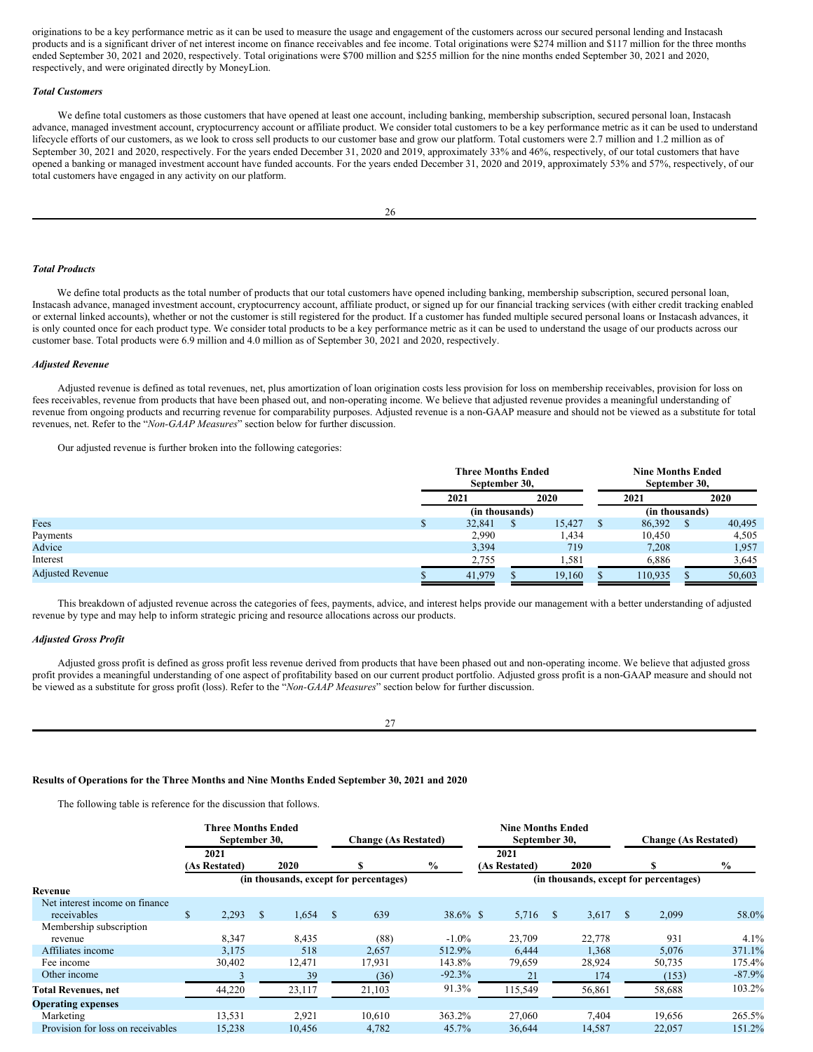originations to be a key performance metric as it can be used to measure the usage and engagement of the customers across our secured personal lending and Instacash products and is a significant driver of net interest income on finance receivables and fee income. Total originations were \$274 million and \$117 million for the three months ended September 30, 2021 and 2020, respectively. Total originations were \$700 million and \$255 million for the nine months ended September 30, 2021 and 2020, respectively, and were originated directly by MoneyLion.

#### *Total Customers*

We define total customers as those customers that have opened at least one account, including banking, membership subscription, secured personal loan, Instacash advance, managed investment account, cryptocurrency account or affiliate product. We consider total customers to be a key performance metric as it can be used to understand lifecycle efforts of our customers, as we look to cross sell products to our customer base and grow our platform. Total customers were 2.7 million and 1.2 million as of September 30, 2021 and 2020, respectively. For the years ended December 31, 2020 and 2019, approximately 33% and 46%, respectively, of our total customers that have opened a banking or managed investment account have funded accounts. For the years ended December 31, 2020 and 2019, approximately 53% and 57%, respectively, of our total customers have engaged in any activity on our platform.

#### *Total Products*

We define total products as the total number of products that our total customers have opened including banking, membership subscription, secured personal loan, Instacash advance, managed investment account, cryptocurrency account, affiliate product, or signed up for our financial tracking services (with either credit tracking enabled or external linked accounts), whether or not the customer is still registered for the product. If a customer has funded multiple secured personal loans or Instacash advances, it is only counted once for each product type. We consider total products to be a key performance metric as it can be used to understand the usage of our products across our customer base. Total products were 6.9 million and 4.0 million as of September 30, 2021 and 2020, respectively.

#### *Adjusted Revenue*

Adjusted revenue is defined as total revenues, net, plus amortization of loan origination costs less provision for loss on membership receivables, provision for loss on fees receivables, revenue from products that have been phased out, and non-operating income. We believe that adjusted revenue provides a meaningful understanding of revenue from ongoing products and recurring revenue for comparability purposes. Adjusted revenue is a non-GAAP measure and should not be viewed as a substitute for total revenues, net. Refer to the "*Non-GAAP Measures*" section below for further discussion.

Our adjusted revenue is further broken into the following categories:

|                         | <b>Three Months Ended</b><br>September 30, |  |        |                | <b>Nine Months Ended</b><br>September 30, |      |        |  |
|-------------------------|--------------------------------------------|--|--------|----------------|-------------------------------------------|------|--------|--|
|                         | 2021                                       |  | 2020   |                | 2021                                      | 2020 |        |  |
|                         | (in thousands)                             |  |        | (in thousands) |                                           |      |        |  |
| Fees                    | 32,841                                     |  | 15,427 |                | 86,392                                    |      | 40,495 |  |
| Payments                | 2,990                                      |  | l,434  |                | 10.450                                    |      | 4,505  |  |
| Advice                  | 3,394                                      |  | 719    |                | 7,208                                     |      | 1,957  |  |
| Interest                | 2,755                                      |  | 1,581  |                | 6,886                                     |      | 3,645  |  |
| <b>Adjusted Revenue</b> | 41,979                                     |  | 19,160 |                | 110,935                                   |      | 50,603 |  |

This breakdown of adjusted revenue across the categories of fees, payments, advice, and interest helps provide our management with a better understanding of adjusted revenue by type and may help to inform strategic pricing and resource allocations across our products.

#### *Adjusted Gross Profit*

Adjusted gross profit is defined as gross profit less revenue derived from products that have been phased out and non-operating income. We believe that adjusted gross profit provides a meaningful understanding of one aspect of profitability based on our current product portfolio. Adjusted gross profit is a non-GAAP measure and should not be viewed as a substitute for gross profit (loss). Refer to the "*Non-GAAP Measures*" section below for further discussion.

27

#### **Results of Operations for the Three Months and Nine Months Ended September 30, 2021 and 2020**

The following table is reference for the discussion that follows.

|                                   | Three Months Ended<br>September 30, |               |        |      | <b>Change (As Restated)</b>            |             | <b>Nine Months Ended</b><br>September 30, |               |        |              | <b>Change (As Restated)</b>            |               |
|-----------------------------------|-------------------------------------|---------------|--------|------|----------------------------------------|-------------|-------------------------------------------|---------------|--------|--------------|----------------------------------------|---------------|
|                                   | 2021                                |               |        |      |                                        |             | 2021                                      |               |        |              |                                        |               |
|                                   | (As Restated)                       |               | 2020   |      |                                        | $\%$        | (As Restated)                             |               | 2020   |              |                                        | $\frac{6}{6}$ |
|                                   |                                     |               |        |      | (in thousands, except for percentages) |             |                                           |               |        |              | (in thousands, except for percentages) |               |
| Revenue                           |                                     |               |        |      |                                        |             |                                           |               |        |              |                                        |               |
| Net interest income on finance    |                                     |               |        |      |                                        |             |                                           |               |        |              |                                        |               |
| receivables                       | \$<br>2,293                         | <sup>\$</sup> | 1,654  | - \$ | 639                                    | $38.6\%$ \$ | 5,716                                     | <sup>\$</sup> | 3,617  | <sup>S</sup> | 2,099                                  | 58.0%         |
| Membership subscription           |                                     |               |        |      |                                        |             |                                           |               |        |              |                                        |               |
| revenue                           | 8,347                               |               | 8,435  |      | (88)                                   | $-1.0\%$    | 23,709                                    |               | 22,778 |              | 931                                    | 4.1%          |
| Affiliates income                 | 3,175                               |               | 518    |      | 2,657                                  | 512.9%      | 6,444                                     |               | 1,368  |              | 5,076                                  | 371.1%        |
| Fee income                        | 30,402                              |               | 12,471 |      | 17,931                                 | 143.8%      | 79,659                                    |               | 28,924 |              | 50,735                                 | 175.4%        |
| Other income                      |                                     |               | 39     |      | (36)                                   | $-92.3%$    | 21                                        |               | 174    |              | (153)                                  | $-87.9%$      |
| <b>Total Revenues, net</b>        | 44,220                              |               | 23,117 |      | 21,103                                 | 91.3%       | 115,549                                   |               | 56,861 |              | 58,688                                 | 103.2%        |
| <b>Operating expenses</b>         |                                     |               |        |      |                                        |             |                                           |               |        |              |                                        |               |
| Marketing                         | 13,531                              |               | 2,921  |      | 10.610                                 | 363.2%      | 27,060                                    |               | 7.404  |              | 19,656                                 | 265.5%        |
| Provision for loss on receivables | 15,238                              |               | 10,456 |      | 4,782                                  | 45.7%       | 36,644                                    |               | 14,587 |              | 22,057                                 | 151.2%        |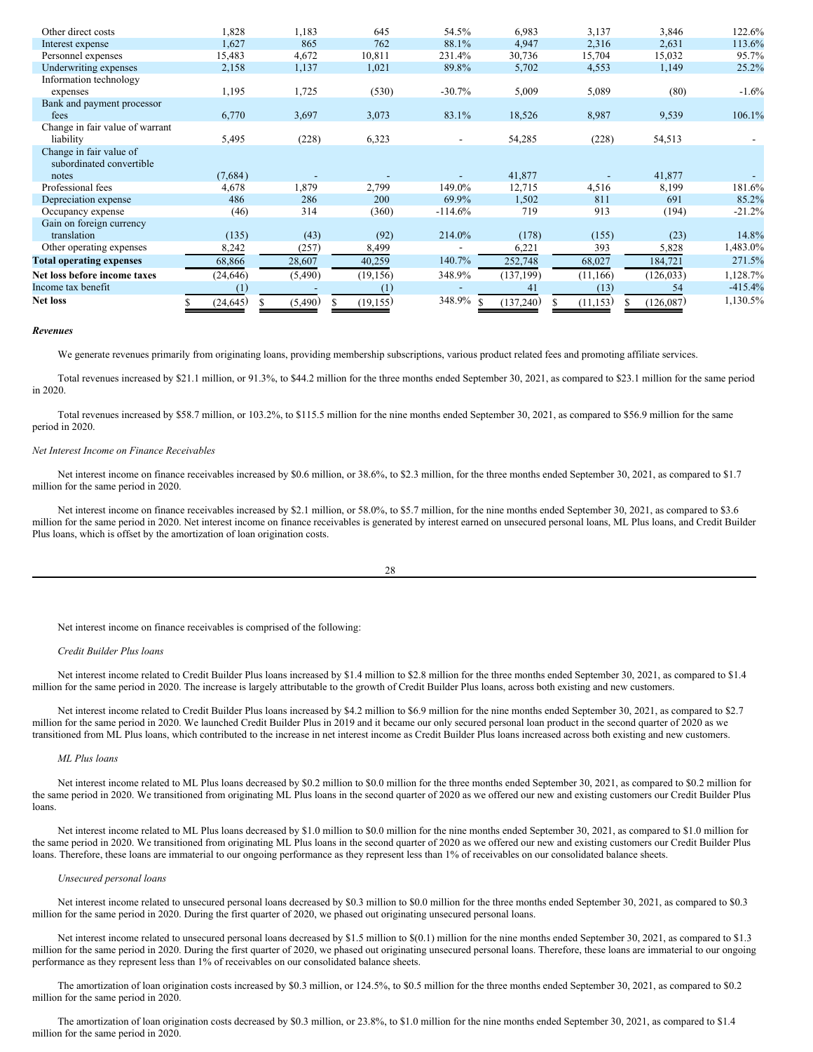| Other direct costs              | 1,828     | 1,183   | 645       | 54.5%                    | 6,983      | 3,137     | 3,846      | 122.6%    |
|---------------------------------|-----------|---------|-----------|--------------------------|------------|-----------|------------|-----------|
| Interest expense                | 1,627     | 865     | 762       | 88.1%                    | 4,947      | 2,316     | 2,631      | 113.6%    |
| Personnel expenses              | 15,483    | 4,672   | 10,811    | 231.4%                   | 30,736     | 15,704    | 15,032     | 95.7%     |
| Underwriting expenses           | 2,158     | 1,137   | 1,021     | 89.8%                    | 5,702      | 4,553     | 1,149      | 25.2%     |
| Information technology          |           |         |           |                          |            |           |            |           |
| expenses                        | 1,195     | 1,725   | (530)     | $-30.7%$                 | 5,009      | 5,089     | (80)       | $-1.6%$   |
| Bank and payment processor      |           |         |           |                          |            |           |            |           |
| fees                            | 6,770     | 3,697   | 3,073     | 83.1%                    | 18,526     | 8,987     | 9,539      | 106.1%    |
| Change in fair value of warrant |           |         |           |                          |            |           |            |           |
| liability                       | 5,495     | (228)   | 6,323     | $\overline{\phantom{a}}$ | 54,285     | (228)     | 54,513     |           |
| Change in fair value of         |           |         |           |                          |            |           |            |           |
| subordinated convertible        |           |         |           |                          |            |           |            |           |
| notes                           | (7,684)   |         |           |                          | 41,877     |           | 41,877     |           |
| Professional fees               | 4,678     | 1,879   | 2,799     | 149.0%                   | 12,715     | 4,516     | 8,199      | 181.6%    |
| Depreciation expense            | 486       | 286     | 200       | 69.9%                    | 1,502      | 811       | 691        | 85.2%     |
| Occupancy expense               | (46)      | 314     | (360)     | $-114.6%$                | 719        | 913       | (194)      | $-21.2%$  |
| Gain on foreign currency        |           |         |           |                          |            |           |            |           |
| translation                     | (135)     | (43)    | (92)      | 214.0%                   | (178)      | (155)     | (23)       | 14.8%     |
| Other operating expenses        | 8,242     | (257)   | 8,499     |                          | 6,221      | 393       | 5,828      | 1,483.0%  |
| <b>Total operating expenses</b> | 68,866    | 28,607  | 40,259    | 140.7%                   | 252,748    | 68,027    | 184,721    | 271.5%    |
| Net loss before income taxes    | (24, 646) | (5,490) | (19, 156) | 348.9%                   | (137, 199) | (11, 166) | (126, 033) | 1,128.7%  |
| Income tax benefit              | (1)       |         | (1)       |                          | 41         | (13)      | 54         | $-415.4%$ |
| <b>Net loss</b>                 | (24, 645) | (5,490) | (19, 155) | 348.9%                   | (137,240)  | (11, 153) | (126,087)  | 1,130.5%  |

#### *Revenues*

We generate revenues primarily from originating loans, providing membership subscriptions, various product related fees and promoting affiliate services.

Total revenues increased by \$21.1 million, or 91.3%, to \$44.2 million for the three months ended September 30, 2021, as compared to \$23.1 million for the same period in 2020.

Total revenues increased by \$58.7 million, or 103.2%, to \$115.5 million for the nine months ended September 30, 2021, as compared to \$56.9 million for the same period in 2020.

#### *Net Interest Income on Finance Receivables*

Net interest income on finance receivables increased by \$0.6 million, or 38.6%, to \$2.3 million, for the three months ended September 30, 2021, as compared to \$1.7 million for the same period in 2020.

Net interest income on finance receivables increased by \$2.1 million, or 58.0%, to \$5.7 million, for the nine months ended September 30, 2021, as compared to \$3.6 million for the same period in 2020. Net interest income on finance receivables is generated by interest earned on unsecured personal loans, ML Plus loans, and Credit Builder Plus loans, which is offset by the amortization of loan origination costs.

28

Net interest income on finance receivables is comprised of the following:

#### *Credit Builder Plus loans*

Net interest income related to Credit Builder Plus loans increased by \$1.4 million to \$2.8 million for the three months ended September 30, 2021, as compared to \$1.4 million for the same period in 2020. The increase is largely attributable to the growth of Credit Builder Plus loans, across both existing and new customers.

Net interest income related to Credit Builder Plus loans increased by \$4.2 million to \$6.9 million for the nine months ended September 30, 2021, as compared to \$2.7 million for the same period in 2020. We launched Credit Builder Plus in 2019 and it became our only secured personal loan product in the second quarter of 2020 as we transitioned from ML Plus loans, which contributed to the increase in net interest income as Credit Builder Plus loans increased across both existing and new customers.

# *ML Plus loans*

Net interest income related to ML Plus loans decreased by \$0.2 million to \$0.0 million for the three months ended September 30, 2021, as compared to \$0.2 million for the same period in 2020. We transitioned from originating ML Plus loans in the second quarter of 2020 as we offered our new and existing customers our Credit Builder Plus loans.

Net interest income related to ML Plus loans decreased by \$1.0 million to \$0.0 million for the nine months ended September 30, 2021, as compared to \$1.0 million for the same period in 2020. We transitioned from originating ML Plus loans in the second quarter of 2020 as we offered our new and existing customers our Credit Builder Plus loans. Therefore, these loans are immaterial to our ongoing performance as they represent less than 1% of receivables on our consolidated balance sheets.

#### *Unsecured personal loans*

Net interest income related to unsecured personal loans decreased by \$0.3 million to \$0.0 million for the three months ended September 30, 2021, as compared to \$0.3 million for the same period in 2020. During the first quarter of 2020, we phased out originating unsecured personal loans.

Net interest income related to unsecured personal loans decreased by \$1.5 million to \$(0.1) million for the nine months ended September 30, 2021, as compared to \$1.3 million for the same period in 2020. During the first quarter of 2020, we phased out originating unsecured personal loans. Therefore, these loans are immaterial to our ongoing performance as they represent less than 1% of receivables on our consolidated balance sheets.

The amortization of loan origination costs increased by \$0.3 million, or 124.5%, to \$0.5 million for the three months ended September 30, 2021, as compared to \$0.2 million for the same period in 2020.

The amortization of loan origination costs decreased by \$0.3 million, or 23.8%, to \$1.0 million for the nine months ended September 30, 2021, as compared to \$1.4 million for the same period in 2020.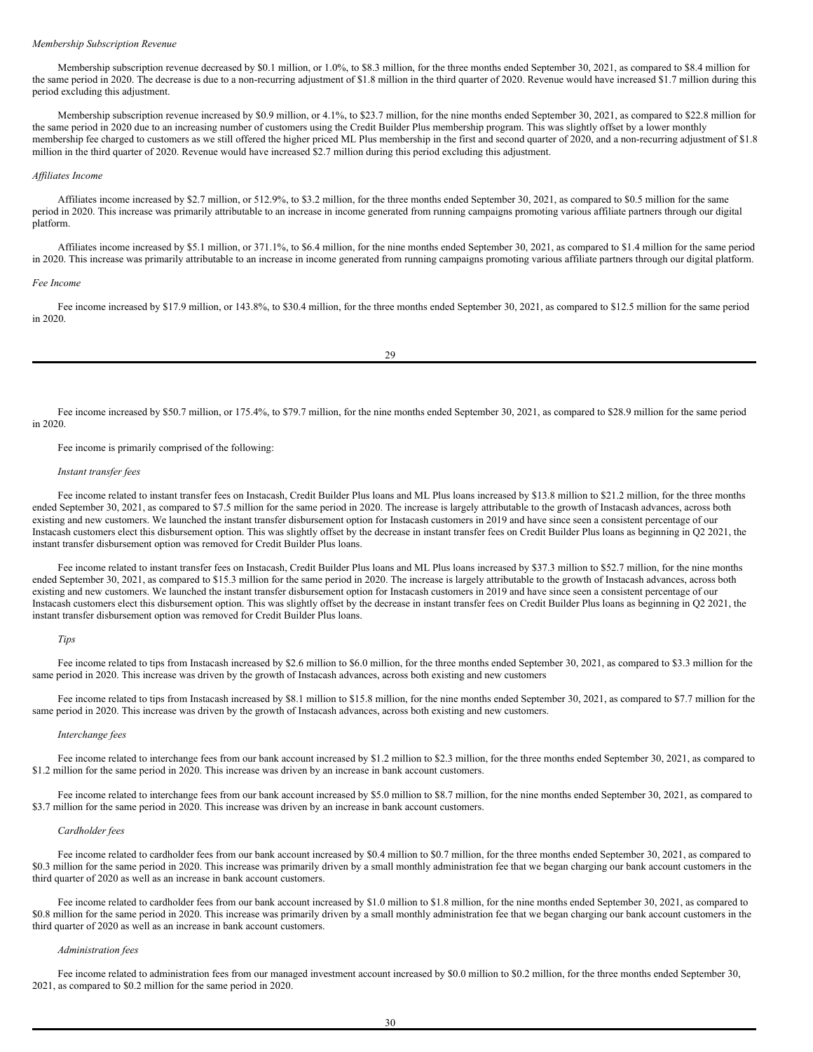#### *Membership Subscription Revenue*

Membership subscription revenue decreased by \$0.1 million, or 1.0%, to \$8.3 million, for the three months ended September 30, 2021, as compared to \$8.4 million for the same period in 2020. The decrease is due to a non-recurring adjustment of \$1.8 million in the third quarter of 2020. Revenue would have increased \$1.7 million during this period excluding this adjustment.

Membership subscription revenue increased by \$0.9 million, or 4.1%, to \$23.7 million, for the nine months ended September 30, 2021, as compared to \$22.8 million for the same period in 2020 due to an increasing number of customers using the Credit Builder Plus membership program. This was slightly offset by a lower monthly membership fee charged to customers as we still offered the higher priced ML Plus membership in the first and second quarter of 2020, and a non-recurring adjustment of \$1.8 million in the third quarter of 2020. Revenue would have increased \$2.7 million during this period excluding this adjustment.

# *Af iliates Income*

Affiliates income increased by \$2.7 million, or 512.9%, to \$3.2 million, for the three months ended September 30, 2021, as compared to \$0.5 million for the same period in 2020. This increase was primarily attributable to an increase in income generated from running campaigns promoting various affiliate partners through our digital platform.

Affiliates income increased by \$5.1 million, or 371.1%, to \$6.4 million, for the nine months ended September 30, 2021, as compared to \$1.4 million for the same period in 2020. This increase was primarily attributable to an increase in income generated from running campaigns promoting various affiliate partners through our digital platform.

#### *Fee Income*

Fee income increased by \$17.9 million, or 143.8%, to \$30.4 million, for the three months ended September 30, 2021, as compared to \$12.5 million for the same period in 2020.

Fee income increased by \$50.7 million, or 175.4%, to \$79.7 million, for the nine months ended September 30, 2021, as compared to \$28.9 million for the same period in 2020.

Fee income is primarily comprised of the following:

#### *Instant transfer fees*

Fee income related to instant transfer fees on Instacash, Credit Builder Plus loans and ML Plus loans increased by \$13.8 million to \$21.2 million, for the three months ended September 30, 2021, as compared to \$7.5 million for the same period in 2020. The increase is largely attributable to the growth of Instacash advances, across both existing and new customers. We launched the instant transfer disbursement option for Instacash customers in 2019 and have since seen a consistent percentage of our Instacash customers elect this disbursement option. This was slightly offset by the decrease in instant transfer fees on Credit Builder Plus loans as beginning in Q2 2021, the instant transfer disbursement option was removed for Credit Builder Plus loans.

Fee income related to instant transfer fees on Instacash, Credit Builder Plus loans and ML Plus loans increased by \$37.3 million to \$52.7 million, for the nine months ended September 30, 2021, as compared to \$15.3 million for the same period in 2020. The increase is largely attributable to the growth of Instacash advances, across both existing and new customers. We launched the instant transfer disbursement option for Instacash customers in 2019 and have since seen a consistent percentage of our Instacash customers elect this disbursement option. This was slightly offset by the decrease in instant transfer fees on Credit Builder Plus loans as beginning in Q2 2021, the instant transfer disbursement option was removed for Credit Builder Plus loans.

#### *Tips*

Fee income related to tips from Instacash increased by \$2.6 million to \$6.0 million, for the three months ended September 30, 2021, as compared to \$3.3 million for the same period in 2020. This increase was driven by the growth of Instacash advances, across both existing and new customers

Fee income related to tips from Instacash increased by \$8.1 million to \$15.8 million, for the nine months ended September 30, 2021, as compared to \$7.7 million for the same period in 2020. This increase was driven by the growth of Instacash advances, across both existing and new customers.

#### *Interchange fees*

Fee income related to interchange fees from our bank account increased by \$1.2 million to \$2.3 million, for the three months ended September 30, 2021, as compared to \$1.2 million for the same period in 2020. This increase was driven by an increase in bank account customers.

Fee income related to interchange fees from our bank account increased by \$5.0 million to \$8.7 million, for the nine months ended September 30, 2021, as compared to \$3.7 million for the same period in 2020. This increase was driven by an increase in bank account customers.

#### *Cardholder fees*

Fee income related to cardholder fees from our bank account increased by \$0.4 million to \$0.7 million, for the three months ended September 30, 2021, as compared to \$0.3 million for the same period in 2020. This increase was primarily driven by a small monthly administration fee that we began charging our bank account customers in the third quarter of 2020 as well as an increase in bank account customers.

Fee income related to cardholder fees from our bank account increased by \$1.0 million to \$1.8 million, for the nine months ended September 30, 2021, as compared to \$0.8 million for the same period in 2020. This increase was primarily driven by a small monthly administration fee that we began charging our bank account customers in the third quarter of 2020 as well as an increase in bank account customers.

## *Administration fees*

Fee income related to administration fees from our managed investment account increased by \$0.0 million to \$0.2 million, for the three months ended September 30, 2021, as compared to \$0.2 million for the same period in 2020.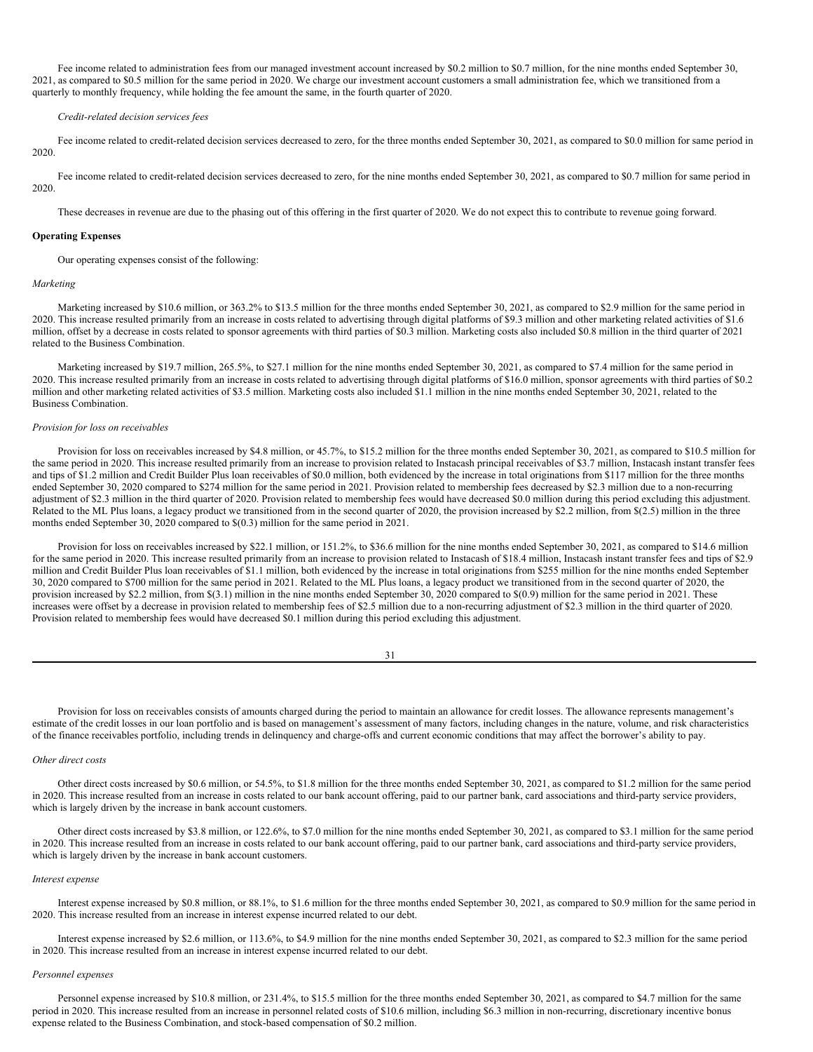Fee income related to administration fees from our managed investment account increased by \$0.2 million to \$0.7 million, for the nine months ended September 30, 2021, as compared to \$0.5 million for the same period in 2020. We charge our investment account customers a small administration fee, which we transitioned from a quarterly to monthly frequency, while holding the fee amount the same, in the fourth quarter of 2020.

# *Credit-related decision services fees*

Fee income related to credit-related decision services decreased to zero, for the three months ended September 30, 2021, as compared to \$0.0 million for same period in 2020.

Fee income related to credit-related decision services decreased to zero, for the nine months ended September 30, 2021, as compared to \$0.7 million for same period in 2020.

These decreases in revenue are due to the phasing out of this offering in the first quarter of 2020. We do not expect this to contribute to revenue going forward.

# **Operating Expenses**

Our operating expenses consist of the following:

#### *Marketing*

Marketing increased by \$10.6 million, or 363.2% to \$13.5 million for the three months ended September 30, 2021, as compared to \$2.9 million for the same period in 2020. This increase resulted primarily from an increase in costs related to advertising through digital platforms of \$9.3 million and other marketing related activities of \$1.6 million, offset by a decrease in costs related to sponsor agreements with third parties of \$0.3 million. Marketing costs also included \$0.8 million in the third quarter of 2021 related to the Business Combination.

Marketing increased by \$19.7 million, 265.5%, to \$27.1 million for the nine months ended September 30, 2021, as compared to \$7.4 million for the same period in 2020. This increase resulted primarily from an increase in costs related to advertising through digital platforms of \$16.0 million, sponsor agreements with third parties of \$0.2 million and other marketing related activities of \$3.5 million. Marketing costs also included \$1.1 million in the nine months ended September 30, 2021, related to the Business Combination.

#### *Provision for loss on receivables*

Provision for loss on receivables increased by \$4.8 million, or 45.7%, to \$15.2 million for the three months ended September 30, 2021, as compared to \$10.5 million for the same period in 2020. This increase resulted primarily from an increase to provision related to Instacash principal receivables of \$3.7 million, Instacash instant transfer fees and tips of \$1.2 million and Credit Builder Plus loan receivables of \$0.0 million, both evidenced by the increase in total originations from \$117 million for the three months ended September 30, 2020 compared to \$274 million for the same period in 2021. Provision related to membership fees decreased by \$2.3 million due to a non-recurring adjustment of \$2.3 million in the third quarter of 2020. Provision related to membership fees would have decreased \$0.0 million during this period excluding this adjustment. Related to the ML Plus loans, a legacy product we transitioned from in the second quarter of 2020, the provision increased by \$2.2 million, from \$(2.5) million in the three months ended September 30, 2020 compared to \$(0.3) million for the same period in 2021.

Provision for loss on receivables increased by \$22.1 million, or 151.2%, to \$36.6 million for the nine months ended September 30, 2021, as compared to \$14.6 million for the same period in 2020. This increase resulted primarily from an increase to provision related to Instacash of \$18.4 million, Instacash instant transfer fees and tips of \$2.9 million and Credit Builder Plus loan receivables of \$1.1 million, both evidenced by the increase in total originations from \$255 million for the nine months ended September 30, 2020 compared to \$700 million for the same period in 2021. Related to the ML Plus loans, a legacy product we transitioned from in the second quarter of 2020, the provision increased by \$2.2 million, from \$(3.1) million in the nine months ended September 30, 2020 compared to \$(0.9) million for the same period in 2021. These increases were offset by a decrease in provision related to membership fees of \$2.5 million due to a non-recurring adjustment of \$2.3 million in the third quarter of 2020. Provision related to membership fees would have decreased \$0.1 million during this period excluding this adjustment.

| I<br>×<br>۰. |  |
|--------------|--|
|              |  |

Provision for loss on receivables consists of amounts charged during the period to maintain an allowance for credit losses. The allowance represents management's estimate of the credit losses in our loan portfolio and is based on management's assessment of many factors, including changes in the nature, volume, and risk characteristics of the finance receivables portfolio, including trends in delinquency and charge-offs and current economic conditions that may affect the borrower's ability to pay.

#### *Other direct costs*

Other direct costs increased by \$0.6 million, or 54.5%, to \$1.8 million for the three months ended September 30, 2021, as compared to \$1.2 million for the same period in 2020. This increase resulted from an increase in costs related to our bank account offering, paid to our partner bank, card associations and third-party service providers, which is largely driven by the increase in bank account customers.

Other direct costs increased by \$3.8 million, or 122.6%, to \$7.0 million for the nine months ended September 30, 2021, as compared to \$3.1 million for the same period in 2020. This increase resulted from an increase in costs related to our bank account offering, paid to our partner bank, card associations and third-party service providers, which is largely driven by the increase in bank account customers.

#### *Interest expense*

Interest expense increased by \$0.8 million, or 88.1%, to \$1.6 million for the three months ended September 30, 2021, as compared to \$0.9 million for the same period in 2020. This increase resulted from an increase in interest expense incurred related to our debt.

Interest expense increased by \$2.6 million, or 113.6%, to \$4.9 million for the nine months ended September 30, 2021, as compared to \$2.3 million for the same period in 2020. This increase resulted from an increase in interest expense incurred related to our debt.

#### *Personnel expenses*

Personnel expense increased by \$10.8 million, or 231.4%, to \$15.5 million for the three months ended September 30, 2021, as compared to \$4.7 million for the same period in 2020. This increase resulted from an increase in personnel related costs of \$10.6 million, including \$6.3 million in non-recurring, discretionary incentive bonus expense related to the Business Combination, and stock-based compensation of \$0.2 million.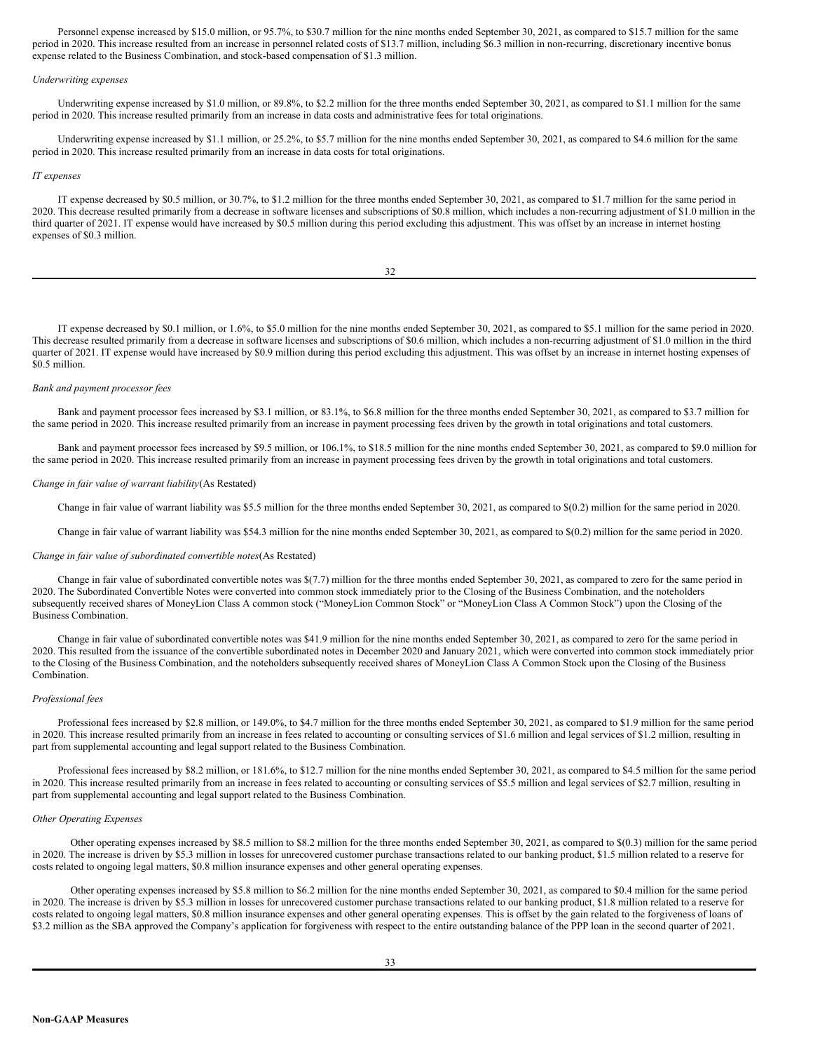Personnel expense increased by \$15.0 million, or 95.7%, to \$30.7 million for the nine months ended September 30, 2021, as compared to \$15.7 million for the same period in 2020. This increase resulted from an increase in personnel related costs of \$13.7 million, including \$6.3 million in non-recurring, discretionary incentive bonus expense related to the Business Combination, and stock-based compensation of \$1.3 million.

#### *Underwriting expenses*

Underwriting expense increased by \$1.0 million, or 89.8%, to \$2.2 million for the three months ended September 30, 2021, as compared to \$1.1 million for the same period in 2020. This increase resulted primarily from an increase in data costs and administrative fees for total originations.

Underwriting expense increased by \$1.1 million, or 25.2%, to \$5.7 million for the nine months ended September 30, 2021, as compared to \$4.6 million for the same period in 2020. This increase resulted primarily from an increase in data costs for total originations.

# *IT expenses*

IT expense decreased by \$0.5 million, or 30.7%, to \$1.2 million for the three months ended September 30, 2021, as compared to \$1.7 million for the same period in 2020. This decrease resulted primarily from a decrease in software licenses and subscriptions of \$0.8 million, which includes a non-recurring adjustment of \$1.0 million in the third quarter of 2021. IT expense would have increased by \$0.5 million during this period excluding this adjustment. This was offset by an increase in internet hosting expenses of \$0.3 million.

32

IT expense decreased by \$0.1 million, or 1.6%, to \$5.0 million for the nine months ended September 30, 2021, as compared to \$5.1 million for the same period in 2020. This decrease resulted primarily from a decrease in software licenses and subscriptions of \$0.6 million, which includes a non-recurring adjustment of \$1.0 million in the third quarter of 2021. IT expense would have increased by \$0.9 million during this period excluding this adjustment. This was offset by an increase in internet hosting expenses of \$0.5 million.

#### *Bank and payment processor fees*

Bank and payment processor fees increased by \$3.1 million, or 83.1%, to \$6.8 million for the three months ended September 30, 2021, as compared to \$3.7 million for the same period in 2020. This increase resulted primarily from an increase in payment processing fees driven by the growth in total originations and total customers.

Bank and payment processor fees increased by \$9.5 million, or 106.1%, to \$18.5 million for the nine months ended September 30, 2021, as compared to \$9.0 million for the same period in 2020. This increase resulted primarily from an increase in payment processing fees driven by the growth in total originations and total customers.

#### *Change in fair value of warrant liability*(As Restated)

Change in fair value of warrant liability was \$5.5 million for the three months ended September 30, 2021, as compared to \$(0.2) million for the same period in 2020.

Change in fair value of warrant liability was \$54.3 million for the nine months ended September 30, 2021, as compared to \$(0.2) million for the same period in 2020.

#### *Change in fair value of subordinated convertible notes*(As Restated)

Change in fair value of subordinated convertible notes was \$(7.7) million for the three months ended September 30, 2021, as compared to zero for the same period in 2020. The Subordinated Convertible Notes were converted into common stock immediately prior to the Closing of the Business Combination, and the noteholders subsequently received shares of MoneyLion Class A common stock ("MoneyLion Common Stock" or "MoneyLion Class A Common Stock") upon the Closing of the Business Combination.

Change in fair value of subordinated convertible notes was \$41.9 million for the nine months ended September 30, 2021, as compared to zero for the same period in 2020. This resulted from the issuance of the convertible subordinated notes in December 2020 and January 2021, which were converted into common stock immediately prior to the Closing of the Business Combination, and the noteholders subsequently received shares of MoneyLion Class A Common Stock upon the Closing of the Business Combination.

#### *Professional fees*

Professional fees increased by \$2.8 million, or 149.0%, to \$4.7 million for the three months ended September 30, 2021, as compared to \$1.9 million for the same period in 2020. This increase resulted primarily from an increase in fees related to accounting or consulting services of \$1.6 million and legal services of \$1.2 million, resulting in part from supplemental accounting and legal support related to the Business Combination.

Professional fees increased by \$8.2 million, or 181.6%, to \$12.7 million for the nine months ended September 30, 2021, as compared to \$4.5 million for the same period in 2020. This increase resulted primarily from an increase in fees related to accounting or consulting services of \$5.5 million and legal services of \$2.7 million, resulting in part from supplemental accounting and legal support related to the Business Combination.

### *Other Operating Expenses*

Other operating expenses increased by \$8.5 million to \$8.2 million for the three months ended September 30, 2021, as compared to \$(0.3) million for the same period in 2020. The increase is driven by \$5.3 million in losses for unrecovered customer purchase transactions related to our banking product, \$1.5 million related to a reserve for costs related to ongoing legal matters, \$0.8 million insurance expenses and other general operating expenses.

Other operating expenses increased by \$5.8 million to \$6.2 million for the nine months ended September 30, 2021, as compared to \$0.4 million for the same period in 2020. The increase is driven by \$5.3 million in losses for unrecovered customer purchase transactions related to our banking product, \$1.8 million related to a reserve for costs related to ongoing legal matters, \$0.8 million insurance expenses and other general operating expenses. This is offset by the gain related to the forgiveness of loans of \$3.2 million as the SBA approved the Company's application for forgiveness with respect to the entire outstanding balance of the PPP loan in the second quarter of 2021.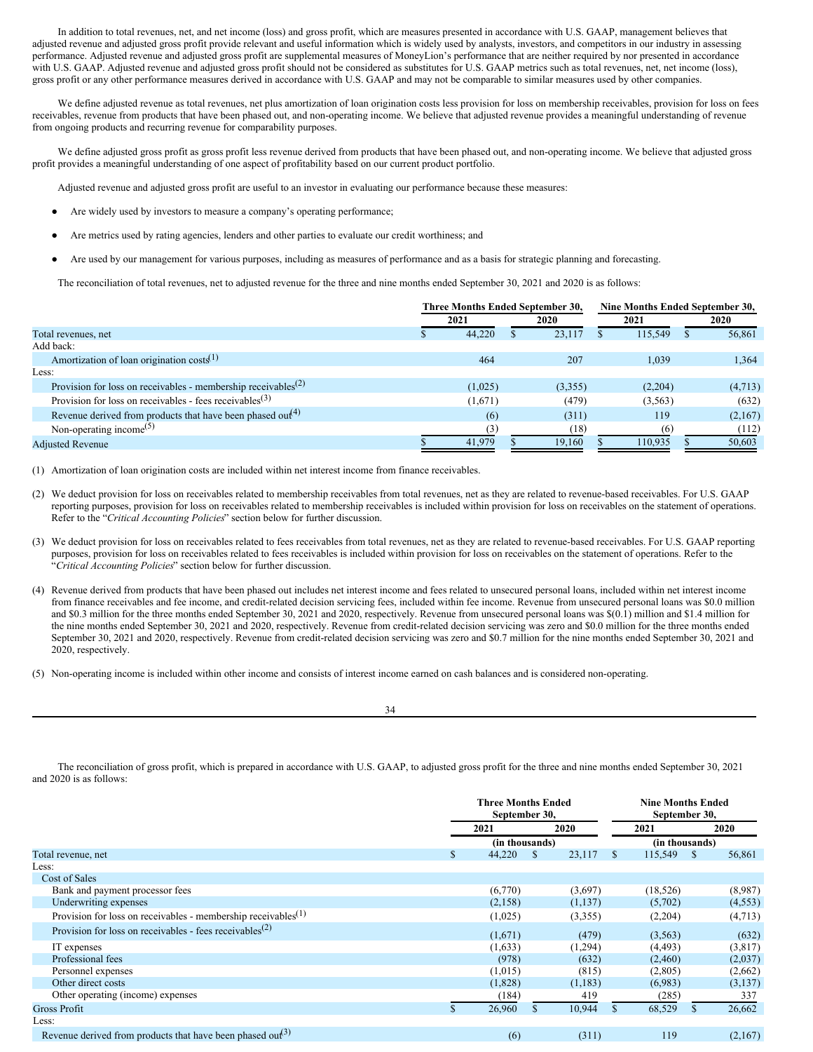In addition to total revenues, net, and net income (loss) and gross profit, which are measures presented in accordance with U.S. GAAP, management believes that adjusted revenue and adjusted gross profit provide relevant and useful information which is widely used by analysts, investors, and competitors in our industry in assessing performance. Adjusted revenue and adjusted gross profit are supplemental measures of MoneyLion's performance that are neither required by nor presented in accordance with U.S. GAAP. Adjusted revenue and adjusted gross profit should not be considered as substitutes for U.S. GAAP metrics such as total revenues, net, net income (loss), gross profit or any other performance measures derived in accordance with U.S. GAAP and may not be comparable to similar measures used by other companies.

We define adjusted revenue as total revenues, net plus amortization of loan origination costs less provision for loss on membership receivables, provision for loss on fees receivables, revenue from products that have been phased out, and non-operating income. We believe that adjusted revenue provides a meaningful understanding of revenue from ongoing products and recurring revenue for comparability purposes.

We define adjusted gross profit as gross profit less revenue derived from products that have been phased out, and non-operating income. We believe that adjusted gross profit provides a meaningful understanding of one aspect of profitability based on our current product portfolio.

Adjusted revenue and adjusted gross profit are useful to an investor in evaluating our performance because these measures:

- Are widely used by investors to measure a company's operating performance;
- Are metrics used by rating agencies, lenders and other parties to evaluate our credit worthiness; and
- Are used by our management for various purposes, including as measures of performance and as a basis for strategic planning and forecasting.

The reconciliation of total revenues, net to adjusted revenue for the three and nine months ended September 30, 2021 and 2020 is as follows:

|                                                                                        |         | Three Months Ended September 30, | Nine Months Ended September 30, |         |  |  |
|----------------------------------------------------------------------------------------|---------|----------------------------------|---------------------------------|---------|--|--|
|                                                                                        | 2021    | 2020                             | 2021                            | 2020    |  |  |
| Total revenues, net                                                                    | 44,220  | 23.117                           | 115.549                         | 56,861  |  |  |
| Add back:                                                                              |         |                                  |                                 |         |  |  |
| Amortization of loan origination $costs^{(1)}$                                         | 464     | 207                              | 1.039                           | 1,364   |  |  |
| Less:                                                                                  |         |                                  |                                 |         |  |  |
| Provision for loss on receivables - membership receivables <sup><math>(2)</math></sup> | (1,025) | (3,355)                          | (2,204)                         | (4,713) |  |  |
| Provision for loss on receivables - fees receivables $(3)$                             | (1,671) | (479)                            | (3, 563)                        | (632)   |  |  |
| Revenue derived from products that have been phased out <sup>(4)</sup>                 | (6)     | (311)                            | 119                             | (2,167) |  |  |
| Non-operating income <sup>(5)</sup>                                                    | (3)     | (18)                             | (6)                             | (112)   |  |  |
| <b>Adjusted Revenue</b>                                                                | 41,979  | 19.160                           | 110.935                         | 50,603  |  |  |

(1) Amortization of loan origination costs are included within net interest income from finance receivables.

- (2) We deduct provision for loss on receivables related to membership receivables from total revenues, net as they are related to revenue-based receivables. For U.S. GAAP reporting purposes, provision for loss on receivables related to membership receivables is included within provision for loss on receivables on the statement of operations. Refer to the "*Critical Accounting Policies*" section below for further discussion.
- (3) We deduct provision for loss on receivables related to fees receivables from total revenues, net as they are related to revenue-based receivables. For U.S. GAAP reporting purposes, provision for loss on receivables related to fees receivables is included within provision for loss on receivables on the statement of operations. Refer to the "*Critical Accounting Policies*" section below for further discussion.
- (4) Revenue derived from products that have been phased out includes net interest income and fees related to unsecured personal loans, included within net interest income from finance receivables and fee income, and credit-related decision servicing fees, included within fee income. Revenue from unsecured personal loans was \$0.0 million and \$0.3 million for the three months ended September 30, 2021 and 2020, respectively. Revenue from unsecured personal loans was \$(0.1) million and \$1.4 million for the nine months ended September 30, 2021 and 2020, respectively. Revenue from credit-related decision servicing was zero and \$0.0 million for the three months ended September 30, 2021 and 2020, respectively. Revenue from credit-related decision servicing was zero and \$0.7 million for the nine months ended September 30, 2021 and 2020, respectively.
- (5) Non-operating income is included within other income and consists of interest income earned on cash balances and is considered non-operating.

34

The reconciliation of gross profit, which is prepared in accordance with U.S. GAAP, to adjusted gross profit for the three and nine months ended September 30, 2021 and 2020 is as follows:

|                                                                                        |    |                | <b>Nine Months Ended</b><br>September 30, |    |                |      |          |
|----------------------------------------------------------------------------------------|----|----------------|-------------------------------------------|----|----------------|------|----------|
|                                                                                        |    | 2021           |                                           |    | 2021           |      | 2020     |
|                                                                                        |    | (in thousands) |                                           |    | (in thousands) |      |          |
| Total revenue, net                                                                     | \$ | 44,220         | 23,117<br><sup>S</sup>                    | -S | 115,549        | - \$ | 56,861   |
| Less:                                                                                  |    |                |                                           |    |                |      |          |
| Cost of Sales                                                                          |    |                |                                           |    |                |      |          |
| Bank and payment processor fees                                                        |    | (6,770)        | (3,697)                                   |    | (18, 526)      |      | (8,987)  |
| Underwriting expenses                                                                  |    | (2,158)        | (1,137)                                   |    | (5,702)        |      | (4, 553) |
| Provision for loss on receivables - membership receivables <sup><math>(1)</math></sup> |    | (1,025)        | (3,355)                                   |    | (2,204)        |      | (4,713)  |
| Provision for loss on receivables - fees receivables <sup><math>(2)</math></sup>       |    | (1,671)        | (479)                                     |    | (3,563)        |      | (632)    |
| IT expenses                                                                            |    | (1,633)        | (1,294)                                   |    | (4, 493)       |      | (3,817)  |
| Professional fees                                                                      |    | (978)          | (632)                                     |    | (2,460)        |      | (2,037)  |
| Personnel expenses                                                                     |    | (1,015)        | (815)                                     |    | (2,805)        |      | (2,662)  |
| Other direct costs                                                                     |    | (1,828)        | (1, 183)                                  |    | (6,983)        |      | (3,137)  |
| Other operating (income) expenses                                                      |    | (184)          | 419                                       |    | (285)          |      | 337      |
| <b>Gross Profit</b>                                                                    |    | 26,960         | 10,944                                    |    | 68,529         | \$.  | 26,662   |
| Less:                                                                                  |    |                |                                           |    |                |      |          |
| Revenue derived from products that have been phased out <sup>(3)</sup>                 |    | (6)            | (311)                                     |    | 119            |      | (2,167)  |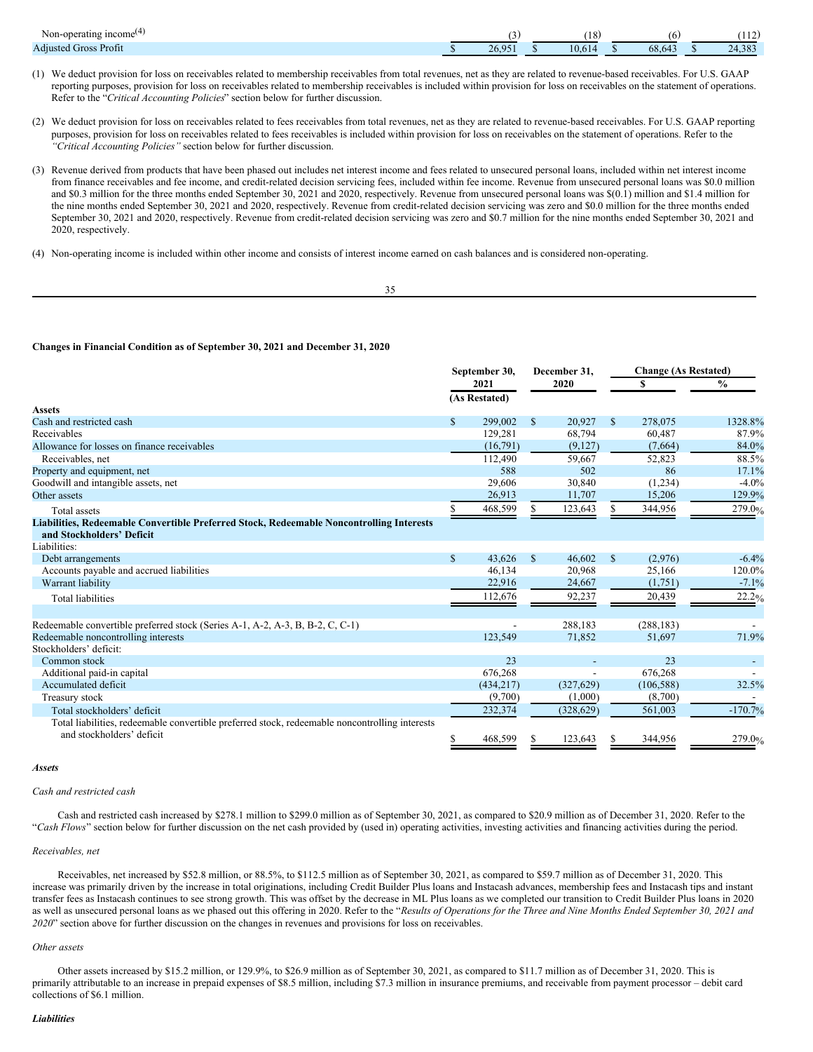| $\rightarrow$<br>$\sim$ income<br>Non-<br>-operatini<br>. |               | 18 <sup>1</sup> | b      | (110)<br>.                     |
|-----------------------------------------------------------|---------------|-----------------|--------|--------------------------------|
| <b>Adjusted Gross Profit</b>                              | 26.05<br>20.7 | 10.61           | 68,643 | 202<br>$\mathcal{L}$<br>24.JO. |

- (1) We deduct provision for loss on receivables related to membership receivables from total revenues, net as they are related to revenue-based receivables. For U.S. GAAP reporting purposes, provision for loss on receivables related to membership receivables is included within provision for loss on receivables on the statement of operations. Refer to the "*Critical Accounting Policies*" section below for further discussion.
- (2) We deduct provision for loss on receivables related to fees receivables from total revenues, net as they are related to revenue-based receivables. For U.S. GAAP reporting purposes, provision for loss on receivables related to fees receivables is included within provision for loss on receivables on the statement of operations. Refer to the *"Critical Accounting Policies"* section below for further discussion.
- (3) Revenue derived from products that have been phased out includes net interest income and fees related to unsecured personal loans, included within net interest income from finance receivables and fee income, and credit-related decision servicing fees, included within fee income. Revenue from unsecured personal loans was \$0.0 million and \$0.3 million for the three months ended September 30, 2021 and 2020, respectively. Revenue from unsecured personal loans was  $(0.1)$  million and \$1.4 million for the nine months ended September 30, 2021 and 2020, respectively. Revenue from credit-related decision servicing was zero and \$0.0 million for the three months ended September 30, 2021 and 2020, respectively. Revenue from credit-related decision servicing was zero and \$0.7 million for the nine months ended September 30, 2021 and 2020, respectively.
- (4) Non-operating income is included within other income and consists of interest income earned on cash balances and is considered non-operating.

#### **Changes in Financial Condition as of September 30, 2021 and December 31, 2020**

|                                                                                                | September 30, |               | December 31. |            |              | <b>Change (As Restated)</b> |                          |
|------------------------------------------------------------------------------------------------|---------------|---------------|--------------|------------|--------------|-----------------------------|--------------------------|
|                                                                                                | 2021          |               | 2020         |            |              | S                           | $\frac{0}{0}$            |
|                                                                                                |               | (As Restated) |              |            |              |                             |                          |
| <b>Assets</b>                                                                                  |               |               |              |            |              |                             |                          |
| Cash and restricted cash                                                                       | $\mathbf S$   | 299.002       | $\mathbb{S}$ | 20,927     | $\mathbb{S}$ | 278,075                     | 1328.8%                  |
| Receivables                                                                                    |               | 129,281       |              | 68,794     |              | 60.487                      | 87.9%                    |
| Allowance for losses on finance receivables                                                    |               | (16,791)      |              | (9,127)    |              | (7,664)                     | 84.0%                    |
| Receivables, net                                                                               |               | 112,490       |              | 59.667     |              | 52,823                      | 88.5%                    |
| Property and equipment, net                                                                    |               | 588           |              | 502        |              | 86                          | 17.1%                    |
| Goodwill and intangible assets, net                                                            |               | 29,606        |              | 30.840     |              | (1,234)                     | $-4.0%$                  |
| Other assets                                                                                   |               | 26,913        |              | 11,707     |              | 15,206                      | 129.9%                   |
| Total assets                                                                                   |               | 468,599       |              | 123,643    |              | 344,956                     | 279.0%                   |
| Liabilities, Redeemable Convertible Preferred Stock, Redeemable Noncontrolling Interests       |               |               |              |            |              |                             |                          |
| and Stockholders' Deficit                                                                      |               |               |              |            |              |                             |                          |
| Liabilities:                                                                                   |               |               |              |            |              |                             |                          |
| Debt arrangements                                                                              | $\mathbf S$   | 43.626        | $\mathbb{S}$ | 46.602     | $\mathbb{S}$ | (2,976)                     | $-6.4%$                  |
| Accounts payable and accrued liabilities                                                       |               | 46,134        |              | 20,968     |              | 25,166                      | 120.0%                   |
| Warrant liability                                                                              |               | 22,916        |              | 24,667     |              | (1,751)                     | $-7.1%$                  |
| <b>Total liabilities</b>                                                                       |               | 112,676       |              | 92,237     |              | 20,439                      | 22.2%                    |
|                                                                                                |               |               |              |            |              |                             |                          |
| Redeemable convertible preferred stock (Series A-1, A-2, A-3, B, B-2, C, C-1)                  |               |               |              | 288,183    |              | (288, 183)                  |                          |
| Redeemable noncontrolling interests                                                            |               | 123,549       |              | 71,852     |              | 51,697                      | 71.9%                    |
| Stockholders' deficit:                                                                         |               |               |              |            |              |                             |                          |
| Common stock                                                                                   |               | 23            |              |            |              | 23                          | $\overline{\phantom{a}}$ |
| Additional paid-in capital                                                                     |               | 676,268       |              |            |              | 676,268                     |                          |
| Accumulated deficit                                                                            |               | (434, 217)    |              | (327,629)  |              | (106, 588)                  | 32.5%                    |
| Treasury stock                                                                                 |               | (9,700)       |              | (1,000)    |              | (8,700)                     |                          |
| Total stockholders' deficit                                                                    |               | 232,374       |              | (328, 629) |              | 561,003                     | $-170.7%$                |
| Total liabilities, redeemable convertible preferred stock, redeemable noncontrolling interests |               |               |              |            |              |                             |                          |
| and stockholders' deficit                                                                      | S             | 468,599       |              | 123.643    |              | 344,956                     | 279.0%                   |

## *Assets*

#### *Cash and restricted cash*

Cash and restricted cash increased by \$278.1 million to \$299.0 million as of September 30, 2021, as compared to \$20.9 million as of December 31, 2020. Refer to the "*Cash Flows*" section below for further discussion on the net cash provided by (used in) operating activities, investing activities and financing activities during the period.

#### *Receivables, net*

Receivables, net increased by \$52.8 million, or 88.5%, to \$112.5 million as of September 30, 2021, as compared to \$59.7 million as of December 31, 2020. This increase was primarily driven by the increase in total originations, including Credit Builder Plus loans and Instacash advances, membership fees and Instacash tips and instant transfer fees as Instacash continues to see strong growth. This was offset by the decrease in ML Plus loans as we completed our transition to Credit Builder Plus loans in 2020 as well as unsecured personal loans as we phased out this offering in 2020. Refer to the "Results of Operations for the Three and Nine Months Ended September 30, 2021 and *2020*" section above for further discussion on the changes in revenues and provisions for loss on receivables.

#### *Other assets*

Other assets increased by \$15.2 million, or 129.9%, to \$26.9 million as of September 30, 2021, as compared to \$11.7 million as of December 31, 2020. This is primarily attributable to an increase in prepaid expenses of \$8.5 million, including \$7.3 million in insurance premiums, and receivable from payment processor – debit card collections of \$6.1 million.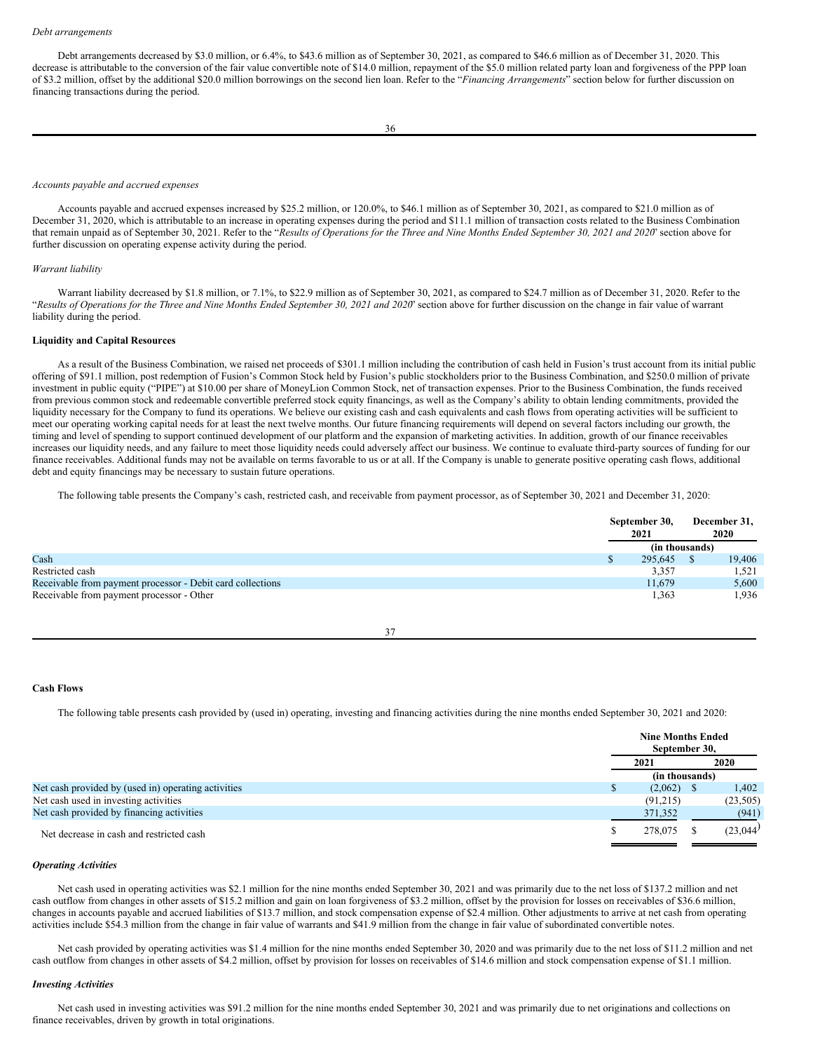Debt arrangements decreased by \$3.0 million, or 6.4%, to \$43.6 million as of September 30, 2021, as compared to \$46.6 million as of December 31, 2020. This decrease is attributable to the conversion of the fair value convertible note of \$14.0 million, repayment of the \$5.0 million related party loan and forgiveness of the PPP loan of \$3.2 million, offset by the additional \$20.0 million borrowings on the second lien loan. Refer to the "*Financing Arrangements*" section below for further discussion on financing transactions during the period.

#### *Accounts payable and accrued expenses*

Accounts payable and accrued expenses increased by \$25.2 million, or 120.0%, to \$46.1 million as of September 30, 2021, as compared to \$21.0 million as of December 31, 2020, which is attributable to an increase in operating expenses during the period and \$11.1 million of transaction costs related to the Business Combination that remain unpaid as of September 30, 2021. Refer to the "Results of Operations for the Three and Nine Months Ended September 30, 2021 and 2020' section above for further discussion on operating expense activity during the period.

#### *Warrant liability*

Warrant liability decreased by \$1.8 million, or 7.1%, to \$22.9 million as of September 30, 2021, as compared to \$24.7 million as of December 31, 2020. Refer to the "Results of Operations for the Three and Nine Months Ended September 30, 2021 and 2020' section above for further discussion on the change in fair value of warrant liability during the period.

#### **Liquidity and Capital Resources**

As a result of the Business Combination, we raised net proceeds of \$301.1 million including the contribution of cash held in Fusion's trust account from its initial public offering of \$91.1 million, post redemption of Fusion's Common Stock held by Fusion's public stockholders prior to the Business Combination, and \$250.0 million of private investment in public equity ("PIPE") at \$10.00 per share of MoneyLion Common Stock, net of transaction expenses. Prior to the Business Combination, the funds received from previous common stock and redeemable convertible preferred stock equity financings, as well as the Company's ability to obtain lending commitments, provided the liquidity necessary for the Company to fund its operations. We believe our existing cash and cash equivalents and cash flows from operating activities will be sufficient to meet our operating working capital needs for at least the next twelve months. Our future financing requirements will depend on several factors including our growth, the timing and level of spending to support continued development of our platform and the expansion of marketing activities. In addition, growth of our finance receivables increases our liquidity needs, and any failure to meet those liquidity needs could adversely affect our business. We continue to evaluate third-party sources of funding for our finance receivables. Additional funds may not be available on terms favorable to us or at all. If the Company is unable to generate positive operating cash flows, additional debt and equity financings may be necessary to sustain future operations.

The following table presents the Company's cash, restricted cash, and receivable from payment processor, as of September 30, 2021 and December 31, 2020:

|                                                            | September 30,<br>2021 |                | December 31,<br>2020 |
|------------------------------------------------------------|-----------------------|----------------|----------------------|
|                                                            |                       | (in thousands) |                      |
| Cash                                                       |                       | 295,645        | 19,406               |
| Restricted cash                                            |                       | 3.357          | 1,521                |
| Receivable from payment processor - Debit card collections |                       | 11,679         | 5,600                |
| Receivable from payment processor - Other                  |                       | 1,363          | 1,936                |

| I |  |
|---|--|

#### **Cash Flows**

The following table presents cash provided by (used in) operating, investing and financing activities during the nine months ended September 30, 2021 and 2020:

|                                                     |    | <b>Nine Months Ended</b><br>September 30, |  |           |
|-----------------------------------------------------|----|-------------------------------------------|--|-----------|
|                                                     |    | 2021                                      |  | 2020      |
|                                                     |    | (in thousands)                            |  |           |
| Net cash provided by (used in) operating activities | ٠D | $(2,062)$ \$                              |  | 1,402     |
| Net cash used in investing activities               |    | (91,215)                                  |  | (23, 505) |
| Net cash provided by financing activities           |    | 371,352                                   |  | (941)     |
| Net decrease in cash and restricted cash            |    | 278,075                                   |  | (23,044)  |

#### *Operating Activities*

Net cash used in operating activities was \$2.1 million for the nine months ended September 30, 2021 and was primarily due to the net loss of \$137.2 million and net cash outflow from changes in other assets of \$15.2 million and gain on loan forgiveness of \$3.2 million, offset by the provision for losses on receivables of \$36.6 million, changes in accounts payable and accrued liabilities of \$13.7 million, and stock compensation expense of \$2.4 million. Other adjustments to arrive at net cash from operating activities include \$54.3 million from the change in fair value of warrants and \$41.9 million from the change in fair value of subordinated convertible notes.

Net cash provided by operating activities was \$1.4 million for the nine months ended September 30, 2020 and was primarily due to the net loss of \$11.2 million and net cash outflow from changes in other assets of \$4.2 million, offset by provision for losses on receivables of \$14.6 million and stock compensation expense of \$1.1 million.

### *Investing Activities*

Net cash used in investing activities was \$91.2 million for the nine months ended September 30, 2021 and was primarily due to net originations and collections on finance receivables, driven by growth in total originations.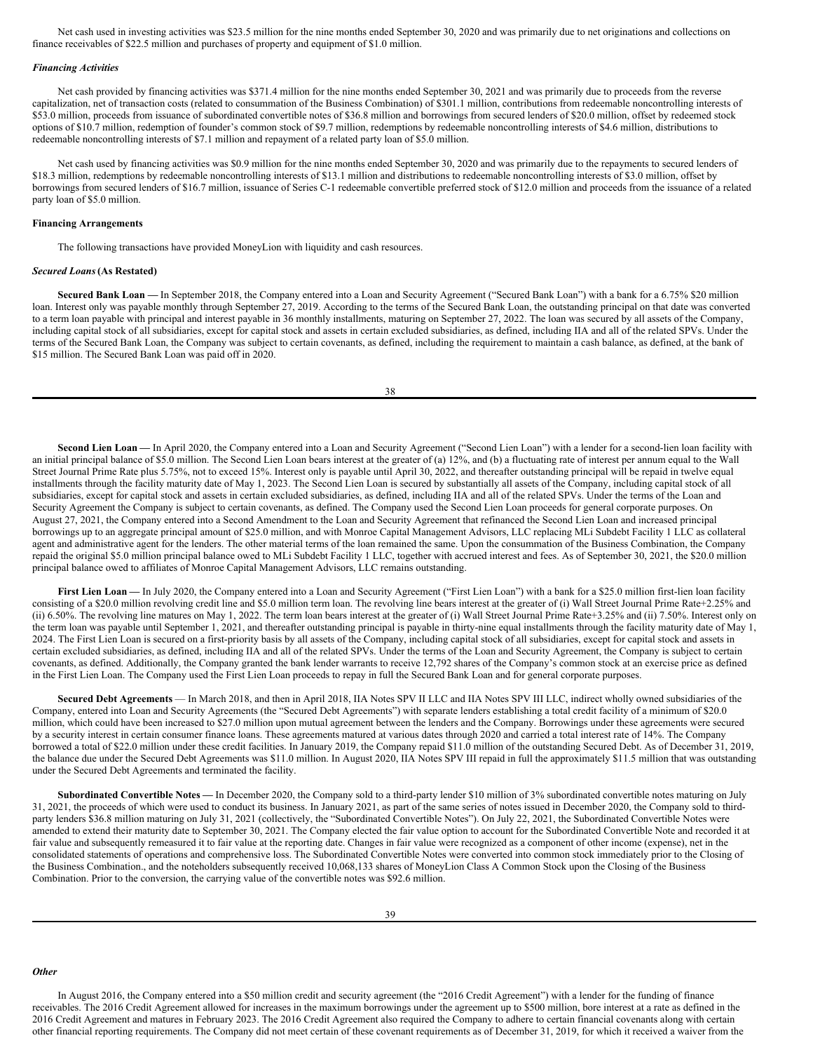Net cash used in investing activities was \$23.5 million for the nine months ended September 30, 2020 and was primarily due to net originations and collections on finance receivables of \$22.5 million and purchases of property and equipment of \$1.0 million.

#### *Financing Activities*

Net cash provided by financing activities was \$371.4 million for the nine months ended September 30, 2021 and was primarily due to proceeds from the reverse capitalization, net of transaction costs (related to consummation of the Business Combination) of \$301.1 million, contributions from redeemable noncontrolling interests of \$53.0 million, proceeds from issuance of subordinated convertible notes of \$36.8 million and borrowings from secured lenders of \$20.0 million, offset by redeemed stock options of \$10.7 million, redemption of founder's common stock of \$9.7 million, redemptions by redeemable noncontrolling interests of \$4.6 million, distributions to redeemable noncontrolling interests of \$7.1 million and repayment of a related party loan of \$5.0 million.

Net cash used by financing activities was \$0.9 million for the nine months ended September 30, 2020 and was primarily due to the repayments to secured lenders of \$18.3 million, redemptions by redeemable noncontrolling interests of \$13.1 million and distributions to redeemable noncontrolling interests of \$3.0 million, offset by borrowings from secured lenders of \$16.7 million, issuance of Series C-1 redeemable convertible preferred stock of \$12.0 million and proceeds from the issuance of a related party loan of \$5.0 million.

#### **Financing Arrangements**

The following transactions have provided MoneyLion with liquidity and cash resources.

#### *Secured Loans***(As Restated)**

**Secured Bank Loan —** In September 2018, the Company entered into a Loan and Security Agreement ("Secured Bank Loan") with a bank for a 6.75% \$20 million loan. Interest only was payable monthly through September 27, 2019. According to the terms of the Secured Bank Loan, the outstanding principal on that date was converted to a term loan payable with principal and interest payable in 36 monthly installments, maturing on September 27, 2022. The loan was secured by all assets of the Company, including capital stock of all subsidiaries, except for capital stock and assets in certain excluded subsidiaries, as defined, including IIA and all of the related SPVs. Under the terms of the Secured Bank Loan, the Company was subject to certain covenants, as defined, including the requirement to maintain a cash balance, as defined, at the bank of \$15 million. The Secured Bank Loan was paid off in 2020.

Second Lien Loan — In April 2020, the Company entered into a Loan and Security Agreement ("Second Lien Loan") with a lender for a second-lien loan facility with an initial principal balance of \$5.0 million. The Second Lien Loan bears interest at the greater of (a) 12%, and (b) a fluctuating rate of interest per annum equal to the Wall Street Journal Prime Rate plus 5.75%, not to exceed 15%. Interest only is payable until April 30, 2022, and thereafter outstanding principal will be repaid in twelve equal installments through the facility maturity date of May 1, 2023. The Second Lien Loan is secured by substantially all assets of the Company, including capital stock of all subsidiaries, except for capital stock and assets in certain excluded subsidiaries, as defined, including IIA and all of the related SPVs. Under the terms of the Loan and Security Agreement the Company is subject to certain covenants, as defined. The Company used the Second Lien Loan proceeds for general corporate purposes. On August 27, 2021, the Company entered into a Second Amendment to the Loan and Security Agreement that refinanced the Second Lien Loan and increased principal borrowings up to an aggregate principal amount of \$25.0 million, and with Monroe Capital Management Advisors, LLC replacing MLi Subdebt Facility 1 LLC as collateral agent and administrative agent for the lenders. The other material terms of the loan remained the same. Upon the consummation of the Business Combination, the Company repaid the original \$5.0 million principal balance owed to MLi Subdebt Facility 1 LLC, together with accrued interest and fees. As of September 30, 2021, the \$20.0 million principal balance owed to affiliates of Monroe Capital Management Advisors, LLC remains outstanding.

First Lien Loan - In July 2020, the Company entered into a Loan and Security Agreement ("First Lien Loan") with a bank for a \$25.0 million first-lien loan facility consisting of a \$20.0 million revolving credit line and \$5.0 million term loan. The revolving line bears interest at the greater of (i) Wall Street Journal Prime Rate+2.25% and (ii) 6.50%. The revolving line matures on May 1, 2022. The term loan bears interest at the greater of (i) Wall Street Journal Prime Rate+3.25% and (ii) 7.50%. Interest only on the term loan was payable until September 1, 2021, and thereafter outstanding principal is payable in thirty-nine equal installments through the facility maturity date of May 1, 2024. The First Lien Loan is secured on a first-priority basis by all assets of the Company, including capital stock of all subsidiaries, except for capital stock and assets in certain excluded subsidiaries, as defined, including IIA and all of the related SPVs. Under the terms of the Loan and Security Agreement, the Company is subject to certain covenants, as defined. Additionally, the Company granted the bank lender warrants to receive 12,792 shares of the Company's common stock at an exercise price as defined in the First Lien Loan. The Company used the First Lien Loan proceeds to repay in full the Secured Bank Loan and for general corporate purposes.

**Secured Debt Agreements** — In March 2018, and then in April 2018, IIA Notes SPV II LLC and IIA Notes SPV III LLC, indirect wholly owned subsidiaries of the Company, entered into Loan and Security Agreements (the "Secured Debt Agreements") with separate lenders establishing a total credit facility of a minimum of \$20.0 million, which could have been increased to \$27.0 million upon mutual agreement between the lenders and the Company. Borrowings under these agreements were secured by a security interest in certain consumer finance loans. These agreements matured at various dates through 2020 and carried a total interest rate of 14%. The Company borrowed a total of \$22.0 million under these credit facilities. In January 2019, the Company repaid \$11.0 million of the outstanding Secured Debt. As of December 31, 2019, the balance due under the Secured Debt Agreements was \$11.0 million. In August 2020, IIA Notes SPV III repaid in full the approximately \$11.5 million that was outstanding under the Secured Debt Agreements and terminated the facility.

**Subordinated Convertible Notes —** In December 2020, the Company sold to a third-party lender \$10 million of 3% subordinated convertible notes maturing on July 31, 2021, the proceeds of which were used to conduct its business. In January 2021, as part of the same series of notes issued in December 2020, the Company sold to thirdparty lenders \$36.8 million maturing on July 31, 2021 (collectively, the "Subordinated Convertible Notes"). On July 22, 2021, the Subordinated Convertible Notes were amended to extend their maturity date to September 30, 2021. The Company elected the fair value option to account for the Subordinated Convertible Note and recorded it at fair value and subsequently remeasured it to fair value at the reporting date. Changes in fair value were recognized as a component of other income (expense), net in the consolidated statements of operations and comprehensive loss. The Subordinated Convertible Notes were converted into common stock immediately prior to the Closing of the Business Combination., and the noteholders subsequently received 10,068,133 shares of MoneyLion Class A Common Stock upon the Closing of the Business Combination. Prior to the conversion, the carrying value of the convertible notes was \$92.6 million.

# *Other*

In August 2016, the Company entered into a \$50 million credit and security agreement (the "2016 Credit Agreement") with a lender for the funding of finance receivables. The 2016 Credit Agreement allowed for increases in the maximum borrowings under the agreement up to \$500 million, bore interest at a rate as defined in the 2016 Credit Agreement and matures in February 2023. The 2016 Credit Agreement also required the Company to adhere to certain financial covenants along with certain other financial reporting requirements. The Company did not meet certain of these covenant requirements as of December 31, 2019, for which it received a waiver from the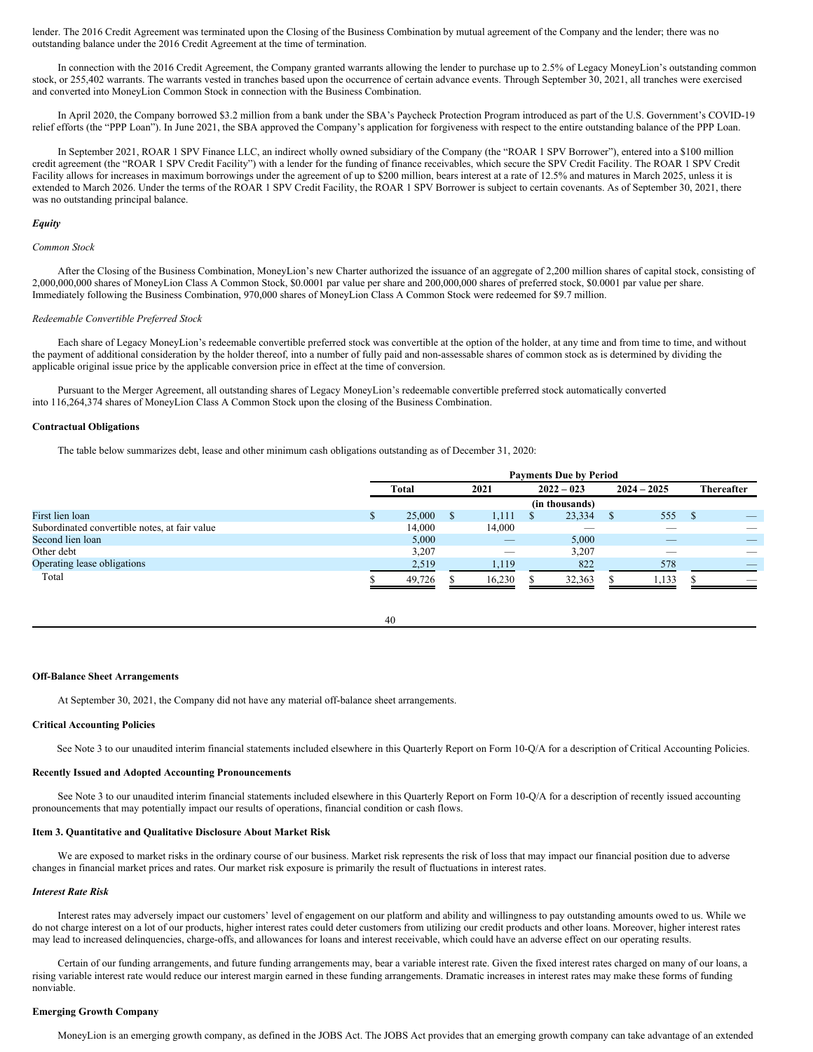lender. The 2016 Credit Agreement was terminated upon the Closing of the Business Combination by mutual agreement of the Company and the lender; there was no outstanding balance under the 2016 Credit Agreement at the time of termination.

In connection with the 2016 Credit Agreement, the Company granted warrants allowing the lender to purchase up to 2.5% of Legacy MoneyLion's outstanding common stock, or 255,402 warrants. The warrants vested in tranches based upon the occurrence of certain advance events. Through September 30, 2021, all tranches were exercised and converted into MoneyLion Common Stock in connection with the Business Combination.

In April 2020, the Company borrowed \$3.2 million from a bank under the SBA's Paycheck Protection Program introduced as part of the U.S. Government's COVID-19 relief efforts (the "PPP Loan"). In June 2021, the SBA approved the Company's application for forgiveness with respect to the entire outstanding balance of the PPP Loan.

In September 2021, ROAR 1 SPV Finance LLC, an indirect wholly owned subsidiary of the Company (the "ROAR 1 SPV Borrower"), entered into a \$100 million credit agreement (the "ROAR 1 SPV Credit Facility") with a lender for the funding of finance receivables, which secure the SPV Credit Facility. The ROAR 1 SPV Credit Facility allows for increases in maximum borrowings under the agreement of up to \$200 million, bears interest at a rate of 12.5% and matures in March 2025, unless it is extended to March 2026. Under the terms of the ROAR 1 SPV Credit Facility, the ROAR 1 SPV Borrower is subject to certain covenants. As of September 30, 2021, there was no outstanding principal balance.

#### *Equity*

#### *Common Stock*

After the Closing of the Business Combination, MoneyLion's new Charter authorized the issuance of an aggregate of 2,200 million shares of capital stock, consisting of 2,000,000,000 shares of MoneyLion Class A Common Stock, \$0.0001 par value per share and 200,000,000 shares of preferred stock, \$0.0001 par value per share. Immediately following the Business Combination, 970,000 shares of MoneyLion Class A Common Stock were redeemed for \$9.7 million.

# *Redeemable Convertible Preferred Stock*

Each share of Legacy MoneyLion's redeemable convertible preferred stock was convertible at the option of the holder, at any time and from time to time, and without the payment of additional consideration by the holder thereof, into a number of fully paid and non-assessable shares of common stock as is determined by dividing the applicable original issue price by the applicable conversion price in effect at the time of conversion.

Pursuant to the Merger Agreement, all outstanding shares of Legacy MoneyLion's redeemable convertible preferred stock automatically converted into 116,264,374 shares of MoneyLion Class A Common Stock upon the closing of the Business Combination.

#### **Contractual Obligations**

The table below summarizes debt, lease and other minimum cash obligations outstanding as of December 31, 2020:

|                                               | <b>Payments Due by Period</b> |              |  |                          |  |                |   |               |      |                          |
|-----------------------------------------------|-------------------------------|--------------|--|--------------------------|--|----------------|---|---------------|------|--------------------------|
|                                               |                               | <b>Total</b> |  | 2021                     |  | $2022 - 023$   |   | $2024 - 2025$ |      | <b>Thereafter</b>        |
|                                               |                               |              |  |                          |  | (in thousands) |   |               |      |                          |
| First lien loan                               |                               | 25,000       |  | 1,111                    |  | 23,334         | S | 555           | - \$ | _                        |
| Subordinated convertible notes, at fair value |                               | 14.000       |  | 14.000                   |  |                |   |               |      |                          |
| Second lien loan                              |                               | 5,000        |  | _                        |  | 5,000          |   | _             |      |                          |
| Other debt                                    |                               | 3,207        |  | $\overline{\phantom{a}}$ |  | 3,207          |   |               |      |                          |
| Operating lease obligations                   |                               | 2,519        |  | 1,119                    |  | 822            |   | 578           |      |                          |
| Total                                         |                               | 49,726       |  | 16,230                   |  | 32,363         |   | 1,133         |      | $\overline{\phantom{a}}$ |

40

# **Off-Balance Sheet Arrangements**

At September 30, 2021, the Company did not have any material off-balance sheet arrangements.

# **Critical Accounting Policies**

See Note 3 to our unaudited interim financial statements included elsewhere in this Quarterly Report on Form 10-Q/A for a description of Critical Accounting Policies.

# **Recently Issued and Adopted Accounting Pronouncements**

See Note 3 to our unaudited interim financial statements included elsewhere in this Quarterly Report on Form 10-Q/A for a description of recently issued accounting pronouncements that may potentially impact our results of operations, financial condition or cash flows.

# **Item 3. Quantitative and Qualitative Disclosure About Market Risk**

We are exposed to market risks in the ordinary course of our business. Market risk represents the risk of loss that may impact our financial position due to adverse changes in financial market prices and rates. Our market risk exposure is primarily the result of fluctuations in interest rates.

#### *Interest Rate Risk*

Interest rates may adversely impact our customers' level of engagement on our platform and ability and willingness to pay outstanding amounts owed to us. While we do not charge interest on a lot of our products, higher interest rates could deter customers from utilizing our credit products and other loans. Moreover, higher interest rates may lead to increased delinquencies, charge-offs, and allowances for loans and interest receivable, which could have an adverse effect on our operating results.

Certain of our funding arrangements, and future funding arrangements may, bear a variable interest rate. Given the fixed interest rates charged on many of our loans, a rising variable interest rate would reduce our interest margin earned in these funding arrangements. Dramatic increases in interest rates may make these forms of funding nonviable.

#### **Emerging Growth Company**

MoneyLion is an emerging growth company, as defined in the JOBS Act. The JOBS Act provides that an emerging growth company can take advantage of an extended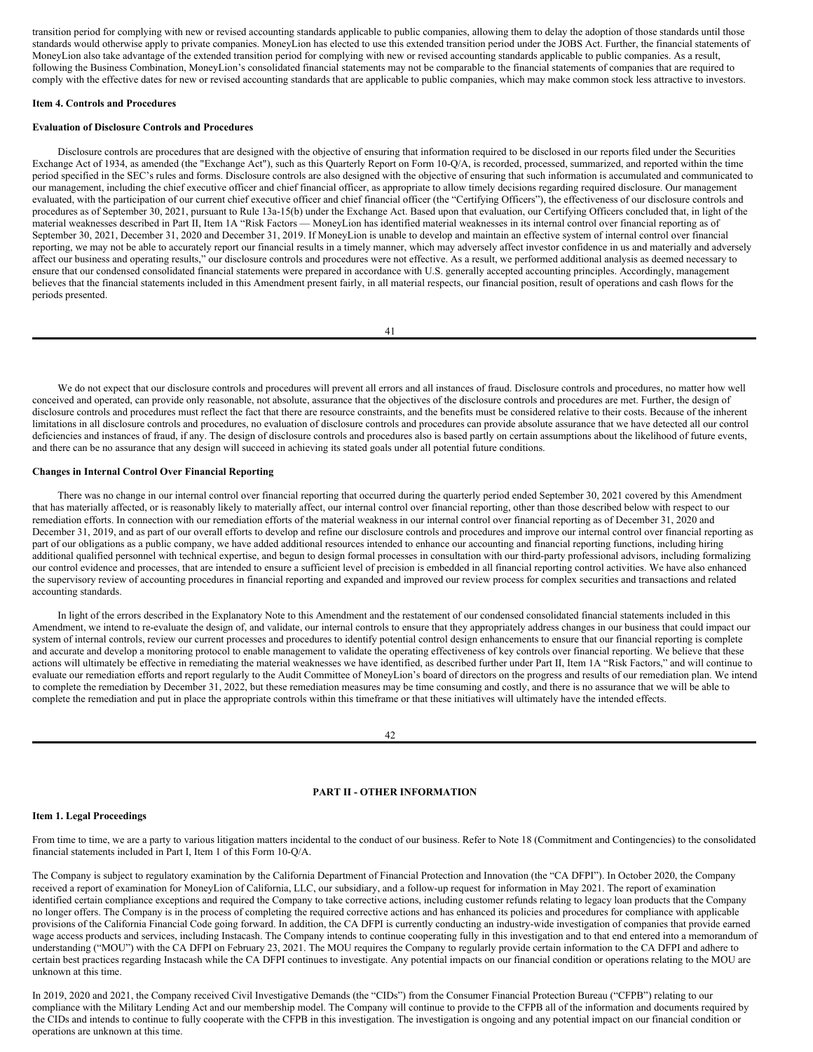transition period for complying with new or revised accounting standards applicable to public companies, allowing them to delay the adoption of those standards until those standards would otherwise apply to private companies. MoneyLion has elected to use this extended transition period under the JOBS Act. Further, the financial statements of MoneyLion also take advantage of the extended transition period for complying with new or revised accounting standards applicable to public companies. As a result, following the Business Combination, MoneyLion's consolidated financial statements may not be comparable to the financial statements of companies that are required to comply with the effective dates for new or revised accounting standards that are applicable to public companies, which may make common stock less attractive to investors.

#### **Item 4. Controls and Procedures**

#### **Evaluation of Disclosure Controls and Procedures**

Disclosure controls are procedures that are designed with the objective of ensuring that information required to be disclosed in our reports filed under the Securities Exchange Act of 1934, as amended (the "Exchange Act"), such as this Quarterly Report on Form 10-Q/A, is recorded, processed, summarized, and reported within the time period specified in the SEC's rules and forms. Disclosure controls are also designed with the objective of ensuring that such information is accumulated and communicated to our management, including the chief executive officer and chief financial officer, as appropriate to allow timely decisions regarding required disclosure. Our management evaluated, with the participation of our current chief executive officer and chief financial officer (the "Certifying Officers"), the effectiveness of our disclosure controls and procedures as of September 30, 2021, pursuant to Rule 13a-15(b) under the Exchange Act. Based upon that evaluation, our Certifying Officers concluded that, in light of the material weaknesses described in Part II, Item 1A "Risk Factors — MoneyLion has identified material weaknesses in its internal control over financial reporting as of September 30, 2021, December 31, 2020 and December 31, 2019. If MoneyLion is unable to develop and maintain an effective system of internal control over financial reporting, we may not be able to accurately report our financial results in a timely manner, which may adversely affect investor confidence in us and materially and adversely affect our business and operating results," our disclosure controls and procedures were not effective. As a result, we performed additional analysis as deemed necessary to ensure that our condensed consolidated financial statements were prepared in accordance with U.S. generally accepted accounting principles. Accordingly, management believes that the financial statements included in this Amendment present fairly, in all material respects, our financial position, result of operations and cash flows for the periods presented.

|--|

We do not expect that our disclosure controls and procedures will prevent all errors and all instances of fraud. Disclosure controls and procedures, no matter how well conceived and operated, can provide only reasonable, not absolute, assurance that the objectives of the disclosure controls and procedures are met. Further, the design of disclosure controls and procedures must reflect the fact that there are resource constraints, and the benefits must be considered relative to their costs. Because of the inherent limitations in all disclosure controls and procedures, no evaluation of disclosure controls and procedures can provide absolute assurance that we have detected all our control deficiencies and instances of fraud, if any. The design of disclosure controls and procedures also is based partly on certain assumptions about the likelihood of future events, and there can be no assurance that any design will succeed in achieving its stated goals under all potential future conditions.

#### **Changes in Internal Control Over Financial Reporting**

There was no change in our internal control over financial reporting that occurred during the quarterly period ended September 30, 2021 covered by this Amendment that has materially affected, or is reasonably likely to materially affect, our internal control over financial reporting, other than those described below with respect to our remediation efforts. In connection with our remediation efforts of the material weakness in our internal control over financial reporting as of December 31, 2020 and December 31, 2019, and as part of our overall efforts to develop and refine our disclosure controls and procedures and improve our internal control over financial reporting as part of our obligations as a public company, we have added additional resources intended to enhance our accounting and financial reporting functions, including hiring additional qualified personnel with technical expertise, and begun to design formal processes in consultation with our third-party professional advisors, including formalizing our control evidence and processes, that are intended to ensure a sufficient level of precision is embedded in all financial reporting control activities. We have also enhanced the supervisory review of accounting procedures in financial reporting and expanded and improved our review process for complex securities and transactions and related accounting standards.

In light of the errors described in the Explanatory Note to this Amendment and the restatement of our condensed consolidated financial statements included in this Amendment, we intend to re-evaluate the design of, and validate, our internal controls to ensure that they appropriately address changes in our business that could impact our system of internal controls, review our current processes and procedures to identify potential control design enhancements to ensure that our financial reporting is complete and accurate and develop a monitoring protocol to enable management to validate the operating effectiveness of key controls over financial reporting. We believe that these actions will ultimately be effective in remediating the material weaknesses we have identified, as described further under Part II, Item 1A "Risk Factors," and will continue to evaluate our remediation efforts and report regularly to the Audit Committee of MoneyLion's board of directors on the progress and results of our remediation plan. We intend to complete the remediation by December 31, 2022, but these remediation measures may be time consuming and costly, and there is no assurance that we will be able to complete the remediation and put in place the appropriate controls within this timeframe or that these initiatives will ultimately have the intended effects.

# **PART II - OTHER INFORMATION**

# **Item 1. Legal Proceedings**

From time to time, we are a party to various litigation matters incidental to the conduct of our business. Refer to Note 18 (Commitment and Contingencies) to the consolidated financial statements included in Part I, Item 1 of this Form 10-Q/A.

The Company is subject to regulatory examination by the California Department of Financial Protection and Innovation (the "CA DFPI"). In October 2020, the Company received a report of examination for MoneyLion of California, LLC, our subsidiary, and a follow-up request for information in May 2021. The report of examination identified certain compliance exceptions and required the Company to take corrective actions, including customer refunds relating to legacy loan products that the Company no longer offers. The Company is in the process of completing the required corrective actions and has enhanced its policies and procedures for compliance with applicable provisions of the California Financial Code going forward. In addition, the CA DFPI is currently conducting an industry-wide investigation of companies that provide earned wage access products and services, including Instacash. The Company intends to continue cooperating fully in this investigation and to that end entered into a memorandum of understanding ("MOU") with the CA DFPI on February 23, 2021. The MOU requires the Company to regularly provide certain information to the CA DFPI and adhere to certain best practices regarding Instacash while the CA DFPI continues to investigate. Any potential impacts on our financial condition or operations relating to the MOU are unknown at this time.

In 2019, 2020 and 2021, the Company received Civil Investigative Demands (the "CIDs") from the Consumer Financial Protection Bureau ("CFPB") relating to our compliance with the Military Lending Act and our membership model. The Company will continue to provide to the CFPB all of the information and documents required by the CIDs and intends to continue to fully cooperate with the CFPB in this investigation. The investigation is ongoing and any potential impact on our financial condition or operations are unknown at this time.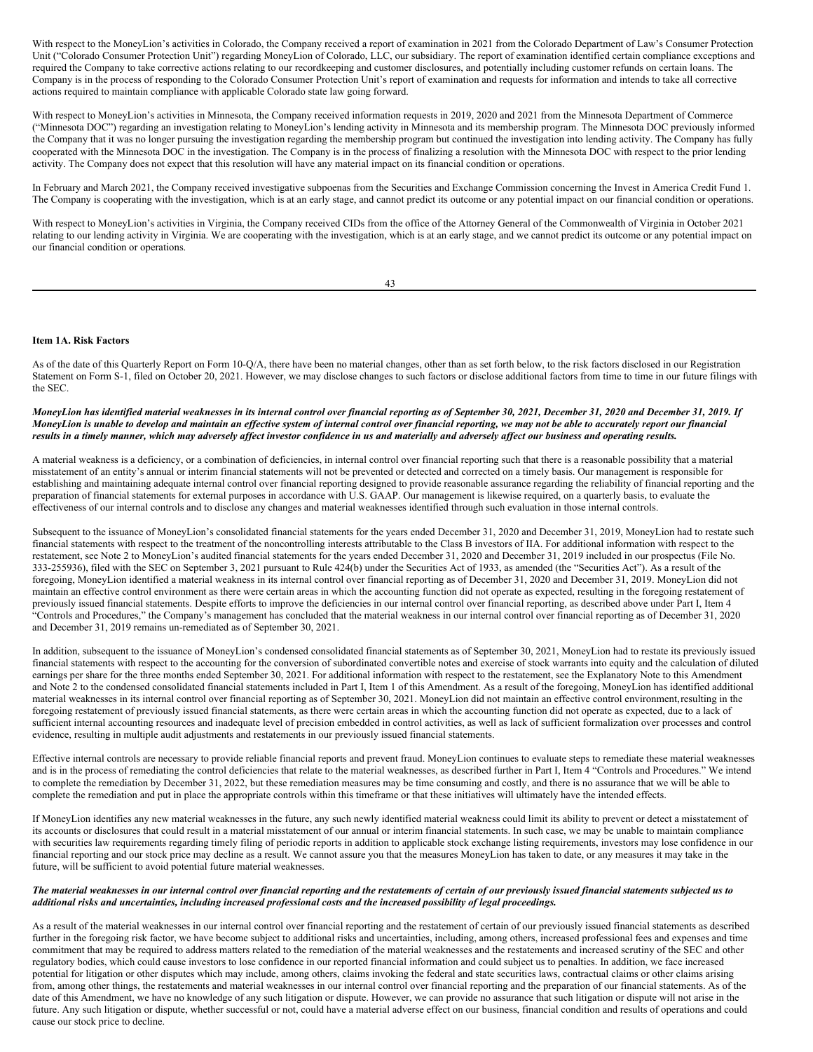With respect to the MoneyLion's activities in Colorado, the Company received a report of examination in 2021 from the Colorado Department of Law's Consumer Protection Unit ("Colorado Consumer Protection Unit") regarding MoneyLion of Colorado, LLC, our subsidiary. The report of examination identified certain compliance exceptions and required the Company to take corrective actions relating to our recordkeeping and customer disclosures, and potentially including customer refunds on certain loans. The Company is in the process of responding to the Colorado Consumer Protection Unit's report of examination and requests for information and intends to take all corrective actions required to maintain compliance with applicable Colorado state law going forward.

With respect to MoneyLion's activities in Minnesota, the Company received information requests in 2019, 2020 and 2021 from the Minnesota Department of Commerce ("Minnesota DOC") regarding an investigation relating to MoneyLion's lending activity in Minnesota and its membership program. The Minnesota DOC previously informed the Company that it was no longer pursuing the investigation regarding the membership program but continued the investigation into lending activity. The Company has fully cooperated with the Minnesota DOC in the investigation. The Company is in the process of finalizing a resolution with the Minnesota DOC with respect to the prior lending activity. The Company does not expect that this resolution will have any material impact on its financial condition or operations.

In February and March 2021, the Company received investigative subpoenas from the Securities and Exchange Commission concerning the Invest in America Credit Fund 1. The Company is cooperating with the investigation, which is at an early stage, and cannot predict its outcome or any potential impact on our financial condition or operations.

With respect to MoneyLion's activities in Virginia, the Company received CIDs from the office of the Attorney General of the Commonwealth of Virginia in October 2021 relating to our lending activity in Virginia. We are cooperating with the investigation, which is at an early stage, and we cannot predict its outcome or any potential impact on our financial condition or operations.

#### **Item 1A. Risk Factors**

As of the date of this Quarterly Report on Form 10-Q/A, there have been no material changes, other than as set forth below, to the risk factors disclosed in our Registration Statement on Form S-1, filed on October 20, 2021. However, we may disclose changes to such factors or disclose additional factors from time to time in our future filings with the SEC.

MoneyLion has identified material weaknesses in its internal control over financial reporting as of September 30, 2021, December 31, 2020 and December 31, 2019. If MoneyLion is unable to develop and maintain an effective system of internal control over financial reporting, we may not be able to accurately report our financial results in a timely manner, which may adversely affect investor confidence in us and materially and adversely affect our business and operating results.

A material weakness is a deficiency, or a combination of deficiencies, in internal control over financial reporting such that there is a reasonable possibility that a material misstatement of an entity's annual or interim financial statements will not be prevented or detected and corrected on a timely basis. Our management is responsible for establishing and maintaining adequate internal control over financial reporting designed to provide reasonable assurance regarding the reliability of financial reporting and the preparation of financial statements for external purposes in accordance with U.S. GAAP. Our management is likewise required, on a quarterly basis, to evaluate the effectiveness of our internal controls and to disclose any changes and material weaknesses identified through such evaluation in those internal controls.

Subsequent to the issuance of MoneyLion's consolidated financial statements for the years ended December 31, 2020 and December 31, 2019, MoneyLion had to restate such financial statements with respect to the treatment of the noncontrolling interests attributable to the Class B investors of IIA. For additional information with respect to the restatement, see Note 2 to MoneyLion's audited financial statements for the years ended December 31, 2020 and December 31, 2019 included in our prospectus (File No. 333-255936), filed with the SEC on September 3, 2021 pursuant to Rule 424(b) under the Securities Act of 1933, as amended (the "Securities Act"). As a result of the foregoing, MoneyLion identified a material weakness in its internal control over financial reporting as of December 31, 2020 and December 31, 2019. MoneyLion did not maintain an effective control environment as there were certain areas in which the accounting function did not operate as expected, resulting in the foregoing restatement of previously issued financial statements. Despite efforts to improve the deficiencies in our internal control over financial reporting, as described above under Part I, Item 4 "Controls and Procedures," the Company's management has concluded that the material weakness in our internal control over financial reporting as of December 31, 2020 and December 31, 2019 remains un-remediated as of September 30, 2021.

In addition, subsequent to the issuance of MoneyLion's condensed consolidated financial statements as of September 30, 2021, MoneyLion had to restate its previously issued financial statements with respect to the accounting for the conversion of subordinated convertible notes and exercise of stock warrants into equity and the calculation of diluted earnings per share for the three months ended September 30, 2021. For additional information with respect to the restatement, see the Explanatory Note to this Amendment and Note 2 to the condensed consolidated financial statements included in Part I, Item 1 of this Amendment. As a result of the foregoing, MoneyLion has identified additional material weaknesses in its internal control over financial reporting as of September 30, 2021. MoneyLion did not maintain an effective control environment,resulting in the foregoing restatement of previously issued financial statements, as there were certain areas in which the accounting function did not operate as expected, due to a lack of sufficient internal accounting resources and inadequate level of precision embedded in control activities, as well as lack of sufficient formalization over processes and control evidence, resulting in multiple audit adjustments and restatements in our previously issued financial statements.

Effective internal controls are necessary to provide reliable financial reports and prevent fraud. MoneyLion continues to evaluate steps to remediate these material weaknesses and is in the process of remediating the control deficiencies that relate to the material weaknesses, as described further in Part I, Item 4 "Controls and Procedures." We intend to complete the remediation by December 31, 2022, but these remediation measures may be time consuming and costly, and there is no assurance that we will be able to complete the remediation and put in place the appropriate controls within this timeframe or that these initiatives will ultimately have the intended effects.

If MoneyLion identifies any new material weaknesses in the future, any such newly identified material weakness could limit its ability to prevent or detect a misstatement of its accounts or disclosures that could result in a material misstatement of our annual or interim financial statements. In such case, we may be unable to maintain compliance with securities law requirements regarding timely filing of periodic reports in addition to applicable stock exchange listing requirements, investors may lose confidence in our financial reporting and our stock price may decline as a result. We cannot assure you that the measures MoneyLion has taken to date, or any measures it may take in the future, will be sufficient to avoid potential future material weaknesses.

## The material weaknesses in our internal control over financial reporting and the restatements of certain of our previously issued financial statements subjected us to additional risks and uncertainties, including increased professional costs and the increased possibility of legal proceedings.

As a result of the material weaknesses in our internal control over financial reporting and the restatement of certain of our previously issued financial statements as described further in the foregoing risk factor, we have become subject to additional risks and uncertainties, including, among others, increased professional fees and expenses and time commitment that may be required to address matters related to the remediation of the material weaknesses and the restatements and increased scrutiny of the SEC and other regulatory bodies, which could cause investors to lose confidence in our reported financial information and could subject us to penalties. In addition, we face increased potential for litigation or other disputes which may include, among others, claims invoking the federal and state securities laws, contractual claims or other claims arising from, among other things, the restatements and material weaknesses in our internal control over financial reporting and the preparation of our financial statements. As of the date of this Amendment, we have no knowledge of any such litigation or dispute. However, we can provide no assurance that such litigation or dispute will not arise in the future. Any such litigation or dispute, whether successful or not, could have a material adverse effect on our business, financial condition and results of operations and could cause our stock price to decline.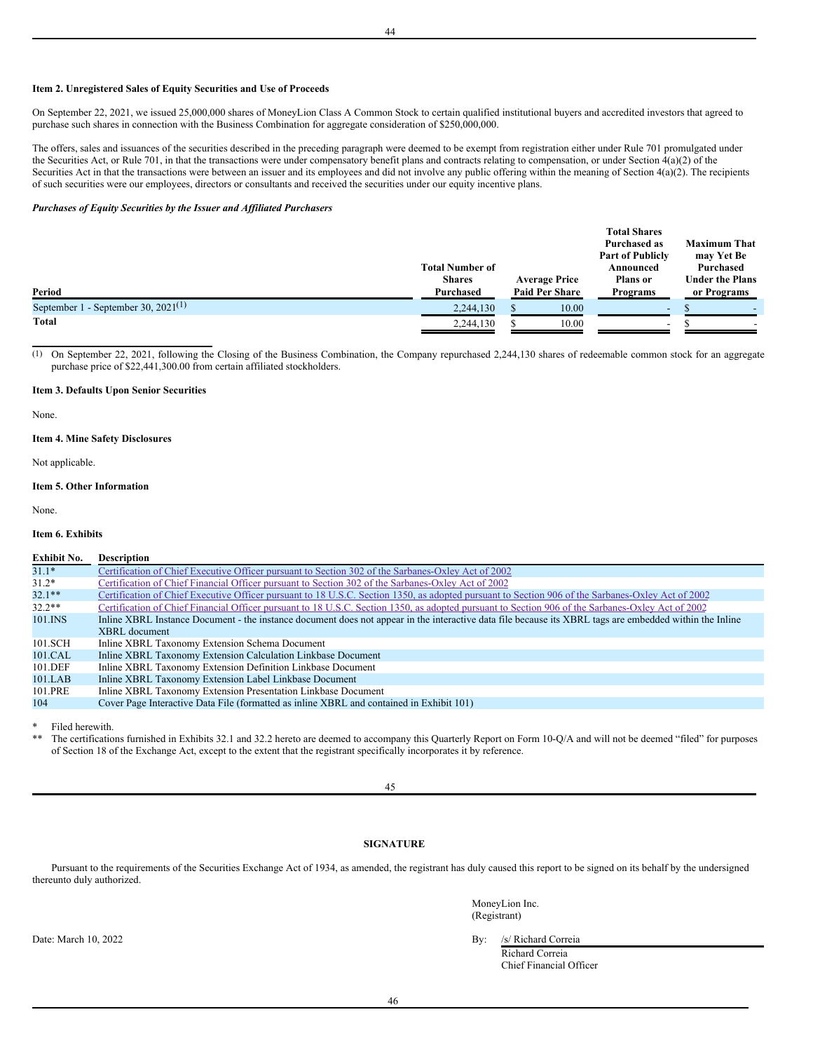# **Item 2. Unregistered Sales of Equity Securities and Use of Proceeds**

On September 22, 2021, we issued 25,000,000 shares of MoneyLion Class A Common Stock to certain qualified institutional buyers and accredited investors that agreed to purchase such shares in connection with the Business Combination for aggregate consideration of \$250,000,000.

The offers, sales and issuances of the securities described in the preceding paragraph were deemed to be exempt from registration either under Rule 701 promulgated under the Securities Act, or Rule 701, in that the transactions were under compensatory benefit plans and contracts relating to compensation, or under Section  $4(a)(2)$  of the Securities Act in that the transactions were between an issuer and its employees and did not involve any public offering within the meaning of Section 4(a)(2). The recipients of such securities were our employees, directors or consultants and received the securities under our equity incentive plans.

# *Purchases of Equity Securities by the Issuer and Af iliated Purchasers*

|                                        |                        |                       | <b>Total Shares</b><br><b>Purchased as</b> | <b>Maximum That</b>    |
|----------------------------------------|------------------------|-----------------------|--------------------------------------------|------------------------|
|                                        |                        |                       | <b>Part of Publicly</b>                    | may Yet Be             |
|                                        | <b>Total Number of</b> |                       | Announced                                  | Purchased              |
|                                        | <b>Shares</b>          | <b>Average Price</b>  | <b>Plans</b> or                            | <b>Under the Plans</b> |
| Period                                 | Purchased              | <b>Paid Per Share</b> | <b>Programs</b>                            | or Programs            |
| September 1 - September 30, 2021 $(1)$ | 2,244,130              | 10.00                 | $\overline{\phantom{0}}$                   |                        |
| <b>Total</b>                           | 2,244,130              | 10.00                 | $\overline{\phantom{a}}$                   |                        |

(1) On September 22, 2021, following the Closing of the Business Combination, the Company repurchased 2,244,130 shares of redeemable common stock for an aggregate purchase price of \$22,441,300.00 from certain affiliated stockholders.

#### **Item 3. Defaults Upon Senior Securities**

None.

# **Item 4. Mine Safety Disclosures**

Not applicable.

# **Item 5. Other Information**

None.

# **Item 6. Exhibits**

# **Exhibit No. Description** 31.1\* Certification of Chief Executive Officer pursuant to Section 302 of the [Sarbanes-Oxley](#page-35-0) Act of 2002<br>31.2\* Certification of Chief Financial Officer pursuant to Section 302 of the Sarbanes-Oxley Act of 2002 31.2\* Certification of Chief Financial Officer pursuant to Section 302 of the [Sarbanes-Oxley](#page-36-0) Act of 2002<br>32.1\*\* Certification of Chief Executive Officer pursuant to 18 U.S.C. Section 1350, as adopted pursuant to 32.1\*\* Certification of Chief Executive Officer pursuant to 18 U.S.C. Section 1350, as adopted pursuant to Section 906 of the [Sarbanes-Oxley](#page-37-0) Act of 2002<br>32.2\*\* Certification of Chief Financial Officer pursuant to 18 U.S.C. 32.2\*\* Certification of Chief Financial Officer pursuant to 18 U.S.C. Section 1350, as adopted pursuant to Section 906 of the [Sarbanes-Oxley](#page-38-0) Act of 2002<br>101.INS Inline XBRL Instance Document - the instance document does no Inline XBRL Instance Document - the instance document does not appear in the interactive data file because its XBRL tags are embedded within the Inline XBRL document 101.SCH Inline XBRL Taxonomy Extension Schema Document<br>101.CAL Inline XBRL Taxonomy Extension Calculation Linkbas 101.CAL Inline XBRL Taxonomy Extension Calculation Linkbase Document<br>101.DEF Inline XBRL Taxonomy Extension Definition Linkbase Document Inline XBRL Taxonomy Extension Definition Linkbase Document 101.LAB Inline XBRL Taxonomy Extension Label Linkbase Document<br>101.PRE Inline XBRL Taxonomy Extension Presentation Linkbase Doc Inline XBRL Taxonomy Extension Presentation Linkbase Document 104 Cover Page Interactive Data File (formatted as inline XBRL and contained in Exhibit 101)

Filed herewith.

The certifications furnished in Exhibits 32.1 and 32.2 hereto are deemed to accompany this Quarterly Report on Form 10-Q/A and will not be deemed "filed" for purposes of Section 18 of the Exchange Act, except to the extent that the registrant specifically incorporates it by reference.

45

# **SIGNATURE**

Pursuant to the requirements of the Securities Exchange Act of 1934, as amended, the registrant has duly caused this report to be signed on its behalf by the undersigned thereunto duly authorized.

> MoneyLion Inc. (Registrant)

Date: March 10, 2022 By: /s/ Richard Correia Richard Correia Chief Financial Officer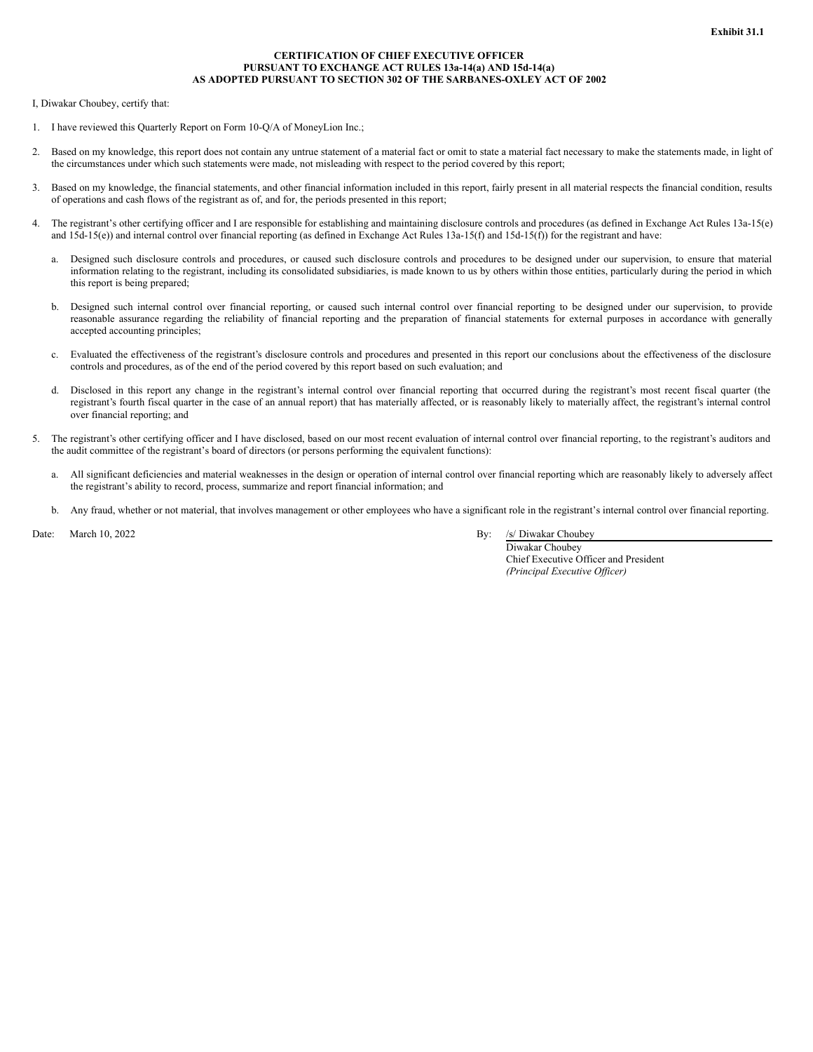# **CERTIFICATION OF CHIEF EXECUTIVE OFFICER PURSUANT TO EXCHANGE ACT RULES 13a-14(a) AND 15d-14(a) AS ADOPTED PURSUANT TO SECTION 302 OF THE SARBANES-OXLEY ACT OF 2002**

<span id="page-35-0"></span>I, Diwakar Choubey, certify that:

- 1. I have reviewed this Quarterly Report on Form 10-Q/A of MoneyLion Inc.;
- 2. Based on my knowledge, this report does not contain any untrue statement of a material fact or omit to state a material fact necessary to make the statements made, in light of the circumstances under which such statements were made, not misleading with respect to the period covered by this report;
- 3. Based on my knowledge, the financial statements, and other financial information included in this report, fairly present in all material respects the financial condition, results of operations and cash flows of the registrant as of, and for, the periods presented in this report;
- 4. The registrant's other certifying officer and I are responsible for establishing and maintaining disclosure controls and procedures (as defined in Exchange Act Rules 13a-15(e) and  $15d-15(e)$ ) and internal control over financial reporting (as defined in Exchange Act Rules  $13a-15(f)$  and  $15d-15(f)$ ) for the registrant and have:
	- a. Designed such disclosure controls and procedures, or caused such disclosure controls and procedures to be designed under our supervision, to ensure that material information relating to the registrant, including its consolidated subsidiaries, is made known to us by others within those entities, particularly during the period in which this report is being prepared;
	- b. Designed such internal control over financial reporting, or caused such internal control over financial reporting to be designed under our supervision, to provide reasonable assurance regarding the reliability of financial reporting and the preparation of financial statements for external purposes in accordance with generally accepted accounting principles;
	- c. Evaluated the effectiveness of the registrant's disclosure controls and procedures and presented in this report our conclusions about the effectiveness of the disclosure controls and procedures, as of the end of the period covered by this report based on such evaluation; and
	- d. Disclosed in this report any change in the registrant's internal control over financial reporting that occurred during the registrant's most recent fiscal quarter (the registrant's fourth fiscal quarter in the case of an annual report) that has materially affected, or is reasonably likely to materially affect, the registrant's internal control over financial reporting; and
- 5. The registrant's other certifying officer and I have disclosed, based on our most recent evaluation of internal control over financial reporting, to the registrant's auditors and the audit committee of the registrant's board of directors (or persons performing the equivalent functions):
	- a. All significant deficiencies and material weaknesses in the design or operation of internal control over financial reporting which are reasonably likely to adversely affect the registrant's ability to record, process, summarize and report financial information; and
	- b. Any fraud, whether or not material, that involves management or other employees who have a significant role in the registrant's internal control over financial reporting.

Date: March 10, 2022 By: /s/ Diwakar Choubey

Diwakar Choubey Chief Executive Officer and President *(Principal Executive Of icer)*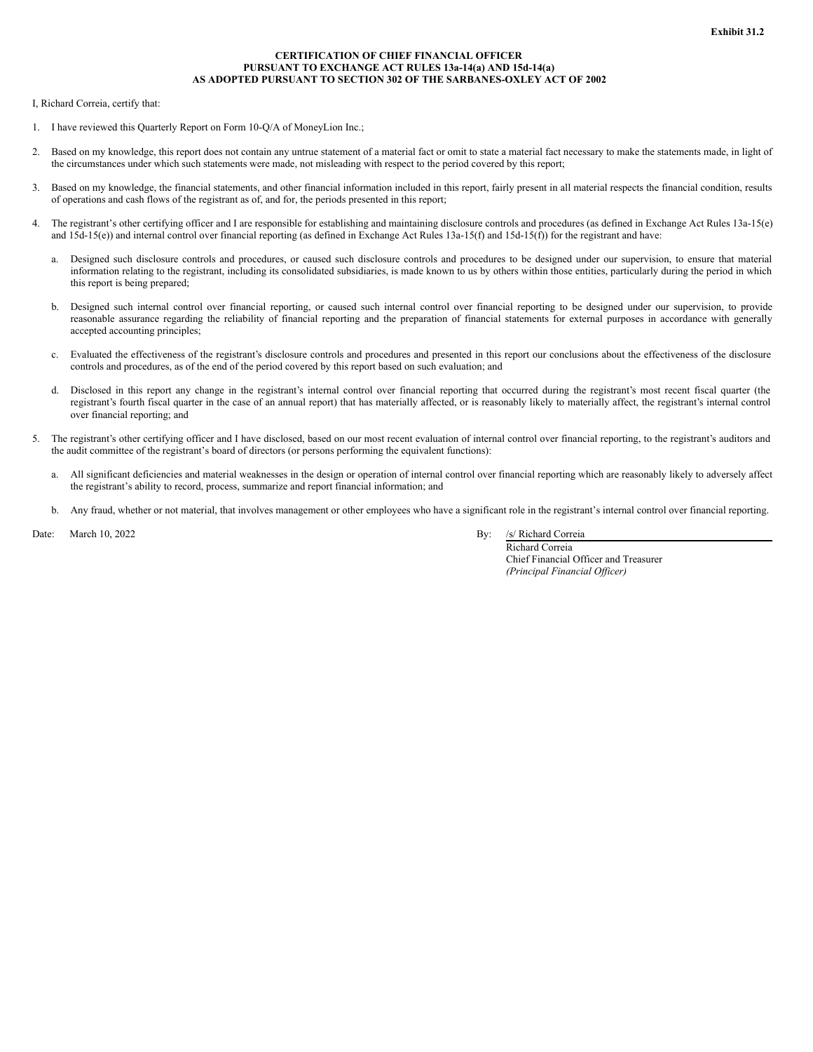# **CERTIFICATION OF CHIEF FINANCIAL OFFICER PURSUANT TO EXCHANGE ACT RULES 13a-14(a) AND 15d-14(a) AS ADOPTED PURSUANT TO SECTION 302 OF THE SARBANES-OXLEY ACT OF 2002**

<span id="page-36-0"></span>I, Richard Correia, certify that:

- 1. I have reviewed this Quarterly Report on Form 10-Q/A of MoneyLion Inc.;
- 2. Based on my knowledge, this report does not contain any untrue statement of a material fact or omit to state a material fact necessary to make the statements made, in light of the circumstances under which such statements were made, not misleading with respect to the period covered by this report;
- 3. Based on my knowledge, the financial statements, and other financial information included in this report, fairly present in all material respects the financial condition, results of operations and cash flows of the registrant as of, and for, the periods presented in this report;
- 4. The registrant's other certifying officer and I are responsible for establishing and maintaining disclosure controls and procedures (as defined in Exchange Act Rules 13a-15(e) and 15d-15(e)) and internal control over financial reporting (as defined in Exchange Act Rules 13a-15(f) and 15d-15(f)) for the registrant and have:
	- a. Designed such disclosure controls and procedures, or caused such disclosure controls and procedures to be designed under our supervision, to ensure that material information relating to the registrant, including its consolidated subsidiaries, is made known to us by others within those entities, particularly during the period in which this report is being prepared;
	- b. Designed such internal control over financial reporting, or caused such internal control over financial reporting to be designed under our supervision, to provide reasonable assurance regarding the reliability of financial reporting and the preparation of financial statements for external purposes in accordance with generally accepted accounting principles;
	- c. Evaluated the effectiveness of the registrant's disclosure controls and procedures and presented in this report our conclusions about the effectiveness of the disclosure controls and procedures, as of the end of the period covered by this report based on such evaluation; and
	- d. Disclosed in this report any change in the registrant's internal control over financial reporting that occurred during the registrant's most recent fiscal quarter (the registrant's fourth fiscal quarter in the case of an annual report) that has materially affected, or is reasonably likely to materially affect, the registrant's internal control over financial reporting; and
- 5. The registrant's other certifying officer and I have disclosed, based on our most recent evaluation of internal control over financial reporting, to the registrant's auditors and the audit committee of the registrant's board of directors (or persons performing the equivalent functions):
	- a. All significant deficiencies and material weaknesses in the design or operation of internal control over financial reporting which are reasonably likely to adversely affect the registrant's ability to record, process, summarize and report financial information; and
	- b. Any fraud, whether or not material, that involves management or other employees who have a significant role in the registrant's internal control over financial reporting.

Date: March 10, 2022 By: /s/ Richard Correia

Richard Correia Chief Financial Officer and Treasurer *(Principal Financial Of icer)*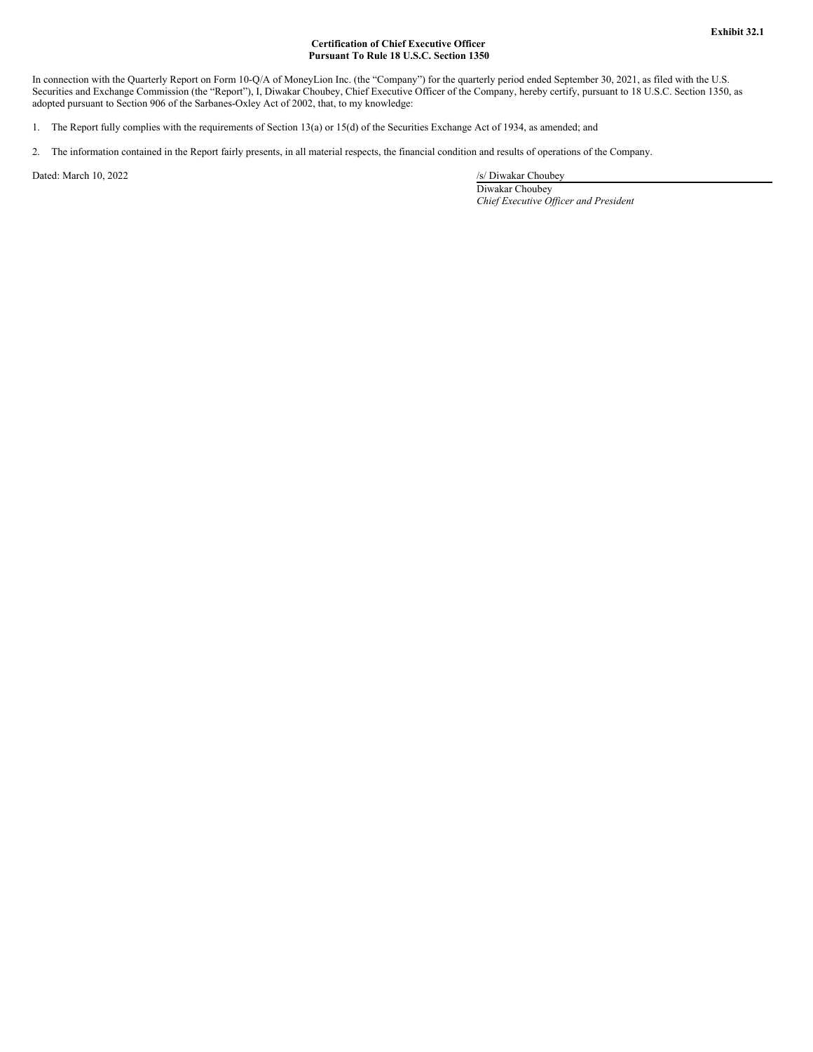# **Certification of Chief Executive Officer Pursuant To Rule 18 U.S.C. Section 1350**

<span id="page-37-0"></span>In connection with the Quarterly Report on Form 10-Q/A of MoneyLion Inc. (the "Company") for the quarterly period ended September 30, 2021, as filed with the U.S. Securities and Exchange Commission (the "Report"), I, Diwakar Choubey, Chief Executive Officer of the Company, hereby certify, pursuant to 18 U.S.C. Section 1350, as adopted pursuant to Section 906 of the Sarbanes-Oxley Act of 2002, that, to my knowledge:

- 1. The Report fully complies with the requirements of Section 13(a) or 15(d) of the Securities Exchange Act of 1934, as amended; and
- 2. The information contained in the Report fairly presents, in all material respects, the financial condition and results of operations of the Company.

Dated: March 10, 2022 /s/ Diwakar Choubey

Diwakar Choubey *Chief Executive Of icer and President*